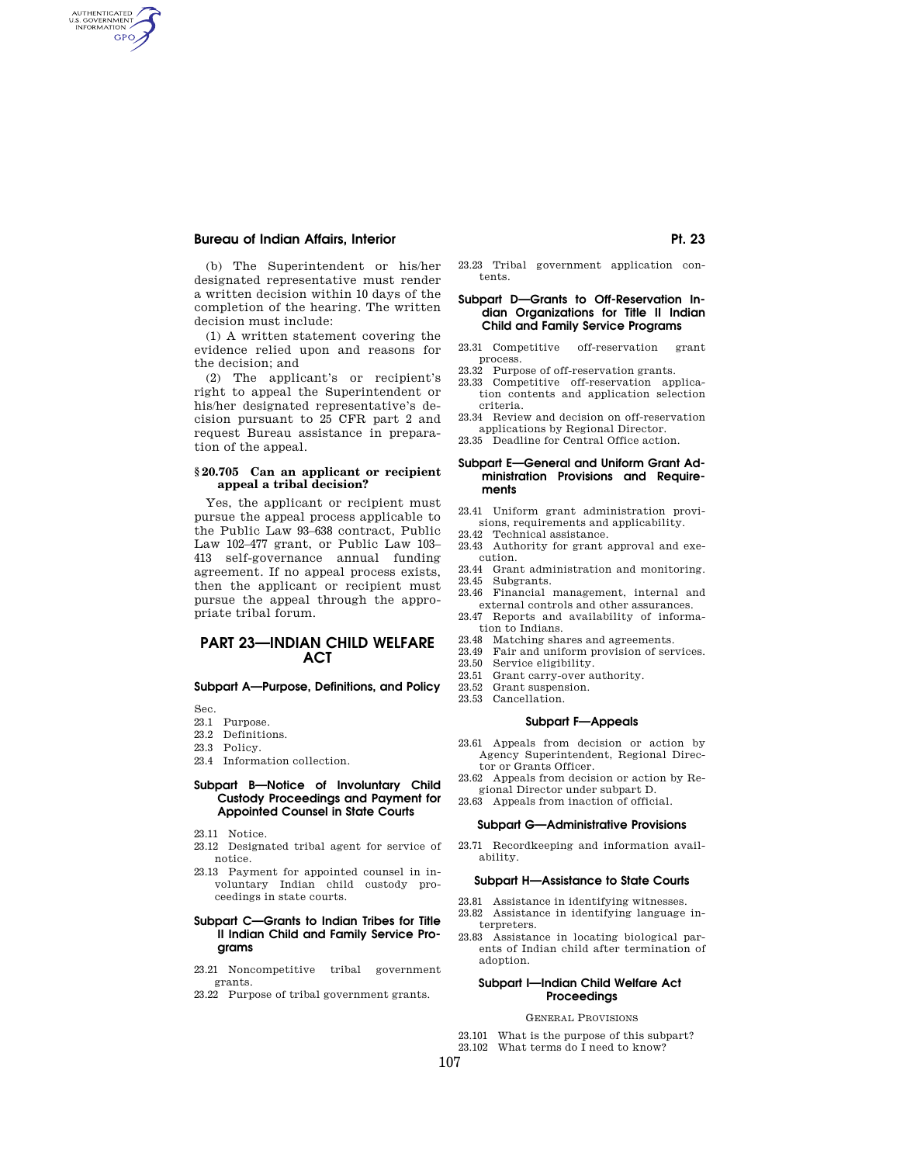AUTHENTICATED<br>U.S. GOVERNMENT<br>INFORMATION GPO

> (b) The Superintendent or his/her designated representative must render a written decision within 10 days of the completion of the hearing. The written decision must include:

> (1) A written statement covering the evidence relied upon and reasons for the decision; and

> (2) The applicant's or recipient's right to appeal the Superintendent or his/her designated representative's decision pursuant to 25 CFR part 2 and request Bureau assistance in preparation of the appeal.

## **§ 20.705 Can an applicant or recipient appeal a tribal decision?**

Yes, the applicant or recipient must pursue the appeal process applicable to the Public Law 93–638 contract, Public Law 102–477 grant, or Public Law 103– 413 self-governance annual funding agreement. If no appeal process exists, then the applicant or recipient must pursue the appeal through the appropriate tribal forum.

# **PART 23—INDIAN CHILD WELFARE ACT**

# **Subpart A—Purpose, Definitions, and Policy**

Sec.

- 23.1 Purpose. 23.2 Definitions.
- 
- 23.3 Policy.
- 23.4 Information collection.

## **Subpart B—Notice of Involuntary Child Custody Proceedings and Payment for Appointed Counsel in State Courts**

- 23.11 Notice.
- 23.12 Designated tribal agent for service of notice.
- 23.13 Payment for appointed counsel in involuntary Indian child custody proceedings in state courts.

## **Subpart C—Grants to Indian Tribes for Title II Indian Child and Family Service Programs**

- 23.21 Noncompetitive tribal government grants.
- 23.22 Purpose of tribal government grants.

23.23 Tribal government application contents.

## **Subpart D—Grants to Off-Reservation Indian Organizations for Title II Indian Child and Family Service Programs**

- 23.31 Competitive off-reservation grant process.
- 23.32 Purpose of off-reservation grants.
- 23.33 Competitive off-reservation application contents and application selection criteria.
- 23.34 Review and decision on off-reservation applications by Regional Director.
- 23.35 Deadline for Central Office action.

## **Subpart E—General and Uniform Grant Administration Provisions and Requirements**

- 23.41 Uniform grant administration provisions, requirements and applicability.
- 23.42 Technical assistance.
- 23.43 Authority for grant approval and execution.
- 23.44 Grant administration and monitoring. 23.45 Subgrants.
- 23.46 Financial management, internal and
- external controls and other assurances.
- 23.47 Reports and availability of information to Indians.
- 23.48 Matching shares and agreements. 23.49 Fair and uniform provision of services.
- 23.50 Service eligibility.
- 23.51 Grant carry-over authority.
- 23.52 Grant suspension.
- 23.53 Cancellation.

## **Subpart F—Appeals**

- 23.61 Appeals from decision or action by Agency Superintendent, Regional Director or Grants Officer.
- 23.62 Appeals from decision or action by Regional Director under subpart D.
- 23.63 Appeals from inaction of official.

#### **Subpart G—Administrative Provisions**

23.71 Recordkeeping and information availability.

## **Subpart H—Assistance to State Courts**

- 23.81 Assistance in identifying witnesses. 23.82 Assistance in identifying language in-
- terpreters. 23.83 Assistance in locating biological par-
- ents of Indian child after termination of adoption.

# **Subpart I—Indian Child Welfare Act Proceedings**

#### GENERAL PROVISIONS

23.101 What is the purpose of this subpart?<br>23.102 What terms do I need to know? What terms do I need to know?

107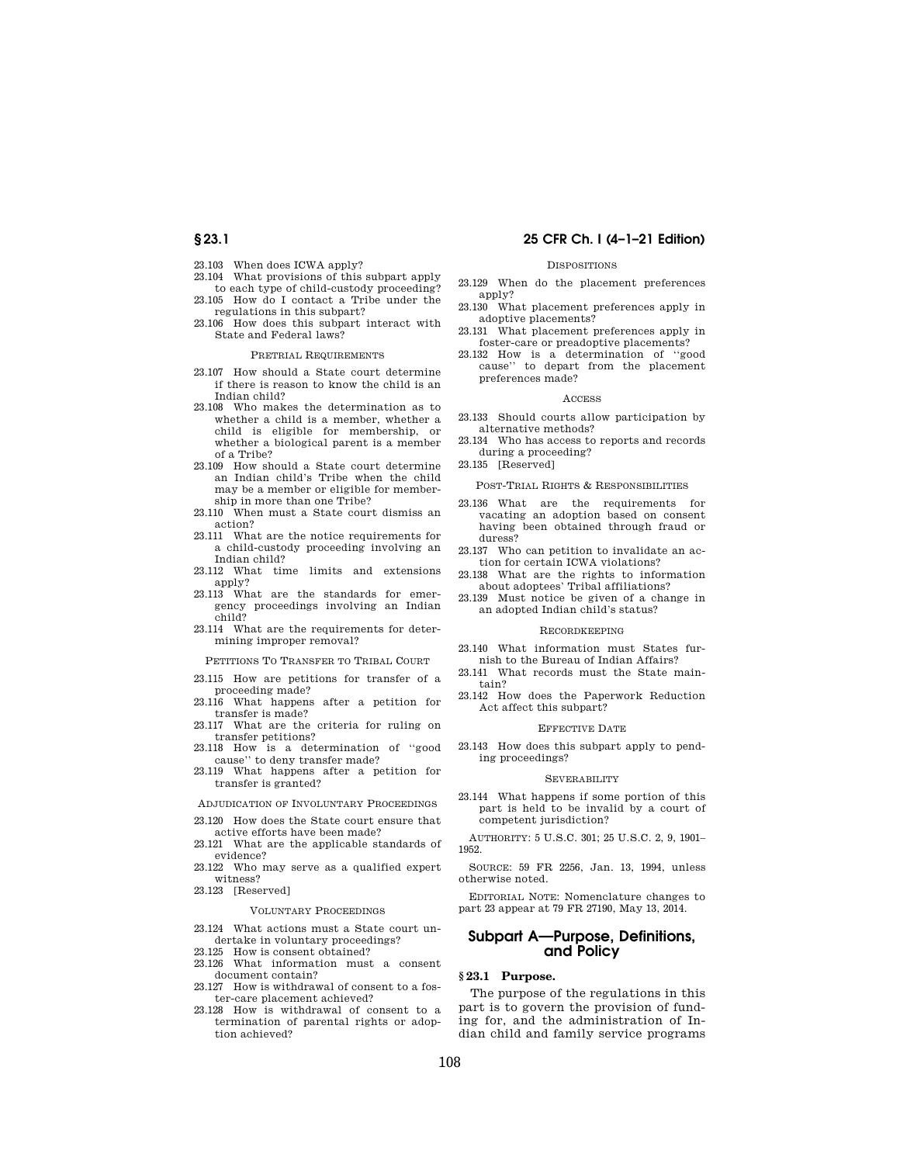## **§ 23.1 25 CFR Ch. I (4–1–21 Edition)**

- 23.103 When does ICWA apply?
- 23.104 What provisions of this subpart apply to each type of child-custody proceeding?
- 23.105 How do I contact a Tribe under the regulations in this subpart?
- 23.106 How does this subpart interact with State and Federal laws?

#### PRETRIAL REQUIREMENTS

- 23.107 How should a State court determine if there is reason to know the child is an Indian child?
- 23.108 Who makes the determination as to whether a child is a member, whether a child is eligible for membership, or whether a biological parent is a member of a Tribe?
- 23.109 How should a State court determine an Indian child's Tribe when the child may be a member or eligible for membership in more than one Tribe?
- 23.110 When must a State court dismiss an action?
- 23.111 What are the notice requirements for a child-custody proceeding involving an Indian child?
- 23.112 What time limits and extensions
- apply? 23.113 What are the standards for emergency proceedings involving an Indian child?
- 23.114 What are the requirements for determining improper removal?

PETITIONS TO TRANSFER TO TRIBAL COURT

- 23.115 How are petitions for transfer of a proceeding made?
- 23.116 What happens after a petition for transfer is made?
- 23.117 What are the criteria for ruling on transfer petitions?
- 23.118 How is a determination of ''good cause'' to deny transfer made?
- 23.119 What happens after a petition for transfer is granted?
- ADJUDICATION OF INVOLUNTARY PROCEEDINGS
- 23.120 How does the State court ensure that active efforts have been made?
- 23.121 What are the applicable standards of evidence?
- 23.122 Who may serve as a qualified expert witness?
- 23.123 [Reserved]

#### VOLUNTARY PROCEEDINGS

- 23.124 What actions must a State court undertake in voluntary proceedings?
- 23.125 How is consent obtained?
- 23.126 What information must a consent document contain?
- 23.127 How is withdrawal of consent to a foster-care placement achieved?
- 23.128 How is withdrawal of consent to a termination of parental rights or adoption achieved?

## **DISPOSITIONS**

- 23.129 When do the placement preferences apply?
- 23.130 What placement preferences apply in adoptive placements?
- 23.131 What placement preferences apply in foster-care or preadoptive placements?
- 23.132 How is a determination of ''good cause'' to depart from the placement preferences made?

## ACCESS

- 23.133 Should courts allow participation by alternative methods?
- 23.134 Who has access to reports and records during a proceeding?
- 23.135 [Reserved]

## POST-TRIAL RIGHTS & RESPONSIBILITIES

- 23.136 What are the requirements for vacating an adoption based on consent having been obtained through fraud or duress?
- 23.137 Who can petition to invalidate an action for certain ICWA violations?
- 23.138 What are the rights to information about adoptees' Tribal affiliations?
- 23.139 Must notice be given of a change in an adopted Indian child's status?

#### RECORDKEEPING

- 23.140 What information must States furnish to the Bureau of Indian Affairs?
- 23.141 What records must the State maintain?
- 23.142 How does the Paperwork Reduction Act affect this subpart?

#### EFFECTIVE DATE

23.143 How does this subpart apply to pending proceedings?

#### SEVERABILITY

23.144 What happens if some portion of this part is held to be invalid by a court of competent jurisdiction?

AUTHORITY: 5 U.S.C. 301; 25 U.S.C. 2, 9, 1901– 1952.

SOURCE: 59 FR 2256, Jan. 13, 1994, unless otherwise noted.

EDITORIAL NOTE: Nomenclature changes to part 23 appear at 79 FR 27190, May 13, 2014.

# **Subpart A—Purpose, Definitions, and Policy**

# **§ 23.1 Purpose.**

The purpose of the regulations in this part is to govern the provision of funding for, and the administration of Indian child and family service programs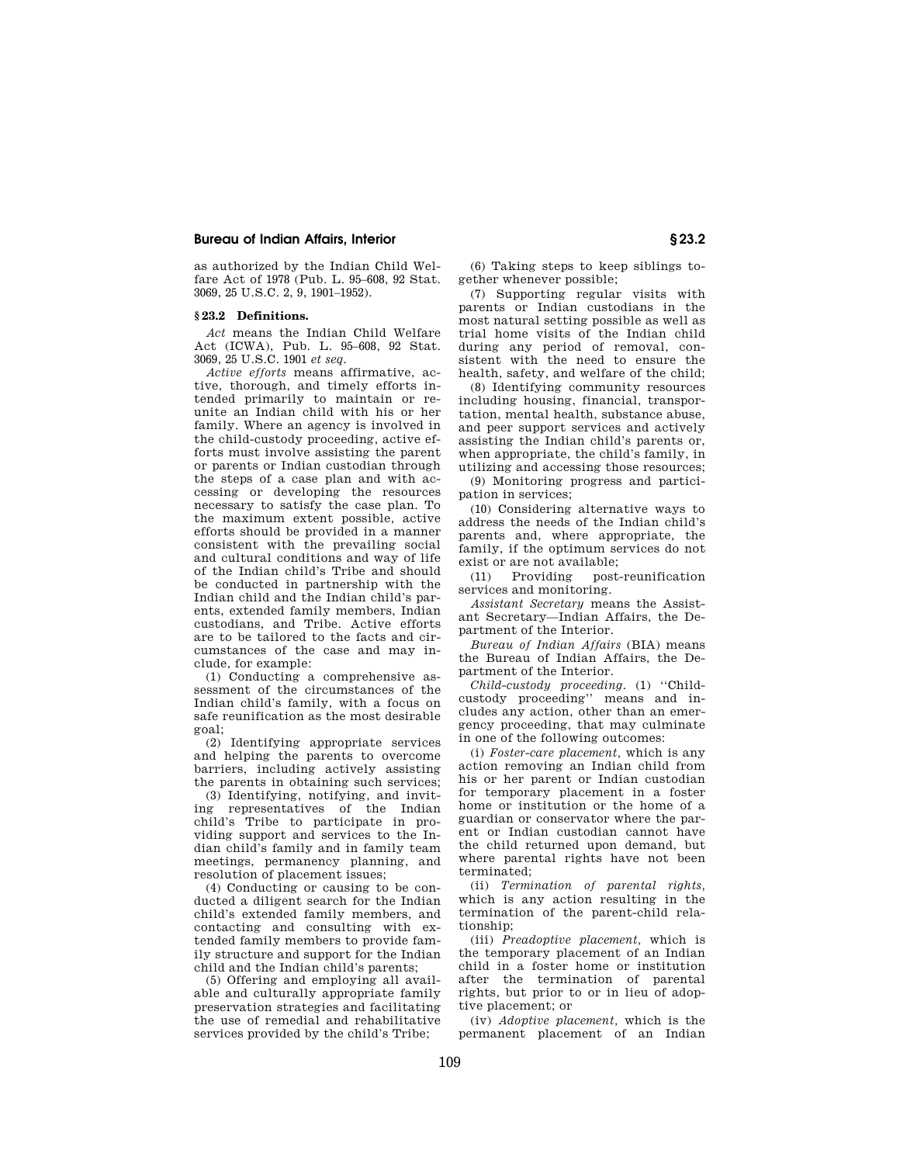as authorized by the Indian Child Welfare Act of 1978 (Pub. L. 95–608, 92 Stat. 3069, 25 U.S.C. 2, 9, 1901–1952).

## **§ 23.2 Definitions.**

*Act* means the Indian Child Welfare Act (ICWA), Pub. L. 95–608, 92 Stat. 3069, 25 U.S.C. 1901 *et seq.* 

*Active efforts* means affirmative, active, thorough, and timely efforts intended primarily to maintain or reunite an Indian child with his or her family. Where an agency is involved in the child-custody proceeding, active efforts must involve assisting the parent or parents or Indian custodian through the steps of a case plan and with accessing or developing the resources necessary to satisfy the case plan. To the maximum extent possible, active efforts should be provided in a manner consistent with the prevailing social and cultural conditions and way of life of the Indian child's Tribe and should be conducted in partnership with the Indian child and the Indian child's parents, extended family members, Indian custodians, and Tribe. Active efforts are to be tailored to the facts and circumstances of the case and may include, for example:

(1) Conducting a comprehensive assessment of the circumstances of the Indian child's family, with a focus on safe reunification as the most desirable goal;

(2) Identifying appropriate services and helping the parents to overcome barriers, including actively assisting the parents in obtaining such services;

(3) Identifying, notifying, and inviting representatives of the Indian child's Tribe to participate in providing support and services to the Indian child's family and in family team meetings, permanency planning, and resolution of placement issues;

(4) Conducting or causing to be conducted a diligent search for the Indian child's extended family members, and contacting and consulting with extended family members to provide family structure and support for the Indian child and the Indian child's parents;

(5) Offering and employing all available and culturally appropriate family preservation strategies and facilitating the use of remedial and rehabilitative services provided by the child's Tribe;

(6) Taking steps to keep siblings together whenever possible;

(7) Supporting regular visits with parents or Indian custodians in the most natural setting possible as well as trial home visits of the Indian child during any period of removal, consistent with the need to ensure the health, safety, and welfare of the child;

(8) Identifying community resources including housing, financial, transportation, mental health, substance abuse, and peer support services and actively assisting the Indian child's parents or, when appropriate, the child's family, in utilizing and accessing those resources;

(9) Monitoring progress and participation in services;

(10) Considering alternative ways to address the needs of the Indian child's parents and, where appropriate, the family, if the optimum services do not exist or are not available;

(11) Providing post-reunification services and monitoring.

*Assistant Secretary* means the Assistant Secretary—Indian Affairs, the Department of the Interior.

*Bureau of Indian Affairs* (BIA) means the Bureau of Indian Affairs, the Department of the Interior.

*Child-custody proceeding.* (1) ''Childcustody proceeding'' means and includes any action, other than an emergency proceeding, that may culminate in one of the following outcomes:

(i) *Foster-care placement,* which is any action removing an Indian child from his or her parent or Indian custodian for temporary placement in a foster home or institution or the home of a guardian or conservator where the parent or Indian custodian cannot have the child returned upon demand, but where parental rights have not been terminated;

(ii) *Termination of parental rights,*  which is any action resulting in the termination of the parent-child relationship;

(iii) *Preadoptive placement,* which is the temporary placement of an Indian child in a foster home or institution after the termination of parental rights, but prior to or in lieu of adoptive placement; or

(iv) *Adoptive placement,* which is the permanent placement of an Indian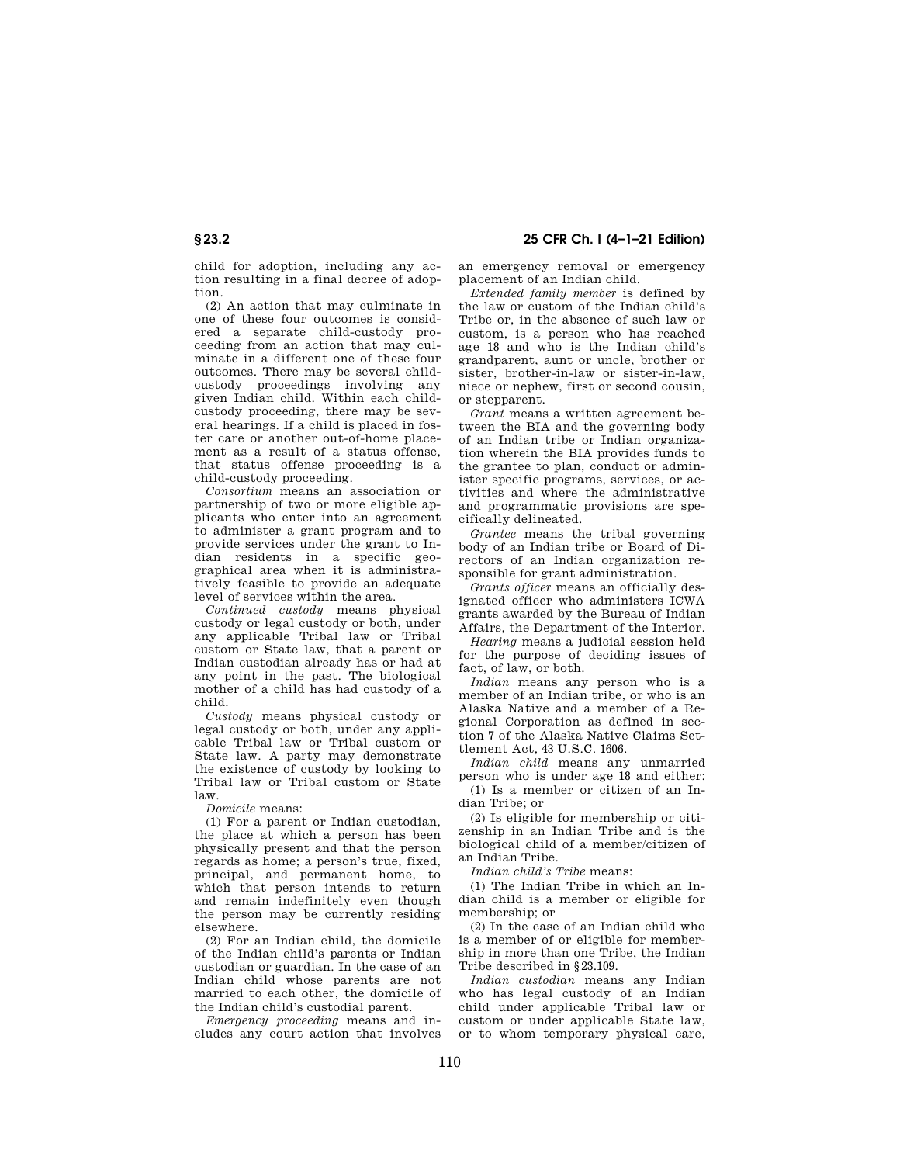child for adoption, including any action resulting in a final decree of adoption.

(2) An action that may culminate in one of these four outcomes is considered a separate child-custody proceeding from an action that may culminate in a different one of these four outcomes. There may be several childcustody proceedings involving any given Indian child. Within each childcustody proceeding, there may be several hearings. If a child is placed in foster care or another out-of-home placement as a result of a status offense, that status offense proceeding is a child-custody proceeding.

*Consortium* means an association or partnership of two or more eligible applicants who enter into an agreement to administer a grant program and to provide services under the grant to Indian residents in a specific geographical area when it is administratively feasible to provide an adequate level of services within the area.

*Continued custody* means physical custody or legal custody or both, under any applicable Tribal law or Tribal custom or State law, that a parent or Indian custodian already has or had at any point in the past. The biological mother of a child has had custody of a child.

*Custody* means physical custody or legal custody or both, under any applicable Tribal law or Tribal custom or State law. A party may demonstrate the existence of custody by looking to Tribal law or Tribal custom or State law.

*Domicile* means:

(1) For a parent or Indian custodian, the place at which a person has been physically present and that the person regards as home; a person's true, fixed, principal, and permanent home, to which that person intends to return and remain indefinitely even though the person may be currently residing elsewhere.

(2) For an Indian child, the domicile of the Indian child's parents or Indian custodian or guardian. In the case of an Indian child whose parents are not married to each other, the domicile of the Indian child's custodial parent.

*Emergency proceeding* means and includes any court action that involves an emergency removal or emergency placement of an Indian child.

*Extended family member* is defined by the law or custom of the Indian child's Tribe or, in the absence of such law or custom, is a person who has reached age 18 and who is the Indian child's grandparent, aunt or uncle, brother or sister, brother-in-law or sister-in-law, niece or nephew, first or second cousin, or stepparent.

*Grant* means a written agreement between the BIA and the governing body of an Indian tribe or Indian organization wherein the BIA provides funds to the grantee to plan, conduct or administer specific programs, services, or activities and where the administrative and programmatic provisions are specifically delineated.

*Grantee* means the tribal governing body of an Indian tribe or Board of Directors of an Indian organization responsible for grant administration.

*Grants officer* means an officially designated officer who administers ICWA grants awarded by the Bureau of Indian Affairs, the Department of the Interior.

*Hearing* means a judicial session held for the purpose of deciding issues of fact, of law, or both.

*Indian* means any person who is a member of an Indian tribe, or who is an Alaska Native and a member of a Regional Corporation as defined in section 7 of the Alaska Native Claims Settlement Act, 43 U.S.C. 1606.

*Indian child* means any unmarried person who is under age 18 and either: (1) Is a member or citizen of an In-

dian Tribe; or (2) Is eligible for membership or citi-

zenship in an Indian Tribe and is the biological child of a member/citizen of an Indian Tribe.

*Indian child's Tribe* means:

(1) The Indian Tribe in which an Indian child is a member or eligible for membership; or

(2) In the case of an Indian child who is a member of or eligible for membership in more than one Tribe, the Indian Tribe described in §23.109.

*Indian custodian* means any Indian who has legal custody of an Indian child under applicable Tribal law or custom or under applicable State law, or to whom temporary physical care,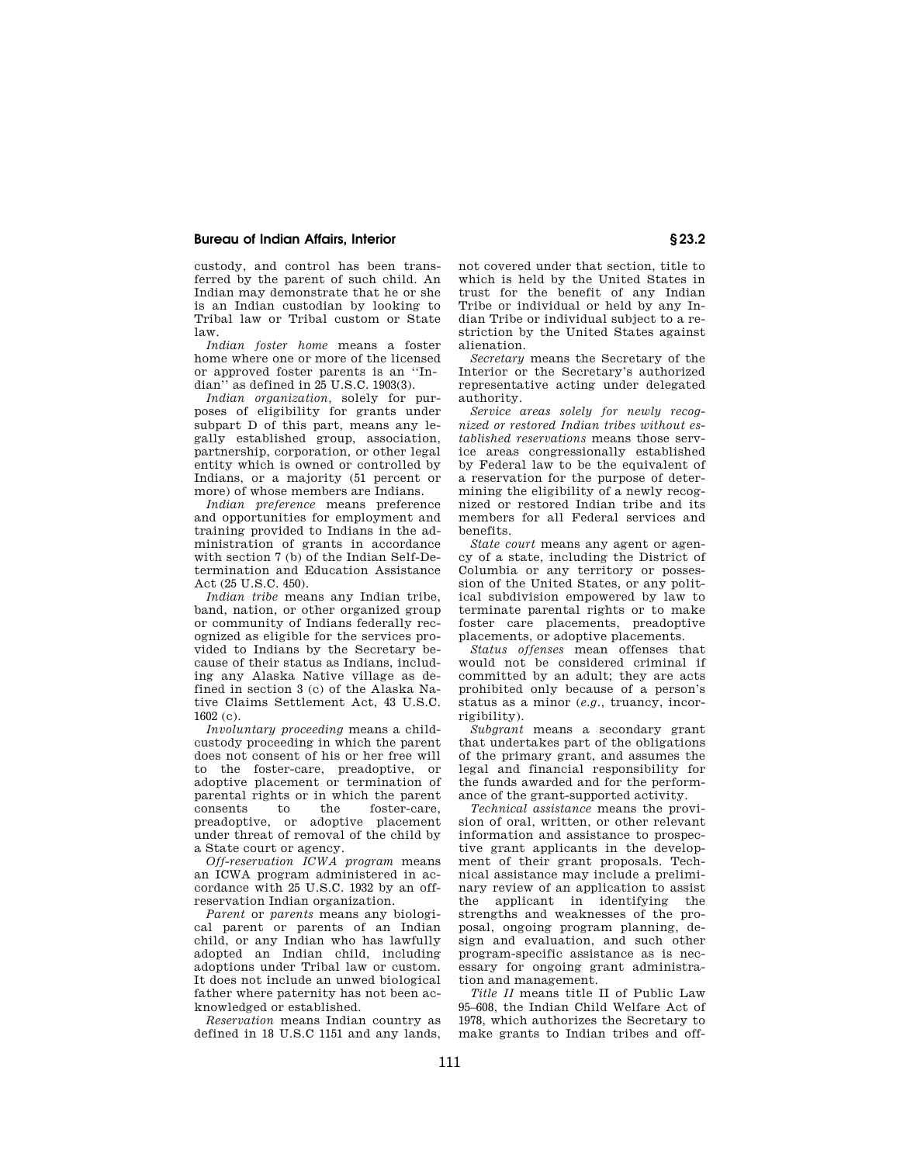custody, and control has been transferred by the parent of such child. An Indian may demonstrate that he or she is an Indian custodian by looking to Tribal law or Tribal custom or State law.

*Indian foster home* means a foster home where one or more of the licensed or approved foster parents is an ''Indian'' as defined in 25 U.S.C. 1903(3).

*Indian organization,* solely for purposes of eligibility for grants under subpart D of this part, means any legally established group, association, partnership, corporation, or other legal entity which is owned or controlled by Indians, or a majority (51 percent or more) of whose members are Indians.

*Indian preference* means preference and opportunities for employment and training provided to Indians in the administration of grants in accordance with section 7 (b) of the Indian Self-Determination and Education Assistance Act (25 U.S.C. 450).

*Indian tribe* means any Indian tribe, band, nation, or other organized group or community of Indians federally recognized as eligible for the services provided to Indians by the Secretary because of their status as Indians, including any Alaska Native village as defined in section 3 (c) of the Alaska Native Claims Settlement Act, 43 U.S.C.  $1602 (c)$ .

*Involuntary proceeding* means a childcustody proceeding in which the parent does not consent of his or her free will to the foster-care, preadoptive, or adoptive placement or termination of parental rights or in which the parent consents to the foster-care, preadoptive, or adoptive placement under threat of removal of the child by a State court or agency.

*Off-reservation ICWA program* means an ICWA program administered in accordance with 25 U.S.C. 1932 by an offreservation Indian organization.

*Parent* or *parents* means any biological parent or parents of an Indian child, or any Indian who has lawfully adopted an Indian child, including adoptions under Tribal law or custom. It does not include an unwed biological father where paternity has not been acknowledged or established.

*Reservation* means Indian country as defined in 18 U.S.C 1151 and any lands, not covered under that section, title to which is held by the United States in trust for the benefit of any Indian Tribe or individual or held by any Indian Tribe or individual subject to a restriction by the United States against alienation.

*Secretary* means the Secretary of the Interior or the Secretary's authorized representative acting under delegated authority.

*Service areas solely for newly recognized or restored Indian tribes without established reservations* means those service areas congressionally established by Federal law to be the equivalent of a reservation for the purpose of determining the eligibility of a newly recognized or restored Indian tribe and its members for all Federal services and benefits.

*State court* means any agent or agency of a state, including the District of Columbia or any territory or possession of the United States, or any political subdivision empowered by law to terminate parental rights or to make foster care placements, preadoptive placements, or adoptive placements.

*Status offenses* mean offenses that would not be considered criminal if committed by an adult; they are acts prohibited only because of a person's status as a minor (*e.g.,* truancy, incorrigibility).

*Subgrant* means a secondary grant that undertakes part of the obligations of the primary grant, and assumes the legal and financial responsibility for the funds awarded and for the performance of the grant-supported activity.

*Technical assistance* means the provision of oral, written, or other relevant information and assistance to prospective grant applicants in the development of their grant proposals. Technical assistance may include a preliminary review of an application to assist the applicant in identifying the strengths and weaknesses of the proposal, ongoing program planning, design and evaluation, and such other program-specific assistance as is necessary for ongoing grant administration and management.

*Title II* means title II of Public Law 95–608, the Indian Child Welfare Act of 1978, which authorizes the Secretary to make grants to Indian tribes and off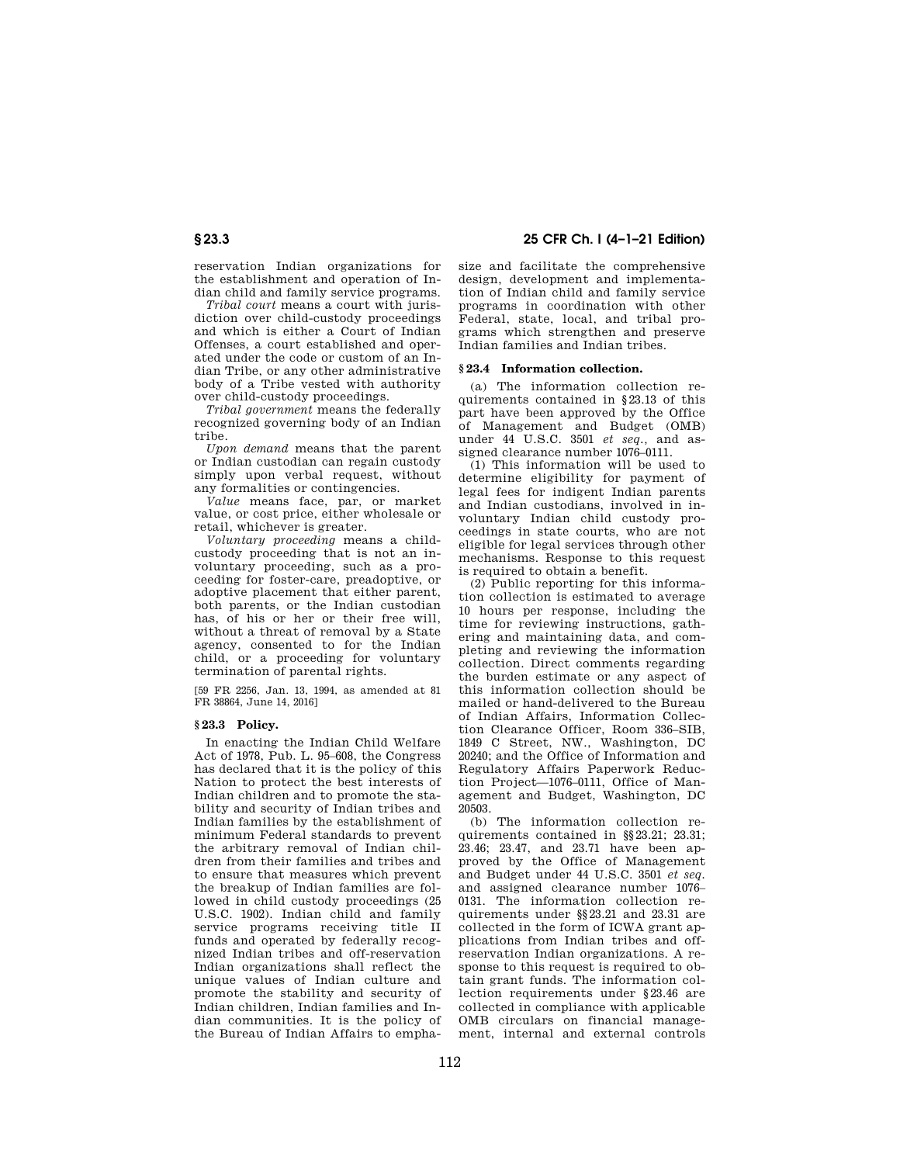**§ 23.3 25 CFR Ch. I (4–1–21 Edition)** 

reservation Indian organizations for the establishment and operation of Indian child and family service programs.

*Tribal court* means a court with jurisdiction over child-custody proceedings and which is either a Court of Indian Offenses, a court established and operated under the code or custom of an Indian Tribe, or any other administrative body of a Tribe vested with authority over child-custody proceedings.

*Tribal government* means the federally recognized governing body of an Indian tribe.

*Upon demand* means that the parent or Indian custodian can regain custody simply upon verbal request, without any formalities or contingencies.

*Value* means face, par, or market value, or cost price, either wholesale or retail, whichever is greater.

*Voluntary proceeding* means a childcustody proceeding that is not an involuntary proceeding, such as a proceeding for foster-care, preadoptive, or adoptive placement that either parent, both parents, or the Indian custodian has, of his or her or their free will, without a threat of removal by a State agency, consented to for the Indian child, or a proceeding for voluntary termination of parental rights.

[59 FR 2256, Jan. 13, 1994, as amended at 81 FR 38864, June 14, 2016]

# **§ 23.3 Policy.**

In enacting the Indian Child Welfare Act of 1978, Pub. L. 95–608, the Congress has declared that it is the policy of this Nation to protect the best interests of Indian children and to promote the stability and security of Indian tribes and Indian families by the establishment of minimum Federal standards to prevent the arbitrary removal of Indian children from their families and tribes and to ensure that measures which prevent the breakup of Indian families are followed in child custody proceedings (25 U.S.C. 1902). Indian child and family service programs receiving title II funds and operated by federally recognized Indian tribes and off-reservation Indian organizations shall reflect the unique values of Indian culture and promote the stability and security of Indian children, Indian families and Indian communities. It is the policy of the Bureau of Indian Affairs to emphasize and facilitate the comprehensive design, development and implementation of Indian child and family service programs in coordination with other Federal, state, local, and tribal programs which strengthen and preserve Indian families and Indian tribes.

## **§ 23.4 Information collection.**

(a) The information collection requirements contained in §23.13 of this part have been approved by the Office of Management and Budget (OMB) under 44 U.S.C. 3501 *et seq.,* and assigned clearance number 1076–0111.

(1) This information will be used to determine eligibility for payment of legal fees for indigent Indian parents and Indian custodians, involved in involuntary Indian child custody proceedings in state courts, who are not eligible for legal services through other mechanisms. Response to this request is required to obtain a benefit.

(2) Public reporting for this information collection is estimated to average 10 hours per response, including the time for reviewing instructions, gathering and maintaining data, and completing and reviewing the information collection. Direct comments regarding the burden estimate or any aspect of this information collection should be mailed or hand-delivered to the Bureau of Indian Affairs, Information Collection Clearance Officer, Room 336–SIB, 1849 C Street, NW., Washington, DC 20240; and the Office of Information and Regulatory Affairs Paperwork Reduction Project—1076–0111, Office of Management and Budget, Washington, DC 20503.

(b) The information collection requirements contained in §§23.21; 23.31; 23.46; 23.47, and 23.71 have been approved by the Office of Management and Budget under 44 U.S.C. 3501 *et seq.*  and assigned clearance number 1076– 0131. The information collection requirements under §§23.21 and 23.31 are collected in the form of ICWA grant applications from Indian tribes and offreservation Indian organizations. A response to this request is required to obtain grant funds. The information collection requirements under §23.46 are collected in compliance with applicable OMB circulars on financial management, internal and external controls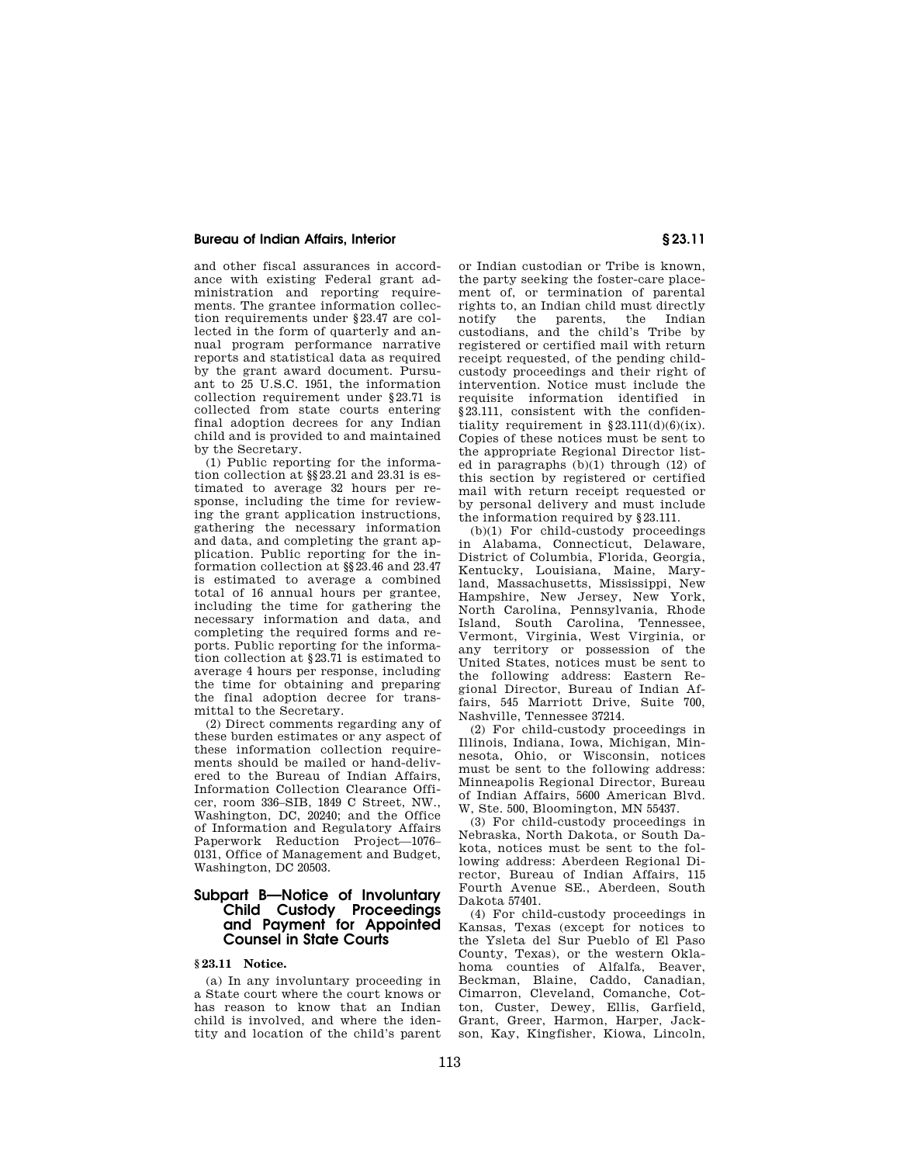and other fiscal assurances in accordance with existing Federal grant administration and reporting requirements. The grantee information collection requirements under §23.47 are collected in the form of quarterly and annual program performance narrative reports and statistical data as required by the grant award document. Pursuant to 25 U.S.C. 1951, the information collection requirement under §23.71 is collected from state courts entering final adoption decrees for any Indian child and is provided to and maintained by the Secretary.

(1) Public reporting for the information collection at §§23.21 and 23.31 is estimated to average 32 hours per response, including the time for reviewing the grant application instructions, gathering the necessary information and data, and completing the grant application. Public reporting for the information collection at §§23.46 and 23.47 is estimated to average a combined total of 16 annual hours per grantee, including the time for gathering the necessary information and data, and completing the required forms and reports. Public reporting for the information collection at §23.71 is estimated to average 4 hours per response, including the time for obtaining and preparing the final adoption decree for transmittal to the Secretary.

(2) Direct comments regarding any of these burden estimates or any aspect of these information collection requirements should be mailed or hand-delivered to the Bureau of Indian Affairs, Information Collection Clearance Officer, room 336–SIB, 1849 C Street, NW., Washington, DC, 20240; and the Office of Information and Regulatory Affairs Paperwork Reduction Project—1076– 0131, Office of Management and Budget, Washington, DC 20503.

# **Subpart B—Notice of Involuntary Child Custody Proceedings and Payment for Appointed Counsel in State Courts**

# **§ 23.11 Notice.**

(a) In any involuntary proceeding in a State court where the court knows or has reason to know that an Indian child is involved, and where the identity and location of the child's parent

or Indian custodian or Tribe is known, the party seeking the foster-care placement of, or termination of parental rights to, an Indian child must directly the parents, custodians, and the child's Tribe by registered or certified mail with return receipt requested, of the pending childcustody proceedings and their right of intervention. Notice must include the requisite information identified in §23.111, consistent with the confidentiality requirement in  $§23.111(d)(6)(ix)$ . Copies of these notices must be sent to the appropriate Regional Director listed in paragraphs (b)(1) through (12) of this section by registered or certified mail with return receipt requested or by personal delivery and must include the information required by §23.111.

(b)(1) For child-custody proceedings in Alabama, Connecticut, Delaware, District of Columbia, Florida, Georgia, Kentucky, Louisiana, Maine, Maryland, Massachusetts, Mississippi, New Hampshire, New Jersey, New York, North Carolina, Pennsylvania, Rhode Island, South Carolina, Tennessee, Vermont, Virginia, West Virginia, or any territory or possession of the United States, notices must be sent to the following address: Eastern Regional Director, Bureau of Indian Affairs, 545 Marriott Drive, Suite 700, Nashville, Tennessee 37214.

(2) For child-custody proceedings in Illinois, Indiana, Iowa, Michigan, Minnesota, Ohio, or Wisconsin, notices must be sent to the following address: Minneapolis Regional Director, Bureau of Indian Affairs, 5600 American Blvd. W, Ste. 500, Bloomington, MN 55437.

(3) For child-custody proceedings in Nebraska, North Dakota, or South Dakota, notices must be sent to the following address: Aberdeen Regional Director, Bureau of Indian Affairs, 115 Fourth Avenue SE., Aberdeen, South Dakota 57401.

(4) For child-custody proceedings in Kansas, Texas (except for notices to the Ysleta del Sur Pueblo of El Paso County, Texas), or the western Oklahoma counties of Alfalfa, Beaver, Beckman, Blaine, Caddo, Canadian, Cimarron, Cleveland, Comanche, Cotton, Custer, Dewey, Ellis, Garfield, Grant, Greer, Harmon, Harper, Jackson, Kay, Kingfisher, Kiowa, Lincoln,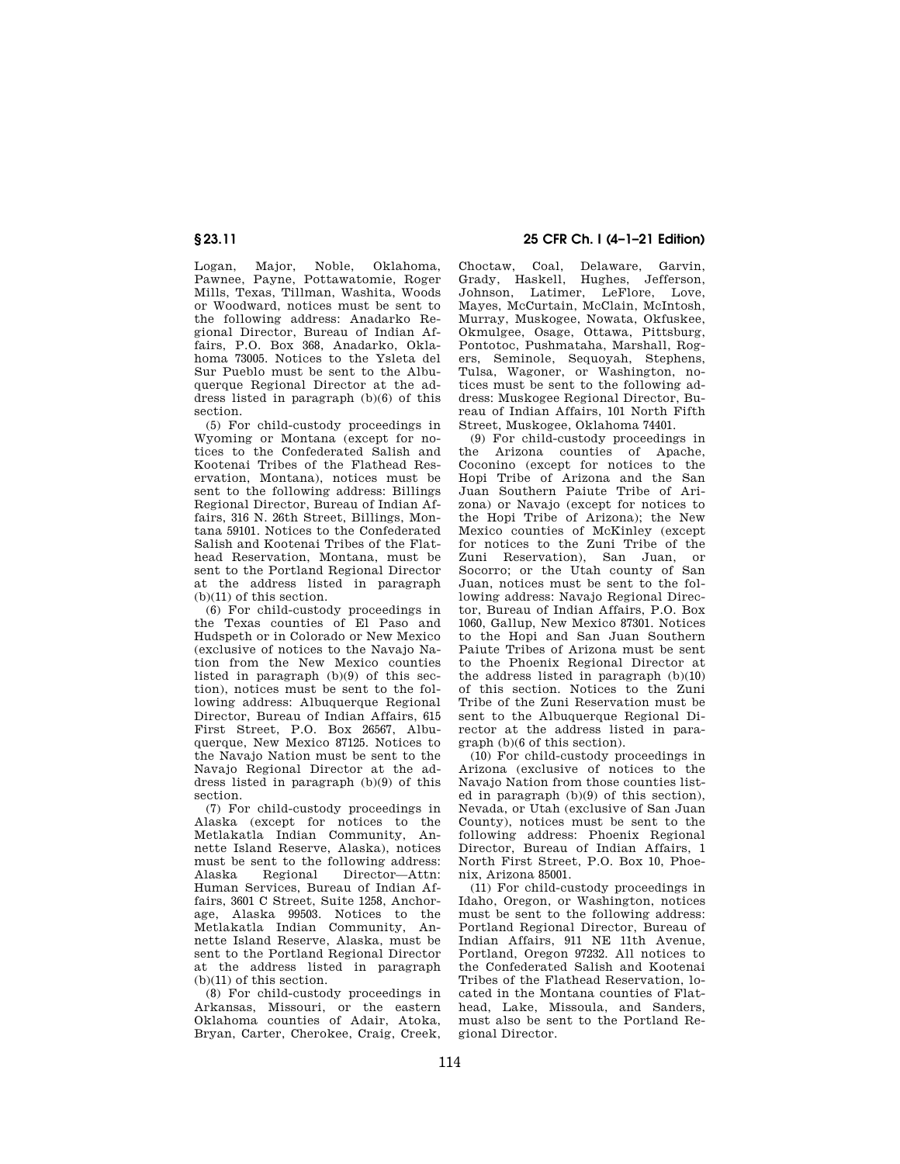Logan, Major, Noble, Oklahoma, Pawnee, Payne, Pottawatomie, Roger Mills, Texas, Tillman, Washita, Woods or Woodward, notices must be sent to the following address: Anadarko Regional Director, Bureau of Indian Affairs, P.O. Box 368, Anadarko, Oklahoma 73005. Notices to the Ysleta del Sur Pueblo must be sent to the Albuquerque Regional Director at the address listed in paragraph (b)(6) of this section.

(5) For child-custody proceedings in Wyoming or Montana (except for notices to the Confederated Salish and Kootenai Tribes of the Flathead Reservation, Montana), notices must be sent to the following address: Billings Regional Director, Bureau of Indian Affairs, 316 N. 26th Street, Billings, Montana 59101. Notices to the Confederated Salish and Kootenai Tribes of the Flathead Reservation, Montana, must be sent to the Portland Regional Director at the address listed in paragraph (b)(11) of this section.

(6) For child-custody proceedings in the Texas counties of El Paso and Hudspeth or in Colorado or New Mexico (exclusive of notices to the Navajo Nation from the New Mexico counties listed in paragraph (b)(9) of this section), notices must be sent to the following address: Albuquerque Regional Director, Bureau of Indian Affairs, 615 First Street, P.O. Box 26567, Albuquerque, New Mexico 87125. Notices to the Navajo Nation must be sent to the Navajo Regional Director at the address listed in paragraph (b)(9) of this section.

(7) For child-custody proceedings in Alaska (except for notices to the Metlakatla Indian Community, Annette Island Reserve, Alaska), notices must be sent to the following address:<br>Alaska Regional Director-Attn: Regional Director—Attn: Human Services, Bureau of Indian Affairs, 3601 C Street, Suite 1258, Anchorage, Alaska 99503. Notices to the Metlakatla Indian Community, Annette Island Reserve, Alaska, must be sent to the Portland Regional Director at the address listed in paragraph (b)(11) of this section.

(8) For child-custody proceedings in Arkansas, Missouri, or the eastern Oklahoma counties of Adair, Atoka, Bryan, Carter, Cherokee, Craig, Creek,

# **§ 23.11 25 CFR Ch. I (4–1–21 Edition)**

Choctaw, Coal, Delaware, Garvin, Grady, Haskell, Hughes, Jefferson, Johnson, Latimer, LeFlore, Love, Mayes, McCurtain, McClain, McIntosh, Murray, Muskogee, Nowata, Okfuskee, Okmulgee, Osage, Ottawa, Pittsburg, Pontotoc, Pushmataha, Marshall, Rogers, Seminole, Sequoyah, Stephens, Tulsa, Wagoner, or Washington, notices must be sent to the following address: Muskogee Regional Director, Bureau of Indian Affairs, 101 North Fifth Street, Muskogee, Oklahoma 74401.

(9) For child-custody proceedings in the Arizona counties of Apache, Coconino (except for notices to the Hopi Tribe of Arizona and the San Juan Southern Paiute Tribe of Arizona) or Navajo (except for notices to the Hopi Tribe of Arizona); the New Mexico counties of McKinley (except for notices to the Zuni Tribe of the Zuni Reservation), San Juan, or Socorro; or the Utah county of San Juan, notices must be sent to the following address: Navajo Regional Director, Bureau of Indian Affairs, P.O. Box 1060, Gallup, New Mexico 87301. Notices to the Hopi and San Juan Southern Paiute Tribes of Arizona must be sent to the Phoenix Regional Director at the address listed in paragraph (b)(10) of this section. Notices to the Zuni Tribe of the Zuni Reservation must be sent to the Albuquerque Regional Director at the address listed in paragraph (b)(6 of this section).

(10) For child-custody proceedings in Arizona (exclusive of notices to the Navajo Nation from those counties listed in paragraph (b)(9) of this section), Nevada, or Utah (exclusive of San Juan County), notices must be sent to the following address: Phoenix Regional Director, Bureau of Indian Affairs, 1 North First Street, P.O. Box 10, Phoenix, Arizona 85001.

(11) For child-custody proceedings in Idaho, Oregon, or Washington, notices must be sent to the following address: Portland Regional Director, Bureau of Indian Affairs, 911 NE 11th Avenue, Portland, Oregon 97232. All notices to the Confederated Salish and Kootenai Tribes of the Flathead Reservation, located in the Montana counties of Flathead, Lake, Missoula, and Sanders, must also be sent to the Portland Regional Director.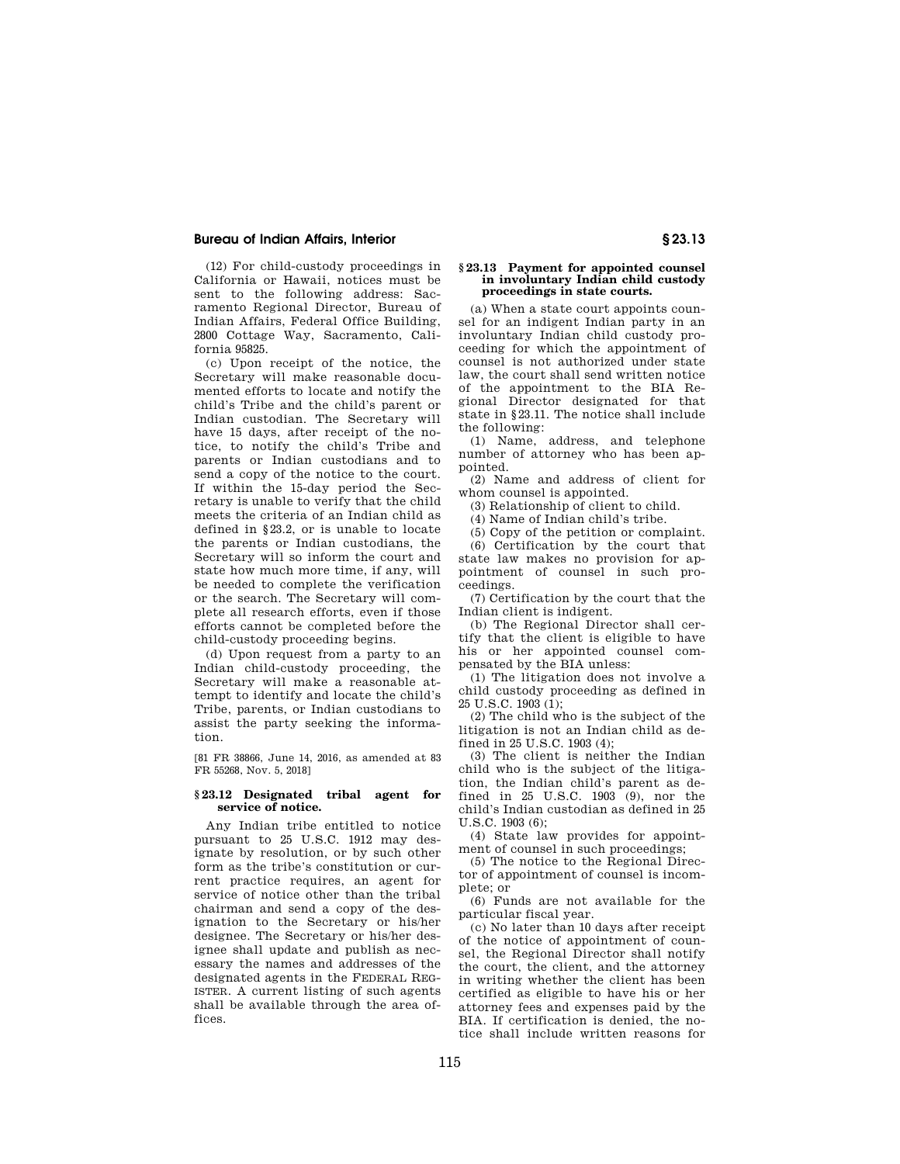(12) For child-custody proceedings in California or Hawaii, notices must be sent to the following address: Sacramento Regional Director, Bureau of Indian Affairs, Federal Office Building, 2800 Cottage Way, Sacramento, California 95825.

(c) Upon receipt of the notice, the Secretary will make reasonable documented efforts to locate and notify the child's Tribe and the child's parent or Indian custodian. The Secretary will have 15 days, after receipt of the notice, to notify the child's Tribe and parents or Indian custodians and to send a copy of the notice to the court. If within the 15-day period the Secretary is unable to verify that the child meets the criteria of an Indian child as defined in §23.2, or is unable to locate the parents or Indian custodians, the Secretary will so inform the court and state how much more time, if any, will be needed to complete the verification or the search. The Secretary will complete all research efforts, even if those efforts cannot be completed before the child-custody proceeding begins.

(d) Upon request from a party to an Indian child-custody proceeding, the Secretary will make a reasonable attempt to identify and locate the child's Tribe, parents, or Indian custodians to assist the party seeking the information.

[81 FR 38866, June 14, 2016, as amended at 83 FR 55268, Nov. 5, 2018]

#### **§ 23.12 Designated tribal agent for service of notice.**

Any Indian tribe entitled to notice pursuant to 25 U.S.C. 1912 may designate by resolution, or by such other form as the tribe's constitution or current practice requires, an agent for service of notice other than the tribal chairman and send a copy of the designation to the Secretary or his/her designee. The Secretary or his/her designee shall update and publish as necessary the names and addresses of the designated agents in the FEDERAL REG-ISTER. A current listing of such agents shall be available through the area offices.

#### **§ 23.13 Payment for appointed counsel in involuntary Indian child custody proceedings in state courts.**

(a) When a state court appoints counsel for an indigent Indian party in an involuntary Indian child custody proceeding for which the appointment of counsel is not authorized under state law, the court shall send written notice of the appointment to the BIA Regional Director designated for that state in §23.11. The notice shall include the following:

(1) Name, address, and telephone number of attorney who has been appointed.

(2) Name and address of client for whom counsel is appointed.

(3) Relationship of client to child.

(4) Name of Indian child's tribe.

(5) Copy of the petition or complaint.

(6) Certification by the court that state law makes no provision for appointment of counsel in such proceedings.

(7) Certification by the court that the Indian client is indigent.

(b) The Regional Director shall certify that the client is eligible to have his or her appointed counsel compensated by the BIA unless:

(1) The litigation does not involve a child custody proceeding as defined in  $25 \text{ U.S.C. } 1903 \text{ (1)}$ :

(2) The child who is the subject of the litigation is not an Indian child as defined in 25 U.S.C. 1903 (4);

(3) The client is neither the Indian child who is the subject of the litigation, the Indian child's parent as defined in 25 U.S.C. 1903 (9), nor the child's Indian custodian as defined in 25 U.S.C. 1903 (6);

(4) State law provides for appointment of counsel in such proceedings;

(5) The notice to the Regional Director of appointment of counsel is incomplete; or

(6) Funds are not available for the particular fiscal year.

(c) No later than 10 days after receipt of the notice of appointment of counsel, the Regional Director shall notify the court, the client, and the attorney in writing whether the client has been certified as eligible to have his or her attorney fees and expenses paid by the BIA. If certification is denied, the notice shall include written reasons for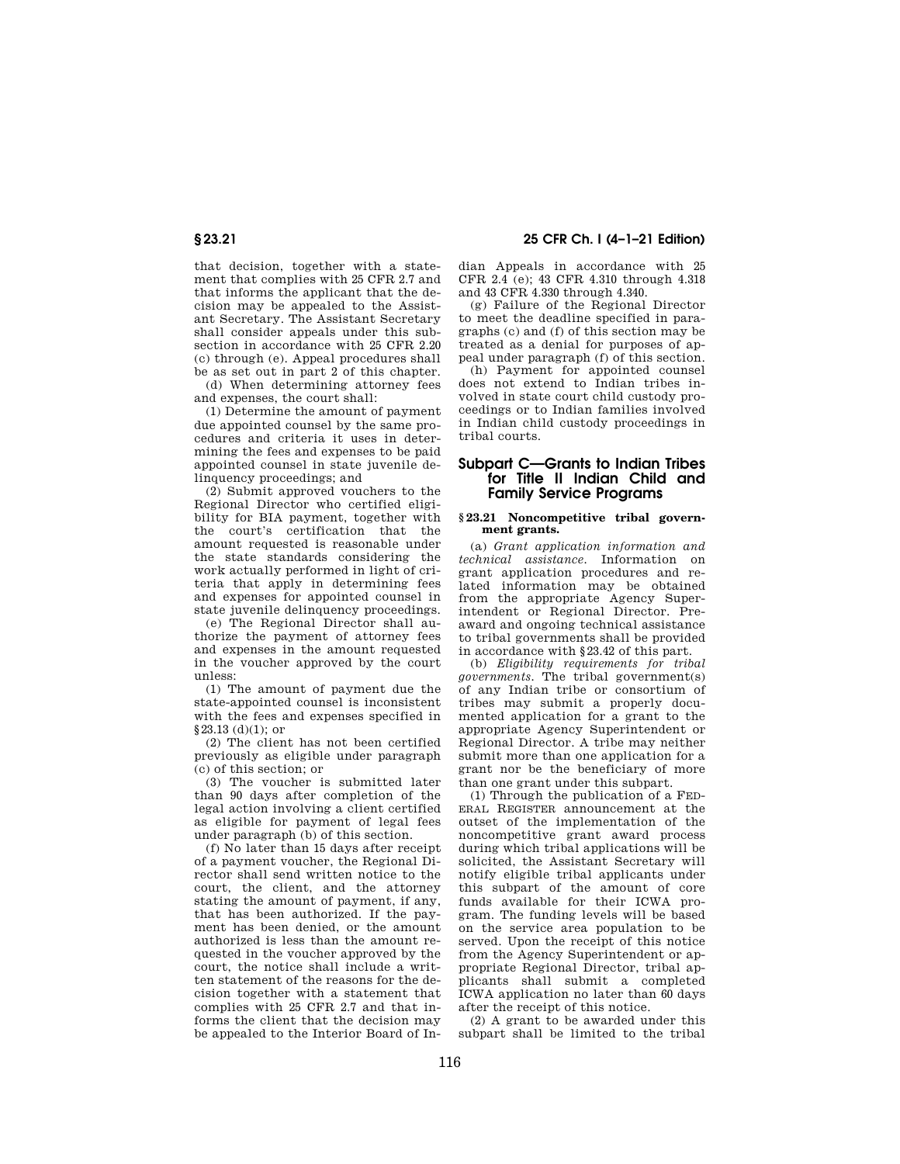that decision, together with a statement that complies with 25 CFR 2.7 and that informs the applicant that the decision may be appealed to the Assistant Secretary. The Assistant Secretary shall consider appeals under this subsection in accordance with 25 CFR 2.20 (c) through (e). Appeal procedures shall be as set out in part 2 of this chapter.

(d) When determining attorney fees and expenses, the court shall:

(1) Determine the amount of payment due appointed counsel by the same procedures and criteria it uses in determining the fees and expenses to be paid appointed counsel in state juvenile delinquency proceedings; and

(2) Submit approved vouchers to the Regional Director who certified eligibility for BIA payment, together with the court's certification that the amount requested is reasonable under the state standards considering the work actually performed in light of criteria that apply in determining fees and expenses for appointed counsel in state juvenile delinquency proceedings.

(e) The Regional Director shall authorize the payment of attorney fees and expenses in the amount requested in the voucher approved by the court unless:

(1) The amount of payment due the state-appointed counsel is inconsistent with the fees and expenses specified in  $§23.13$  (d)(1); or

(2) The client has not been certified previously as eligible under paragraph (c) of this section; or

(3) The voucher is submitted later than 90 days after completion of the legal action involving a client certified as eligible for payment of legal fees under paragraph (b) of this section.

(f) No later than 15 days after receipt of a payment voucher, the Regional Director shall send written notice to the court, the client, and the attorney stating the amount of payment, if any, that has been authorized. If the payment has been denied, or the amount authorized is less than the amount requested in the voucher approved by the court, the notice shall include a written statement of the reasons for the decision together with a statement that complies with 25 CFR 2.7 and that informs the client that the decision may be appealed to the Interior Board of In-

**§ 23.21 25 CFR Ch. I (4–1–21 Edition)** 

dian Appeals in accordance with 25 CFR 2.4 (e); 43 CFR 4.310 through 4.318 and 43 CFR 4.330 through 4.340.

(g) Failure of the Regional Director to meet the deadline specified in paragraphs (c) and (f) of this section may be treated as a denial for purposes of appeal under paragraph (f) of this section.

(h) Payment for appointed counsel does not extend to Indian tribes involved in state court child custody proceedings or to Indian families involved in Indian child custody proceedings in tribal courts.

# **Subpart C—Grants to Indian Tribes for Title II Indian Child and Family Service Programs**

## **§ 23.21 Noncompetitive tribal government grants.**

(a) *Grant application information and technical assistance.* Information on grant application procedures and related information may be obtained from the appropriate Agency Superintendent or Regional Director. Preaward and ongoing technical assistance to tribal governments shall be provided in accordance with §23.42 of this part.

(b) *Eligibility requirements for tribal governments.* The tribal government(s) of any Indian tribe or consortium of tribes may submit a properly documented application for a grant to the appropriate Agency Superintendent or Regional Director. A tribe may neither submit more than one application for a grant nor be the beneficiary of more than one grant under this subpart.

(1) Through the publication of a FED-ERAL REGISTER announcement at the outset of the implementation of the noncompetitive grant award process during which tribal applications will be solicited, the Assistant Secretary will notify eligible tribal applicants under this subpart of the amount of core funds available for their ICWA program. The funding levels will be based on the service area population to be served. Upon the receipt of this notice from the Agency Superintendent or appropriate Regional Director, tribal applicants shall submit a completed ICWA application no later than 60 days after the receipt of this notice.

(2) A grant to be awarded under this subpart shall be limited to the tribal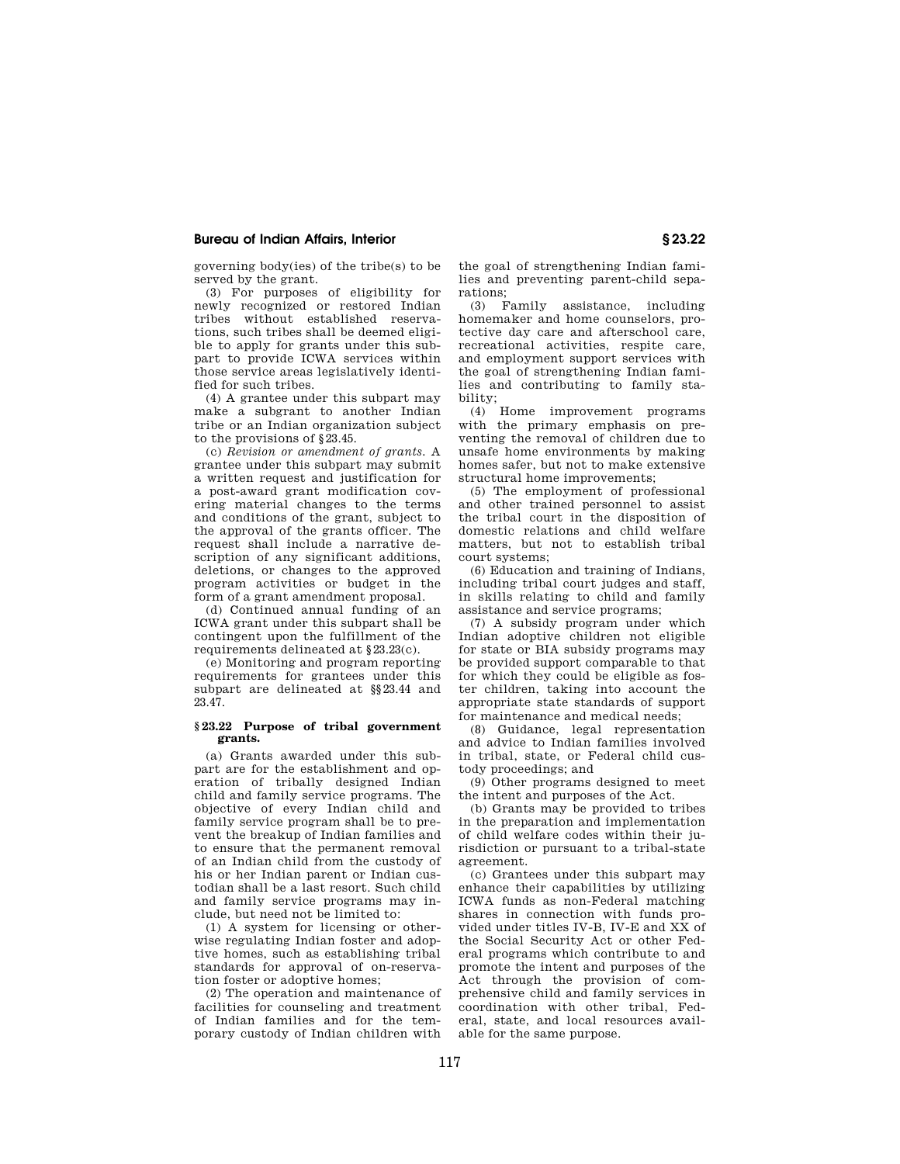governing body(ies) of the tribe(s) to be served by the grant.

(3) For purposes of eligibility for newly recognized or restored Indian tribes without established reservations, such tribes shall be deemed eligible to apply for grants under this subpart to provide ICWA services within those service areas legislatively identified for such tribes.

(4) A grantee under this subpart may make a subgrant to another Indian tribe or an Indian organization subject to the provisions of §23.45.

(c) *Revision or amendment of grants.* A grantee under this subpart may submit a written request and justification for a post-award grant modification covering material changes to the terms and conditions of the grant, subject to the approval of the grants officer. The request shall include a narrative description of any significant additions, deletions, or changes to the approved program activities or budget in the form of a grant amendment proposal.

(d) Continued annual funding of an ICWA grant under this subpart shall be contingent upon the fulfillment of the requirements delineated at §23.23(c).

(e) Monitoring and program reporting requirements for grantees under this subpart are delineated at §§23.44 and 23.47.

## **§ 23.22 Purpose of tribal government grants.**

(a) Grants awarded under this subpart are for the establishment and operation of tribally designed Indian child and family service programs. The objective of every Indian child and family service program shall be to prevent the breakup of Indian families and to ensure that the permanent removal of an Indian child from the custody of his or her Indian parent or Indian custodian shall be a last resort. Such child and family service programs may include, but need not be limited to:

(1) A system for licensing or otherwise regulating Indian foster and adoptive homes, such as establishing tribal standards for approval of on-reservation foster or adoptive homes;

(2) The operation and maintenance of facilities for counseling and treatment of Indian families and for the temporary custody of Indian children with

the goal of strengthening Indian families and preventing parent-child separations;

(3) Family assistance, including homemaker and home counselors, protective day care and afterschool care, recreational activities, respite care, and employment support services with the goal of strengthening Indian families and contributing to family stability;  $(4)$ 

Home improvement programs with the primary emphasis on preventing the removal of children due to unsafe home environments by making homes safer, but not to make extensive structural home improvements;

(5) The employment of professional and other trained personnel to assist the tribal court in the disposition of domestic relations and child welfare matters, but not to establish tribal court systems;

(6) Education and training of Indians, including tribal court judges and staff, in skills relating to child and family assistance and service programs;

(7) A subsidy program under which Indian adoptive children not eligible for state or BIA subsidy programs may be provided support comparable to that for which they could be eligible as foster children, taking into account the appropriate state standards of support for maintenance and medical needs;

(8) Guidance, legal representation and advice to Indian families involved in tribal, state, or Federal child custody proceedings; and

(9) Other programs designed to meet the intent and purposes of the Act.

(b) Grants may be provided to tribes in the preparation and implementation of child welfare codes within their jurisdiction or pursuant to a tribal-state agreement.

(c) Grantees under this subpart may enhance their capabilities by utilizing ICWA funds as non-Federal matching shares in connection with funds provided under titles IV-B, IV-E and XX of the Social Security Act or other Federal programs which contribute to and promote the intent and purposes of the Act through the provision of comprehensive child and family services in coordination with other tribal, Federal, state, and local resources available for the same purpose.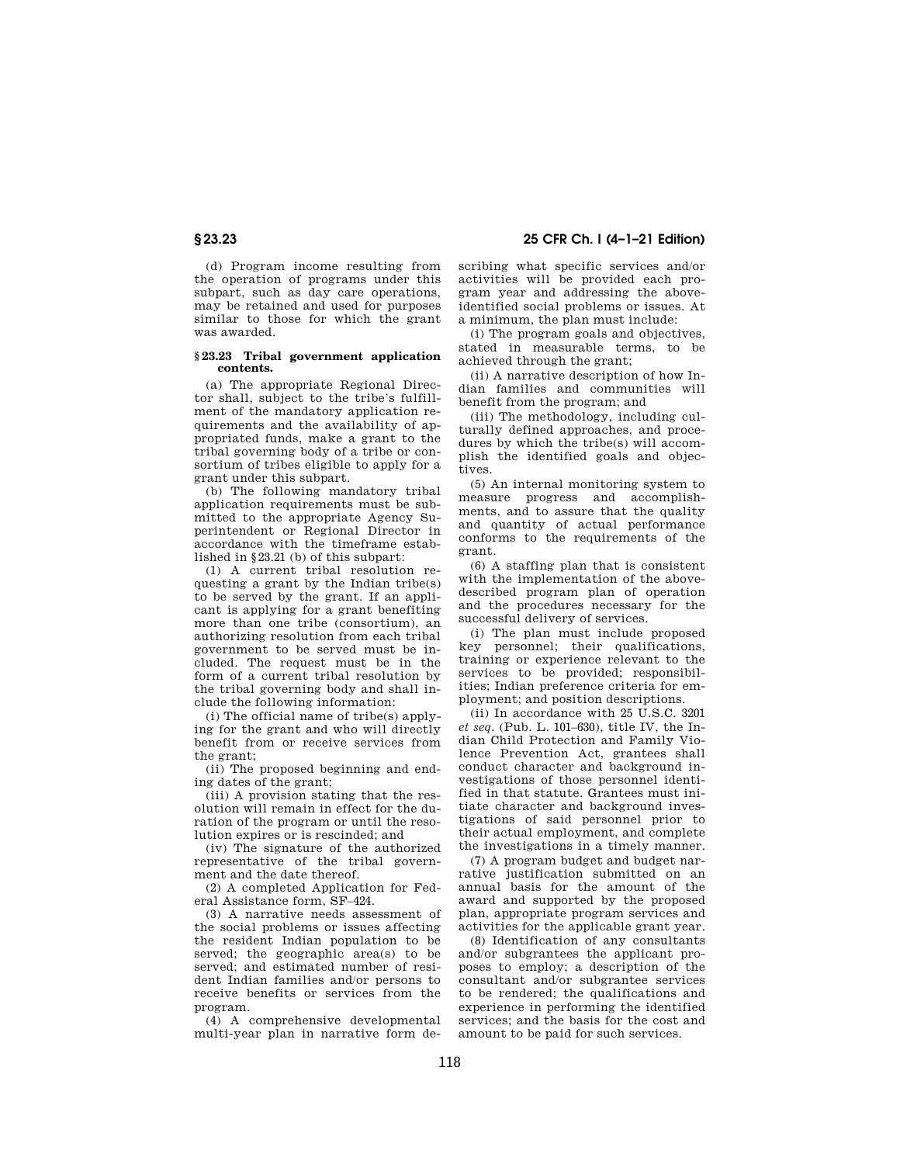# **§ 23.23 25 CFR Ch. I (4–1–21 Edition)**

(d) Program income resulting from the operation of programs under this subpart, such as day care operations, may be retained and used for purposes similar to those for which the grant was awarded.

## **§ 23.23 Tribal government application contents.**

(a) The appropriate Regional Director shall, subject to the tribe's fulfillment of the mandatory application requirements and the availability of appropriated funds, make a grant to the tribal governing body of a tribe or consortium of tribes eligible to apply for a grant under this subpart.

(b) The following mandatory tribal application requirements must be submitted to the appropriate Agency Superintendent or Regional Director in accordance with the timeframe established in §23.21 (b) of this subpart:

(1) A current tribal resolution requesting a grant by the Indian tribe(s) to be served by the grant. If an applicant is applying for a grant benefiting more than one tribe (consortium), an authorizing resolution from each tribal government to be served must be included. The request must be in the form of a current tribal resolution by the tribal governing body and shall include the following information:

(i) The official name of tribe(s) applying for the grant and who will directly benefit from or receive services from the grant;

(ii) The proposed beginning and ending dates of the grant;

(iii) A provision stating that the resolution will remain in effect for the duration of the program or until the resolution expires or is rescinded; and

(iv) The signature of the authorized representative of the tribal government and the date thereof.

(2) A completed Application for Federal Assistance form, SF–424.

(3) A narrative needs assessment of the social problems or issues affecting the resident Indian population to be served; the geographic area(s) to be served; and estimated number of resident Indian families and/or persons to receive benefits or services from the program.

(4) A comprehensive developmental multi-year plan in narrative form describing what specific services and/or activities will be provided each program year and addressing the aboveidentified social problems or issues. At a minimum, the plan must include:

(i) The program goals and objectives, stated in measurable terms, to be achieved through the grant;

(ii) A narrative description of how Indian families and communities will benefit from the program; and

(iii) The methodology, including culturally defined approaches, and procedures by which the tribe(s) will accomplish the identified goals and objectives.

(5) An internal monitoring system to measure progress and accomplishments, and to assure that the quality and quantity of actual performance conforms to the requirements of the grant.

(6) A staffing plan that is consistent with the implementation of the abovedescribed program plan of operation and the procedures necessary for the successful delivery of services.

(i) The plan must include proposed key personnel; their qualifications, training or experience relevant to the services to be provided; responsibilities; Indian preference criteria for employment; and position descriptions.

(ii) In accordance with 25 U.S.C. 3201 *et seq.* (Pub. L. 101–630), title IV, the Indian Child Protection and Family Violence Prevention Act, grantees shall conduct character and background investigations of those personnel identified in that statute. Grantees must initiate character and background investigations of said personnel prior to their actual employment, and complete the investigations in a timely manner.

(7) A program budget and budget narrative justification submitted on an annual basis for the amount of the award and supported by the proposed plan, appropriate program services and activities for the applicable grant year.

(8) Identification of any consultants and/or subgrantees the applicant proposes to employ; a description of the consultant and/or subgrantee services to be rendered; the qualifications and experience in performing the identified services; and the basis for the cost and amount to be paid for such services.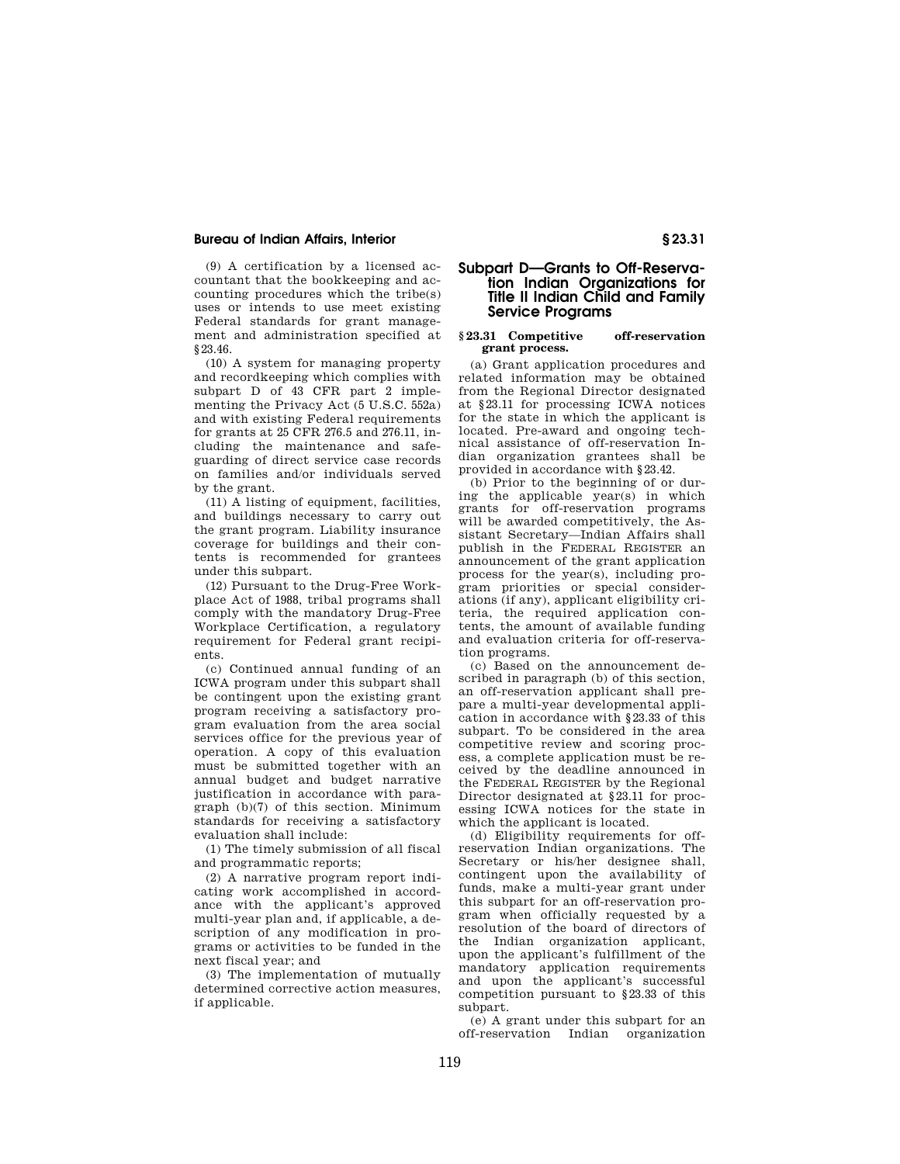(9) A certification by a licensed accountant that the bookkeeping and accounting procedures which the tribe(s) uses or intends to use meet existing Federal standards for grant management and administration specified at §23.46.

(10) A system for managing property and recordkeeping which complies with subpart D of 43 CFR part 2 implementing the Privacy Act (5 U.S.C. 552a) and with existing Federal requirements for grants at 25 CFR 276.5 and 276.11, including the maintenance and safeguarding of direct service case records on families and/or individuals served by the grant.

(11) A listing of equipment, facilities, and buildings necessary to carry out the grant program. Liability insurance coverage for buildings and their contents is recommended for grantees under this subpart.

(12) Pursuant to the Drug-Free Workplace Act of 1988, tribal programs shall comply with the mandatory Drug-Free Workplace Certification, a regulatory requirement for Federal grant recipients.

(c) Continued annual funding of an ICWA program under this subpart shall be contingent upon the existing grant program receiving a satisfactory program evaluation from the area social services office for the previous year of operation. A copy of this evaluation must be submitted together with an annual budget and budget narrative justification in accordance with paragraph (b)(7) of this section. Minimum standards for receiving a satisfactory evaluation shall include:

(1) The timely submission of all fiscal and programmatic reports;

(2) A narrative program report indicating work accomplished in accordance with the applicant's approved multi-year plan and, if applicable, a description of any modification in programs or activities to be funded in the next fiscal year; and

(3) The implementation of mutually determined corrective action measures, if applicable.

# **Subpart D—Grants to Off-Reservation Indian Organizations for Title II Indian Child and Family Service Programs**

## **§ 23.31 Competitive off-reservation grant process.**

(a) Grant application procedures and related information may be obtained from the Regional Director designated at §23.11 for processing ICWA notices for the state in which the applicant is located. Pre-award and ongoing technical assistance of off-reservation Indian organization grantees shall be provided in accordance with §23.42.

(b) Prior to the beginning of or during the applicable year(s) in which grants for off-reservation programs will be awarded competitively, the Assistant Secretary—Indian Affairs shall publish in the FEDERAL REGISTER an announcement of the grant application process for the year(s), including program priorities or special considerations (if any), applicant eligibility criteria, the required application contents, the amount of available funding and evaluation criteria for off-reservation programs.

(c) Based on the announcement described in paragraph (b) of this section, an off-reservation applicant shall prepare a multi-year developmental application in accordance with §23.33 of this subpart. To be considered in the area competitive review and scoring process, a complete application must be received by the deadline announced in the FEDERAL REGISTER by the Regional Director designated at §23.11 for processing ICWA notices for the state in which the applicant is located.

(d) Eligibility requirements for offreservation Indian organizations. The Secretary or his/her designee shall, contingent upon the availability of funds, make a multi-year grant under this subpart for an off-reservation program when officially requested by a resolution of the board of directors of the Indian organization applicant, upon the applicant's fulfillment of the mandatory application requirements and upon the applicant's successful competition pursuant to §23.33 of this subpart.

(e) A grant under this subpart for an off-reservation Indian organization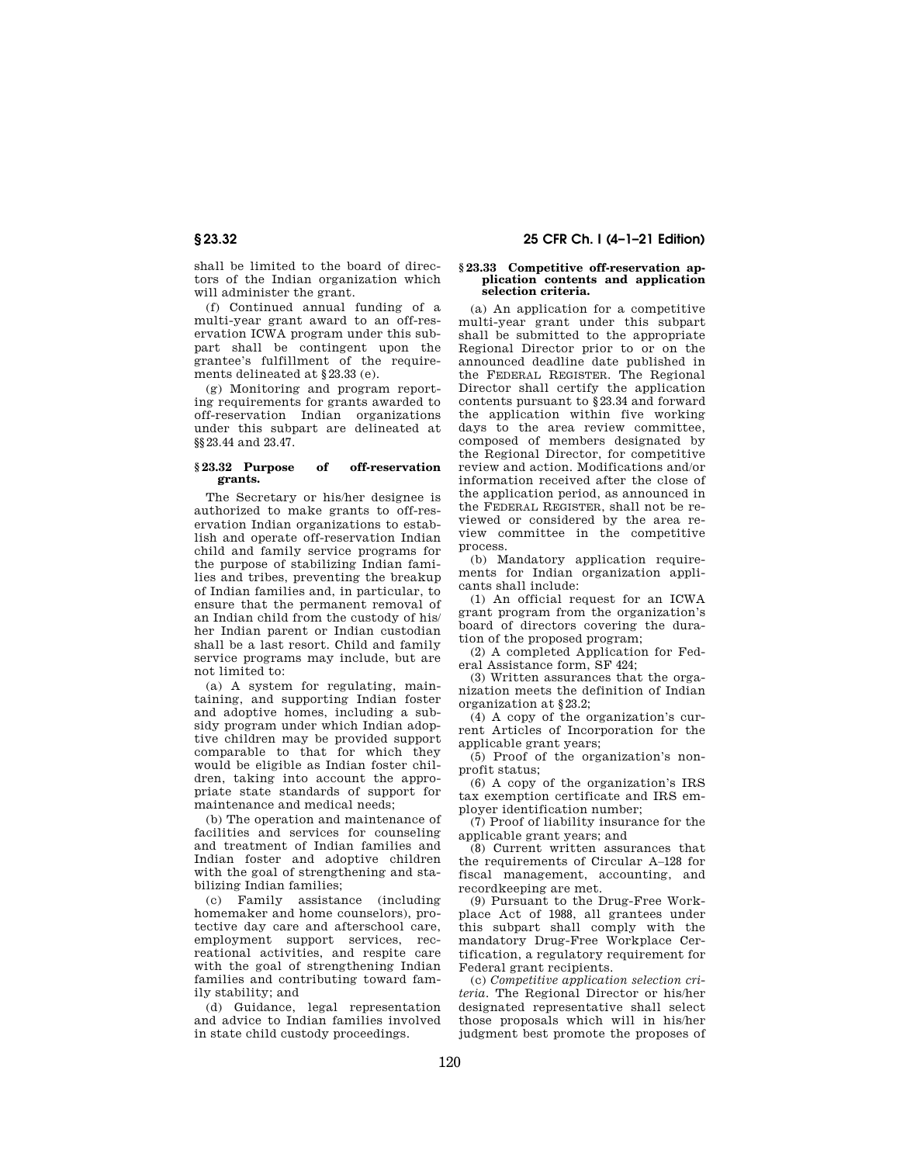shall be limited to the board of directors of the Indian organization which will administer the grant.

(f) Continued annual funding of a multi-year grant award to an off-reservation ICWA program under this subpart shall be contingent upon the grantee's fulfillment of the requirements delineated at §23.33 (e).

(g) Monitoring and program reporting requirements for grants awarded to off-reservation Indian organizations under this subpart are delineated at §§23.44 and 23.47.

## **§ 23.32 Purpose of off-reservation grants.**

The Secretary or his/her designee is authorized to make grants to off-reservation Indian organizations to establish and operate off-reservation Indian child and family service programs for the purpose of stabilizing Indian families and tribes, preventing the breakup of Indian families and, in particular, to ensure that the permanent removal of an Indian child from the custody of his/ her Indian parent or Indian custodian shall be a last resort. Child and family service programs may include, but are not limited to:

(a) A system for regulating, maintaining, and supporting Indian foster and adoptive homes, including a subsidy program under which Indian adoptive children may be provided support comparable to that for which they would be eligible as Indian foster children, taking into account the appropriate state standards of support for maintenance and medical needs;

(b) The operation and maintenance of facilities and services for counseling and treatment of Indian families and Indian foster and adoptive children with the goal of strengthening and stabilizing Indian families;

(c) Family assistance (including homemaker and home counselors), protective day care and afterschool care, employment support services, recreational activities, and respite care with the goal of strengthening Indian families and contributing toward family stability; and

(d) Guidance, legal representation and advice to Indian families involved in state child custody proceedings.

# **§ 23.32 25 CFR Ch. I (4–1–21 Edition)**

#### **§ 23.33 Competitive off-reservation application contents and application selection criteria.**

(a) An application for a competitive multi-year grant under this subpart shall be submitted to the appropriate Regional Director prior to or on the announced deadline date published in the FEDERAL REGISTER. The Regional Director shall certify the application contents pursuant to §23.34 and forward the application within five working days to the area review committee, composed of members designated by the Regional Director, for competitive review and action. Modifications and/or information received after the close of the application period, as announced in the FEDERAL REGISTER, shall not be reviewed or considered by the area review committee in the competitive process.

(b) Mandatory application requirements for Indian organization applicants shall include:

(1) An official request for an ICWA grant program from the organization's board of directors covering the duration of the proposed program;

(2) A completed Application for Federal Assistance form, SF 424;

(3) Written assurances that the organization meets the definition of Indian organization at §23.2;

(4) A copy of the organization's current Articles of Incorporation for the applicable grant years;

(5) Proof of the organization's nonprofit status;

(6) A copy of the organization's IRS tax exemption certificate and IRS employer identification number;

(7) Proof of liability insurance for the applicable grant years; and

(8) Current written assurances that the requirements of Circular A–128 for fiscal management, accounting, and recordkeeping are met.

(9) Pursuant to the Drug-Free Workplace Act of 1988, all grantees under this subpart shall comply with the mandatory Drug-Free Workplace Certification, a regulatory requirement for Federal grant recipients.

(c) *Competitive application selection criteria.* The Regional Director or his/her designated representative shall select those proposals which will in his/her judgment best promote the proposes of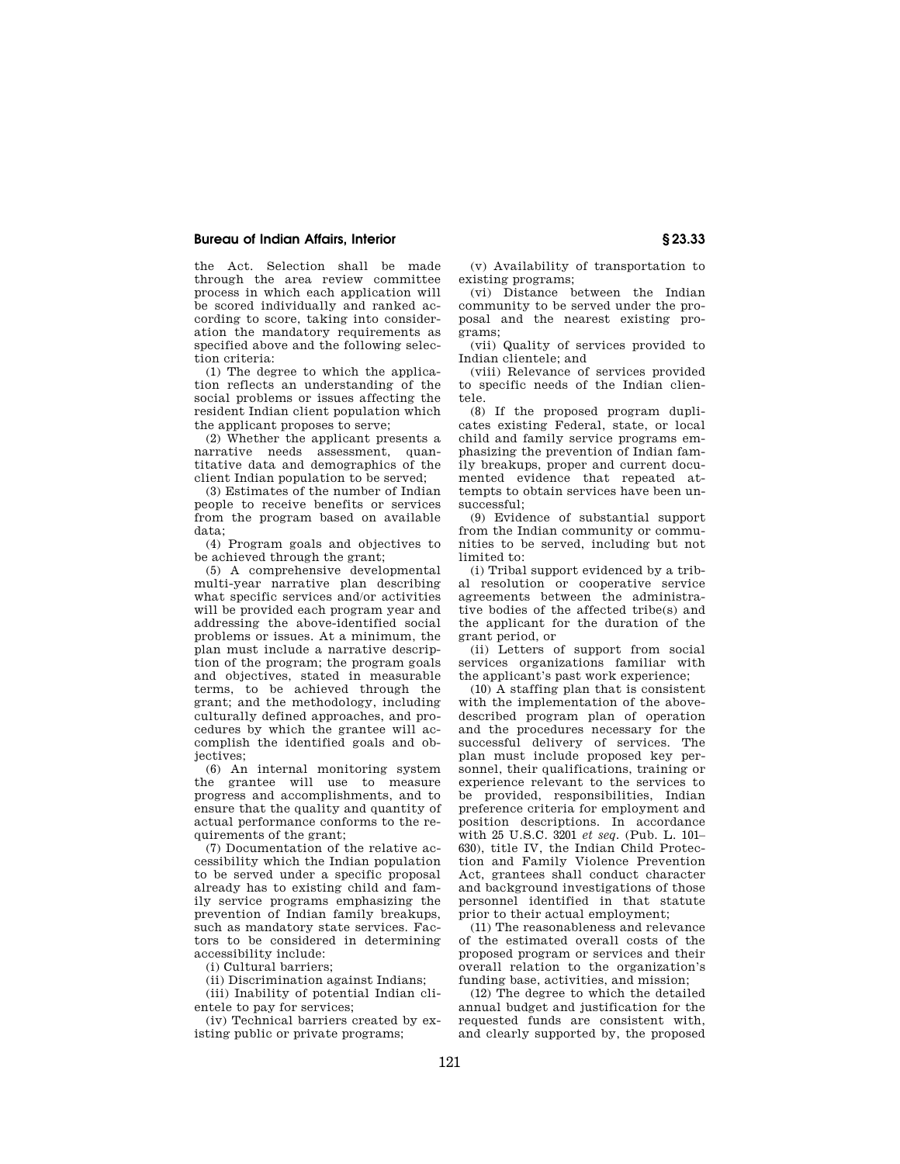the Act. Selection shall be made through the area review committee process in which each application will be scored individually and ranked according to score, taking into consideration the mandatory requirements as specified above and the following selection criteria:

(1) The degree to which the application reflects an understanding of the social problems or issues affecting the resident Indian client population which the applicant proposes to serve;

(2) Whether the applicant presents a narrative needs assessment, quantitative data and demographics of the client Indian population to be served;

(3) Estimates of the number of Indian people to receive benefits or services from the program based on available data;

(4) Program goals and objectives to be achieved through the grant;

(5) A comprehensive developmental multi-year narrative plan describing what specific services and/or activities will be provided each program year and addressing the above-identified social problems or issues. At a minimum, the plan must include a narrative description of the program; the program goals and objectives, stated in measurable terms, to be achieved through the grant; and the methodology, including culturally defined approaches, and procedures by which the grantee will accomplish the identified goals and objectives;

(6) An internal monitoring system the grantee will use to measure progress and accomplishments, and to ensure that the quality and quantity of actual performance conforms to the requirements of the grant;

(7) Documentation of the relative accessibility which the Indian population to be served under a specific proposal already has to existing child and family service programs emphasizing the prevention of Indian family breakups, such as mandatory state services. Factors to be considered in determining accessibility include:

(i) Cultural barriers;

(ii) Discrimination against Indians;

(iii) Inability of potential Indian clientele to pay for services;

(iv) Technical barriers created by existing public or private programs;

(v) Availability of transportation to existing programs;

(vi) Distance between the Indian community to be served under the proposal and the nearest existing programs;

(vii) Quality of services provided to Indian clientele; and

(viii) Relevance of services provided to specific needs of the Indian clientele.

(8) If the proposed program duplicates existing Federal, state, or local child and family service programs emphasizing the prevention of Indian family breakups, proper and current documented evidence that repeated attempts to obtain services have been unsuccessful;

(9) Evidence of substantial support from the Indian community or communities to be served, including but not limited to:

(i) Tribal support evidenced by a tribal resolution or cooperative service agreements between the administrative bodies of the affected tribe(s) and the applicant for the duration of the grant period, or

(ii) Letters of support from social services organizations familiar with the applicant's past work experience;

(10) A staffing plan that is consistent with the implementation of the abovedescribed program plan of operation and the procedures necessary for the successful delivery of services. The plan must include proposed key personnel, their qualifications, training or experience relevant to the services to be provided, responsibilities, Indian preference criteria for employment and position descriptions. In accordance with 25 U.S.C. 3201 *et seq.* (Pub. L. 101– 630), title IV, the Indian Child Protection and Family Violence Prevention Act, grantees shall conduct character and background investigations of those personnel identified in that statute prior to their actual employment;

(11) The reasonableness and relevance of the estimated overall costs of the proposed program or services and their overall relation to the organization's funding base, activities, and mission;

(12) The degree to which the detailed annual budget and justification for the requested funds are consistent with, and clearly supported by, the proposed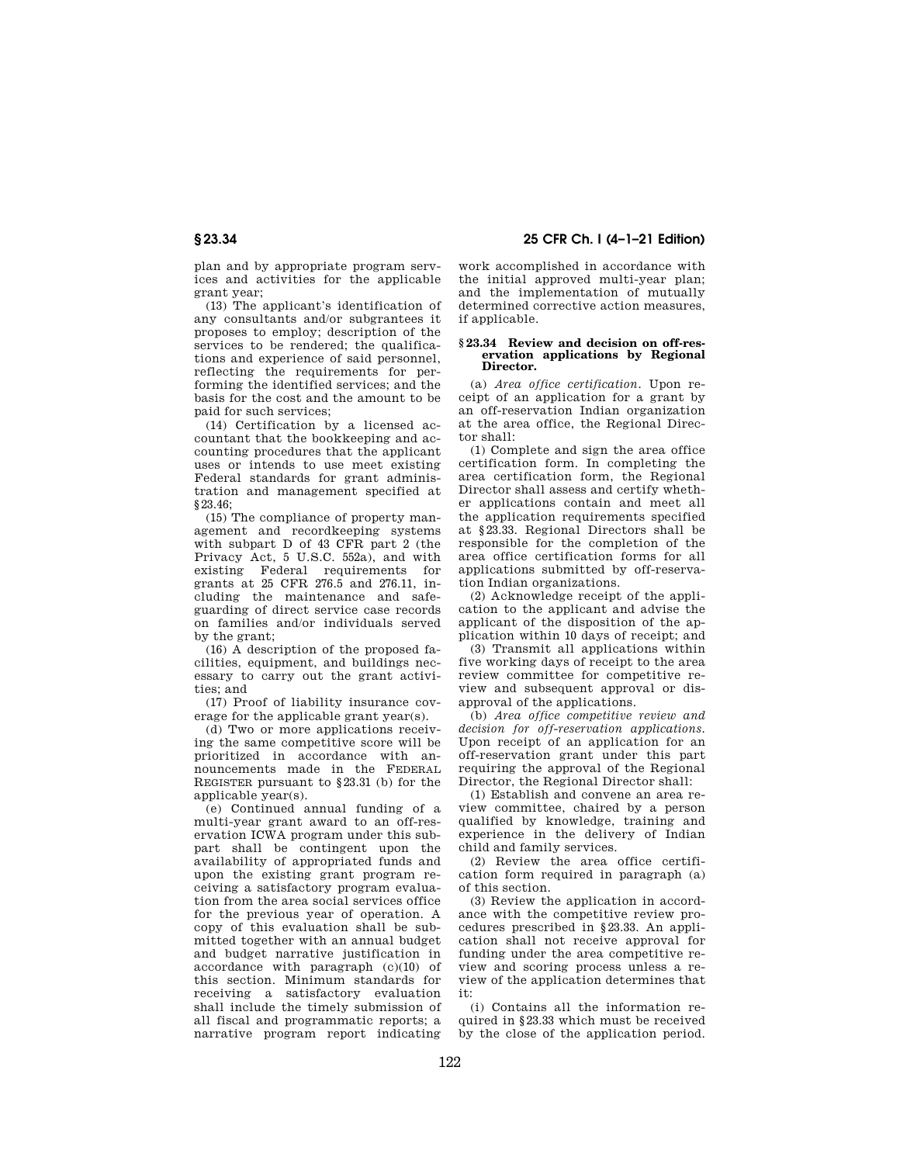plan and by appropriate program services and activities for the applicable grant year;

(13) The applicant's identification of any consultants and/or subgrantees it proposes to employ; description of the services to be rendered; the qualifications and experience of said personnel, reflecting the requirements for performing the identified services; and the basis for the cost and the amount to be paid for such services;

(14) Certification by a licensed accountant that the bookkeeping and accounting procedures that the applicant uses or intends to use meet existing Federal standards for grant administration and management specified at §23.46;

(15) The compliance of property management and recordkeeping systems with subpart D of 43 CFR part 2 (the Privacy Act, 5 U.S.C. 552a), and with existing Federal requirements for grants at 25 CFR 276.5 and 276.11, including the maintenance and safeguarding of direct service case records on families and/or individuals served by the grant;

(16) A description of the proposed facilities, equipment, and buildings necessary to carry out the grant activities; and

(17) Proof of liability insurance coverage for the applicable grant year(s).

(d) Two or more applications receiving the same competitive score will be prioritized in accordance with announcements made in the FEDERAL REGISTER pursuant to §23.31 (b) for the applicable year(s).

(e) Continued annual funding of a multi-year grant award to an off-reservation ICWA program under this subpart shall be contingent upon the availability of appropriated funds and upon the existing grant program receiving a satisfactory program evaluation from the area social services office for the previous year of operation. A copy of this evaluation shall be submitted together with an annual budget and budget narrative justification in accordance with paragraph (c)(10) of this section. Minimum standards for receiving a satisfactory evaluation shall include the timely submission of all fiscal and programmatic reports; a narrative program report indicating

**§ 23.34 25 CFR Ch. I (4–1–21 Edition)** 

work accomplished in accordance with the initial approved multi-year plan; and the implementation of mutually determined corrective action measures, if applicable.

#### **§ 23.34 Review and decision on off-reservation applications by Regional Director.**

(a) *Area office certification.* Upon receipt of an application for a grant by an off-reservation Indian organization at the area office, the Regional Director shall:

(1) Complete and sign the area office certification form. In completing the area certification form, the Regional Director shall assess and certify whether applications contain and meet all the application requirements specified at §23.33. Regional Directors shall be responsible for the completion of the area office certification forms for all applications submitted by off-reservation Indian organizations.

(2) Acknowledge receipt of the application to the applicant and advise the applicant of the disposition of the application within 10 days of receipt; and

(3) Transmit all applications within five working days of receipt to the area review committee for competitive review and subsequent approval or disapproval of the applications.

(b) *Area office competitive review and decision for off-reservation applications.*  Upon receipt of an application for an off-reservation grant under this part requiring the approval of the Regional Director, the Regional Director shall:

(1) Establish and convene an area review committee, chaired by a person qualified by knowledge, training and experience in the delivery of Indian child and family services.

(2) Review the area office certification form required in paragraph (a) of this section.

(3) Review the application in accordance with the competitive review procedures prescribed in §23.33. An application shall not receive approval for funding under the area competitive review and scoring process unless a review of the application determines that it:

(i) Contains all the information required in §23.33 which must be received by the close of the application period.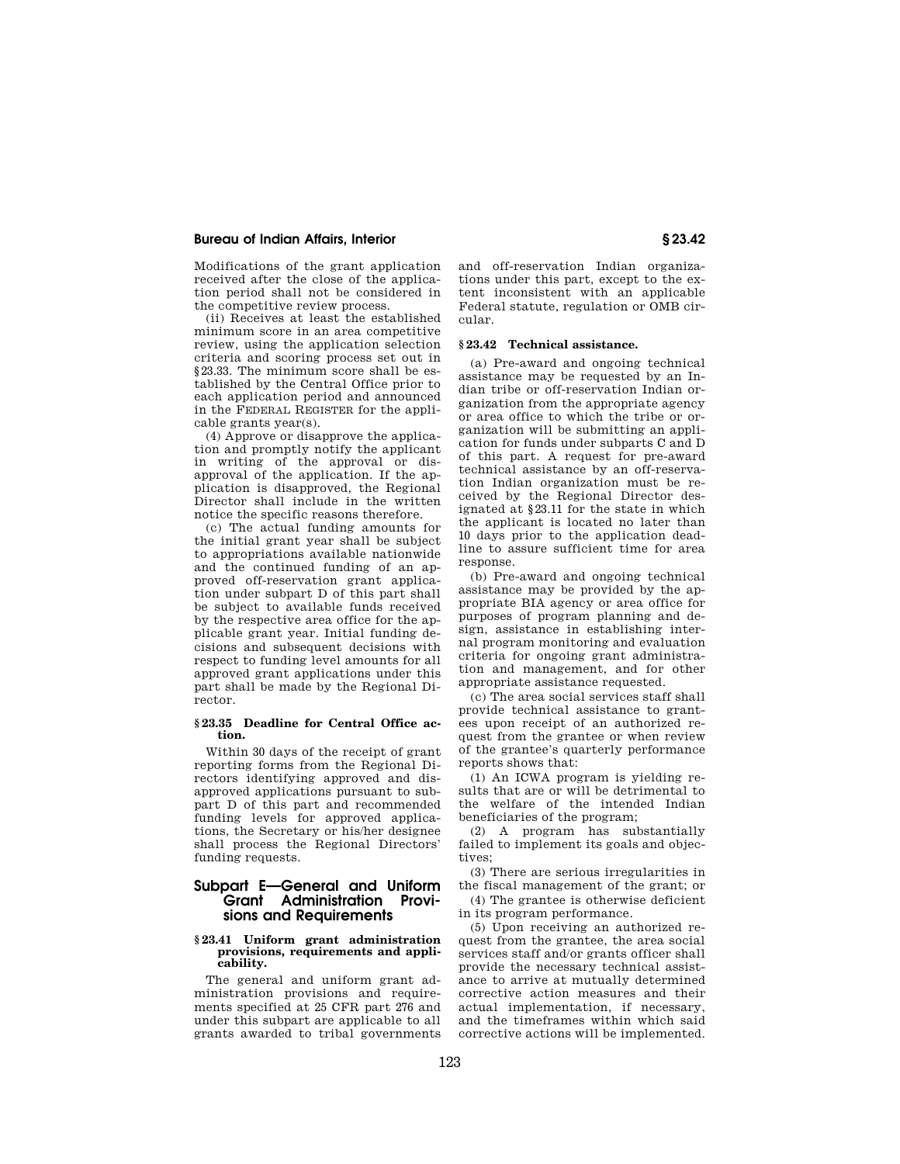Modifications of the grant application received after the close of the application period shall not be considered in the competitive review process.

(ii) Receives at least the established minimum score in an area competitive review, using the application selection criteria and scoring process set out in §23.33. The minimum score shall be established by the Central Office prior to each application period and announced in the FEDERAL REGISTER for the applicable grants year(s).

(4) Approve or disapprove the application and promptly notify the applicant in writing of the approval or disapproval of the application. If the application is disapproved, the Regional Director shall include in the written notice the specific reasons therefore.

(c) The actual funding amounts for the initial grant year shall be subject to appropriations available nationwide and the continued funding of an approved off-reservation grant application under subpart D of this part shall be subject to available funds received by the respective area office for the applicable grant year. Initial funding decisions and subsequent decisions with respect to funding level amounts for all approved grant applications under this part shall be made by the Regional Director.

#### **§ 23.35 Deadline for Central Office action.**

Within 30 days of the receipt of grant reporting forms from the Regional Directors identifying approved and disapproved applications pursuant to subpart D of this part and recommended funding levels for approved applications, the Secretary or his/her designee shall process the Regional Directors' funding requests.

# **Subpart E—General and Uniform Grant Administration Provisions and Requirements**

#### **§ 23.41 Uniform grant administration provisions, requirements and applicability.**

The general and uniform grant administration provisions and requirements specified at 25 CFR part 276 and under this subpart are applicable to all grants awarded to tribal governments and off-reservation Indian organizations under this part, except to the extent inconsistent with an applicable Federal statute, regulation or OMB circular.

## **§ 23.42 Technical assistance.**

(a) Pre-award and ongoing technical assistance may be requested by an Indian tribe or off-reservation Indian organization from the appropriate agency or area office to which the tribe or organization will be submitting an application for funds under subparts C and D of this part. A request for pre-award technical assistance by an off-reservation Indian organization must be received by the Regional Director designated at §23.11 for the state in which the applicant is located no later than 10 days prior to the application deadline to assure sufficient time for area response.

(b) Pre-award and ongoing technical assistance may be provided by the appropriate BIA agency or area office for purposes of program planning and design, assistance in establishing internal program monitoring and evaluation criteria for ongoing grant administration and management, and for other appropriate assistance requested.

(c) The area social services staff shall provide technical assistance to grantees upon receipt of an authorized request from the grantee or when review of the grantee's quarterly performance reports shows that:

(1) An ICWA program is yielding results that are or will be detrimental to the welfare of the intended Indian beneficiaries of the program;

(2) A program has substantially failed to implement its goals and objectives;

(3) There are serious irregularities in the fiscal management of the grant; or

(4) The grantee is otherwise deficient in its program performance.

(5) Upon receiving an authorized request from the grantee, the area social services staff and/or grants officer shall provide the necessary technical assistance to arrive at mutually determined corrective action measures and their actual implementation, if necessary, and the timeframes within which said corrective actions will be implemented.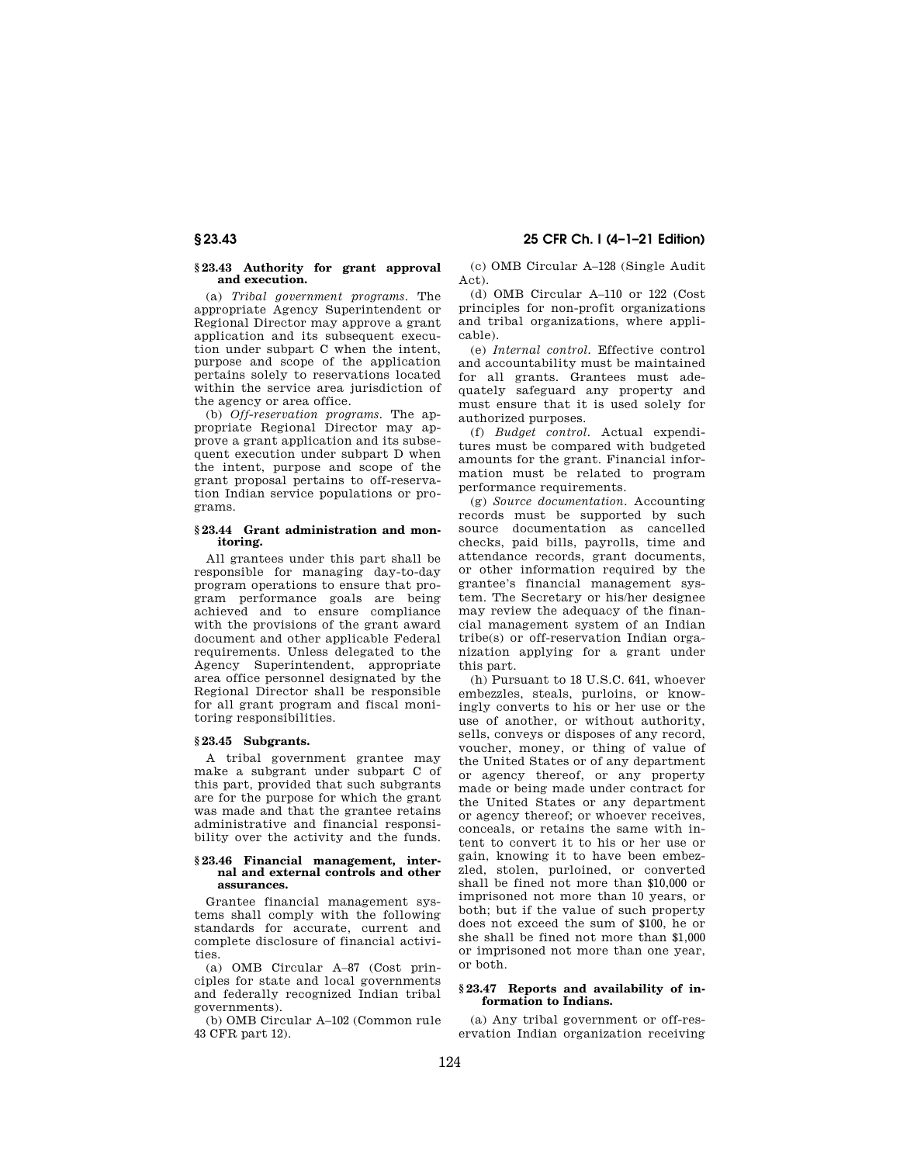# **§ 23.43 25 CFR Ch. I (4–1–21 Edition)**

## **§ 23.43 Authority for grant approval and execution.**

(a) *Tribal government programs.* The appropriate Agency Superintendent or Regional Director may approve a grant application and its subsequent execution under subpart C when the intent, purpose and scope of the application pertains solely to reservations located within the service area jurisdiction of the agency or area office.

(b) *Off-reservation programs.* The appropriate Regional Director may approve a grant application and its subsequent execution under subpart D when the intent, purpose and scope of the grant proposal pertains to off-reservation Indian service populations or programs.

## **§ 23.44 Grant administration and monitoring.**

All grantees under this part shall be responsible for managing day-to-day program operations to ensure that program performance goals are being achieved and to ensure compliance with the provisions of the grant award document and other applicable Federal requirements. Unless delegated to the Agency Superintendent, appropriate area office personnel designated by the Regional Director shall be responsible for all grant program and fiscal monitoring responsibilities.

# **§ 23.45 Subgrants.**

A tribal government grantee may make a subgrant under subpart C of this part, provided that such subgrants are for the purpose for which the grant was made and that the grantee retains administrative and financial responsibility over the activity and the funds.

#### **§ 23.46 Financial management, internal and external controls and other assurances.**

Grantee financial management systems shall comply with the following standards for accurate, current and complete disclosure of financial activities.

(a) OMB Circular A–87 (Cost principles for state and local governments and federally recognized Indian tribal governments).

(b) OMB Circular A–102 (Common rule 43 CFR part 12).

(c) OMB Circular A–128 (Single Audit Act).

(d) OMB Circular A–110 or 122 (Cost principles for non-profit organizations and tribal organizations, where applicable).

(e) *Internal control.* Effective control and accountability must be maintained for all grants. Grantees must adequately safeguard any property and must ensure that it is used solely for authorized purposes.

(f) *Budget control.* Actual expenditures must be compared with budgeted amounts for the grant. Financial information must be related to program performance requirements.

(g) *Source documentation.* Accounting records must be supported by such source documentation as cancelled checks, paid bills, payrolls, time and attendance records, grant documents, or other information required by the grantee's financial management system. The Secretary or his/her designee may review the adequacy of the financial management system of an Indian tribe(s) or off-reservation Indian organization applying for a grant under this part.

(h) Pursuant to 18 U.S.C. 641, whoever embezzles, steals, purloins, or knowingly converts to his or her use or the use of another, or without authority, sells, conveys or disposes of any record, voucher, money, or thing of value of the United States or of any department or agency thereof, or any property made or being made under contract for the United States or any department or agency thereof; or whoever receives, conceals, or retains the same with intent to convert it to his or her use or gain, knowing it to have been embezzled, stolen, purloined, or converted shall be fined not more than \$10,000 or imprisoned not more than 10 years, or both; but if the value of such property does not exceed the sum of \$100, he or she shall be fined not more than \$1,000 or imprisoned not more than one year, or both.

## **§ 23.47 Reports and availability of information to Indians.**

(a) Any tribal government or off-reservation Indian organization receiving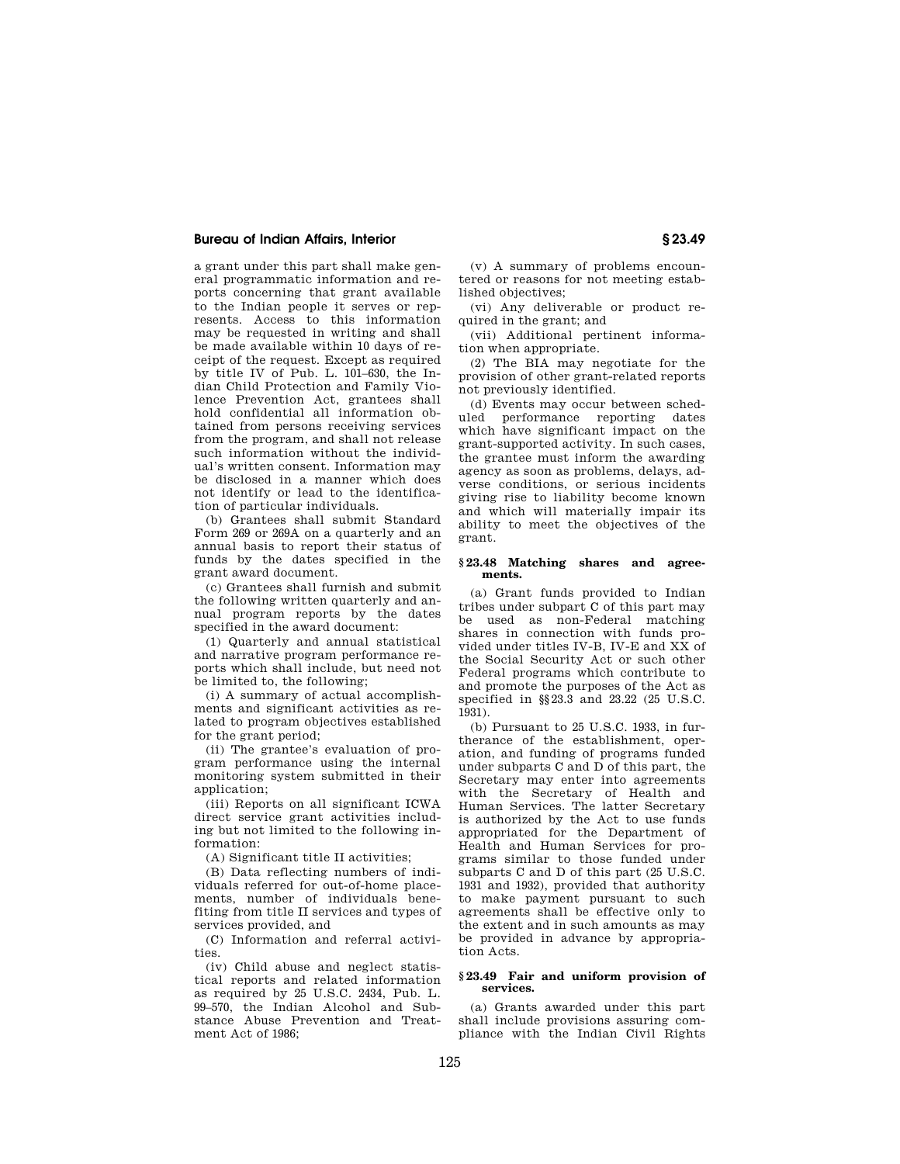a grant under this part shall make general programmatic information and reports concerning that grant available to the Indian people it serves or represents. Access to this information may be requested in writing and shall be made available within 10 days of receipt of the request. Except as required by title IV of Pub. L. 101–630, the Indian Child Protection and Family Violence Prevention Act, grantees shall hold confidential all information obtained from persons receiving services from the program, and shall not release such information without the individual's written consent. Information may be disclosed in a manner which does not identify or lead to the identification of particular individuals.

(b) Grantees shall submit Standard Form 269 or 269A on a quarterly and an annual basis to report their status of funds by the dates specified in the grant award document.

(c) Grantees shall furnish and submit the following written quarterly and annual program reports by the dates specified in the award document:

(1) Quarterly and annual statistical and narrative program performance reports which shall include, but need not be limited to, the following;

(i) A summary of actual accomplishments and significant activities as related to program objectives established for the grant period;

(ii) The grantee's evaluation of program performance using the internal monitoring system submitted in their application;

(iii) Reports on all significant ICWA direct service grant activities including but not limited to the following information:

(A) Significant title II activities;

(B) Data reflecting numbers of individuals referred for out-of-home placements, number of individuals benefiting from title II services and types of services provided, and

(C) Information and referral activities.

(iv) Child abuse and neglect statistical reports and related information as required by 25 U.S.C. 2434, Pub. L. 99–570, the Indian Alcohol and Substance Abuse Prevention and Treatment Act of 1986;

(v) A summary of problems encountered or reasons for not meeting established objectives;

(vi) Any deliverable or product required in the grant; and

(vii) Additional pertinent information when appropriate.

(2) The BIA may negotiate for the provision of other grant-related reports not previously identified.

(d) Events may occur between scheduled performance reporting dates which have significant impact on the grant-supported activity. In such cases, the grantee must inform the awarding agency as soon as problems, delays, adverse conditions, or serious incidents giving rise to liability become known and which will materially impair its ability to meet the objectives of the grant.

## **§ 23.48 Matching shares and agreements.**

(a) Grant funds provided to Indian tribes under subpart C of this part may be used as non-Federal matching shares in connection with funds provided under titles IV-B, IV-E and XX of the Social Security Act or such other Federal programs which contribute to and promote the purposes of the Act as specified in §§23.3 and 23.22 (25 U.S.C. 1931).

(b) Pursuant to 25 U.S.C. 1933, in furtherance of the establishment, operation, and funding of programs funded under subparts C and D of this part, the Secretary may enter into agreements with the Secretary of Health and Human Services. The latter Secretary is authorized by the Act to use funds appropriated for the Department of Health and Human Services for programs similar to those funded under subparts C and D of this part (25 U.S.C. 1931 and 1932), provided that authority to make payment pursuant to such agreements shall be effective only to the extent and in such amounts as may be provided in advance by appropriation Acts.

#### **§ 23.49 Fair and uniform provision of services.**

(a) Grants awarded under this part shall include provisions assuring compliance with the Indian Civil Rights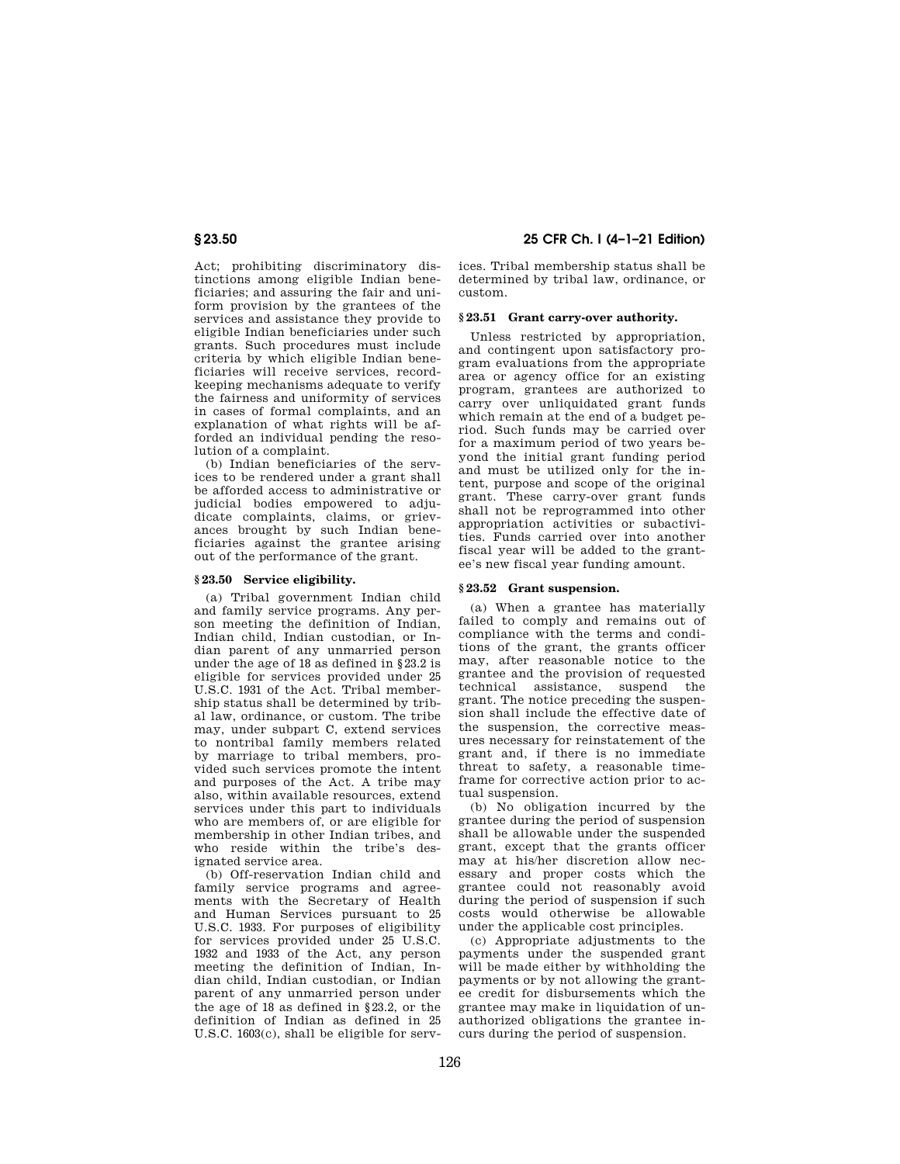Act; prohibiting discriminatory distinctions among eligible Indian beneficiaries; and assuring the fair and uniform provision by the grantees of the services and assistance they provide to eligible Indian beneficiaries under such grants. Such procedures must include criteria by which eligible Indian beneficiaries will receive services, recordkeeping mechanisms adequate to verify the fairness and uniformity of services in cases of formal complaints, and an explanation of what rights will be afforded an individual pending the resolution of a complaint.

(b) Indian beneficiaries of the services to be rendered under a grant shall be afforded access to administrative or judicial bodies empowered to adjudicate complaints, claims, or grievances brought by such Indian beneficiaries against the grantee arising out of the performance of the grant.

## **§ 23.50 Service eligibility.**

(a) Tribal government Indian child and family service programs. Any person meeting the definition of Indian, Indian child, Indian custodian, or Indian parent of any unmarried person under the age of 18 as defined in §23.2 is eligible for services provided under 25 U.S.C. 1931 of the Act. Tribal membership status shall be determined by tribal law, ordinance, or custom. The tribe may, under subpart C, extend services to nontribal family members related by marriage to tribal members, provided such services promote the intent and purposes of the Act. A tribe may also, within available resources, extend services under this part to individuals who are members of, or are eligible for membership in other Indian tribes, and who reside within the tribe's designated service area.

(b) Off-reservation Indian child and family service programs and agreements with the Secretary of Health and Human Services pursuant to 25 U.S.C. 1933. For purposes of eligibility for services provided under 25 U.S.C. 1932 and 1933 of the Act, any person meeting the definition of Indian, Indian child, Indian custodian, or Indian parent of any unmarried person under the age of 18 as defined in §23.2, or the definition of Indian as defined in 25 U.S.C. 1603(c), shall be eligible for serv-

**§ 23.50 25 CFR Ch. I (4–1–21 Edition)** 

ices. Tribal membership status shall be determined by tribal law, ordinance, or custom.

## **§ 23.51 Grant carry-over authority.**

Unless restricted by appropriation, and contingent upon satisfactory program evaluations from the appropriate area or agency office for an existing program, grantees are authorized to carry over unliquidated grant funds which remain at the end of a budget period. Such funds may be carried over for a maximum period of two years beyond the initial grant funding period and must be utilized only for the intent, purpose and scope of the original grant. These carry-over grant funds shall not be reprogrammed into other appropriation activities or subactivities. Funds carried over into another fiscal year will be added to the grantee's new fiscal year funding amount.

## **§ 23.52 Grant suspension.**

(a) When a grantee has materially failed to comply and remains out of compliance with the terms and conditions of the grant, the grants officer may, after reasonable notice to the grantee and the provision of requested technical assistance, suspend the grant. The notice preceding the suspension shall include the effective date of the suspension, the corrective measures necessary for reinstatement of the grant and, if there is no immediate threat to safety, a reasonable timeframe for corrective action prior to actual suspension.

(b) No obligation incurred by the grantee during the period of suspension shall be allowable under the suspended grant, except that the grants officer may at his/her discretion allow necessary and proper costs which the grantee could not reasonably avoid during the period of suspension if such costs would otherwise be allowable under the applicable cost principles.

(c) Appropriate adjustments to the payments under the suspended grant will be made either by withholding the payments or by not allowing the grantee credit for disbursements which the grantee may make in liquidation of unauthorized obligations the grantee incurs during the period of suspension.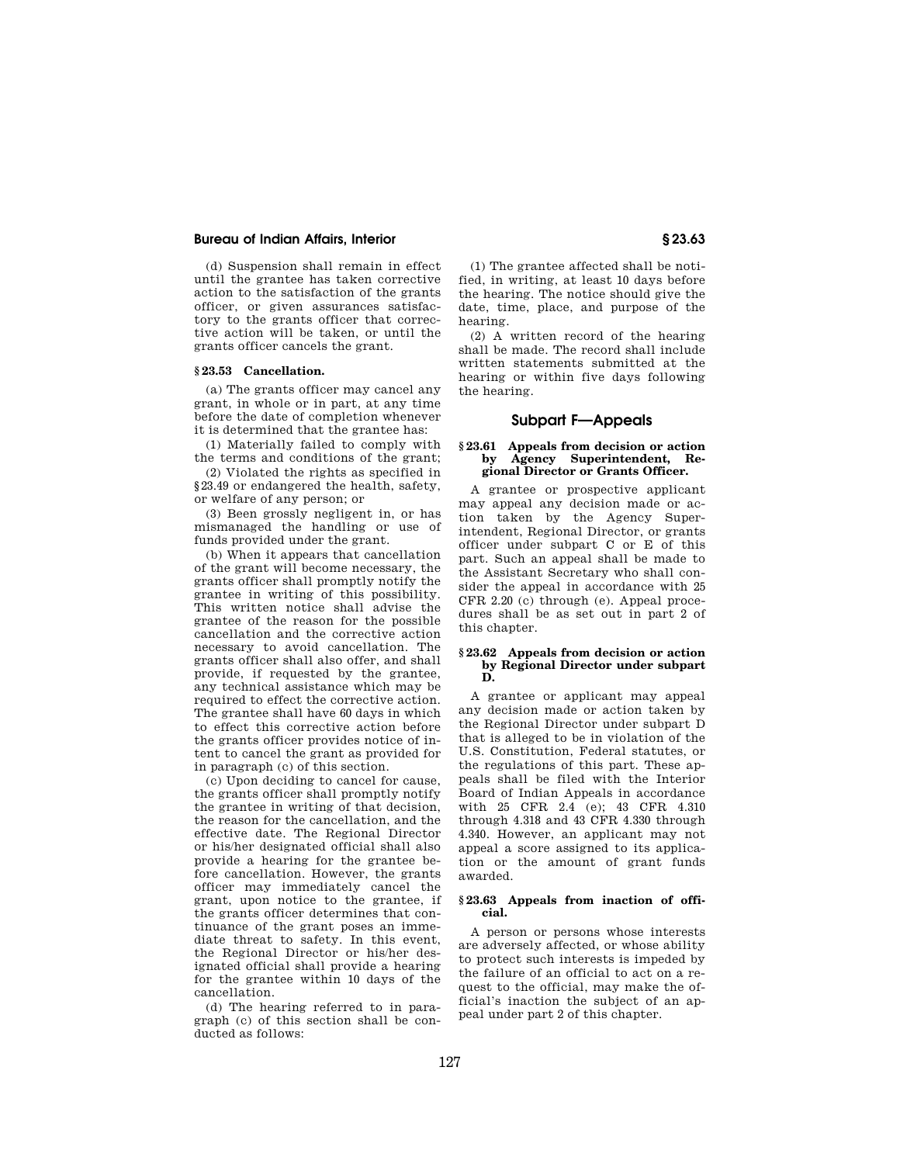(d) Suspension shall remain in effect until the grantee has taken corrective action to the satisfaction of the grants officer, or given assurances satisfactory to the grants officer that corrective action will be taken, or until the grants officer cancels the grant.

## **§ 23.53 Cancellation.**

(a) The grants officer may cancel any grant, in whole or in part, at any time before the date of completion whenever it is determined that the grantee has:

(1) Materially failed to comply with the terms and conditions of the grant;

(2) Violated the rights as specified in §23.49 or endangered the health, safety, or welfare of any person; or

(3) Been grossly negligent in, or has mismanaged the handling or use of funds provided under the grant.

(b) When it appears that cancellation of the grant will become necessary, the grants officer shall promptly notify the grantee in writing of this possibility. This written notice shall advise the grantee of the reason for the possible cancellation and the corrective action necessary to avoid cancellation. The grants officer shall also offer, and shall provide, if requested by the grantee, any technical assistance which may be required to effect the corrective action. The grantee shall have 60 days in which to effect this corrective action before the grants officer provides notice of intent to cancel the grant as provided for in paragraph (c) of this section.

(c) Upon deciding to cancel for cause, the grants officer shall promptly notify the grantee in writing of that decision, the reason for the cancellation, and the effective date. The Regional Director or his/her designated official shall also provide a hearing for the grantee before cancellation. However, the grants officer may immediately cancel the grant, upon notice to the grantee, if the grants officer determines that continuance of the grant poses an immediate threat to safety. In this event, the Regional Director or his/her designated official shall provide a hearing for the grantee within 10 days of the cancellation.

(d) The hearing referred to in paragraph (c) of this section shall be conducted as follows:

(1) The grantee affected shall be notified, in writing, at least 10 days before the hearing. The notice should give the date, time, place, and purpose of the hearing.

(2) A written record of the hearing shall be made. The record shall include written statements submitted at the hearing or within five days following the hearing.

# **Subpart F—Appeals**

## **§ 23.61 Appeals from decision or action by Agency Superintendent, Regional Director or Grants Officer.**

A grantee or prospective applicant may appeal any decision made or action taken by the Agency Superintendent, Regional Director, or grants officer under subpart C or E of this part. Such an appeal shall be made to the Assistant Secretary who shall consider the appeal in accordance with 25 CFR 2.20 (c) through (e). Appeal procedures shall be as set out in part 2 of this chapter.

## **§ 23.62 Appeals from decision or action by Regional Director under subpart D.**

A grantee or applicant may appeal any decision made or action taken by the Regional Director under subpart D that is alleged to be in violation of the U.S. Constitution, Federal statutes, or the regulations of this part. These appeals shall be filed with the Interior Board of Indian Appeals in accordance with 25 CFR 2.4 (e); 43 CFR 4.310 through 4.318 and 43 CFR 4.330 through 4.340. However, an applicant may not appeal a score assigned to its application or the amount of grant funds awarded.

## **§ 23.63 Appeals from inaction of official.**

A person or persons whose interests are adversely affected, or whose ability to protect such interests is impeded by the failure of an official to act on a request to the official, may make the official's inaction the subject of an appeal under part 2 of this chapter.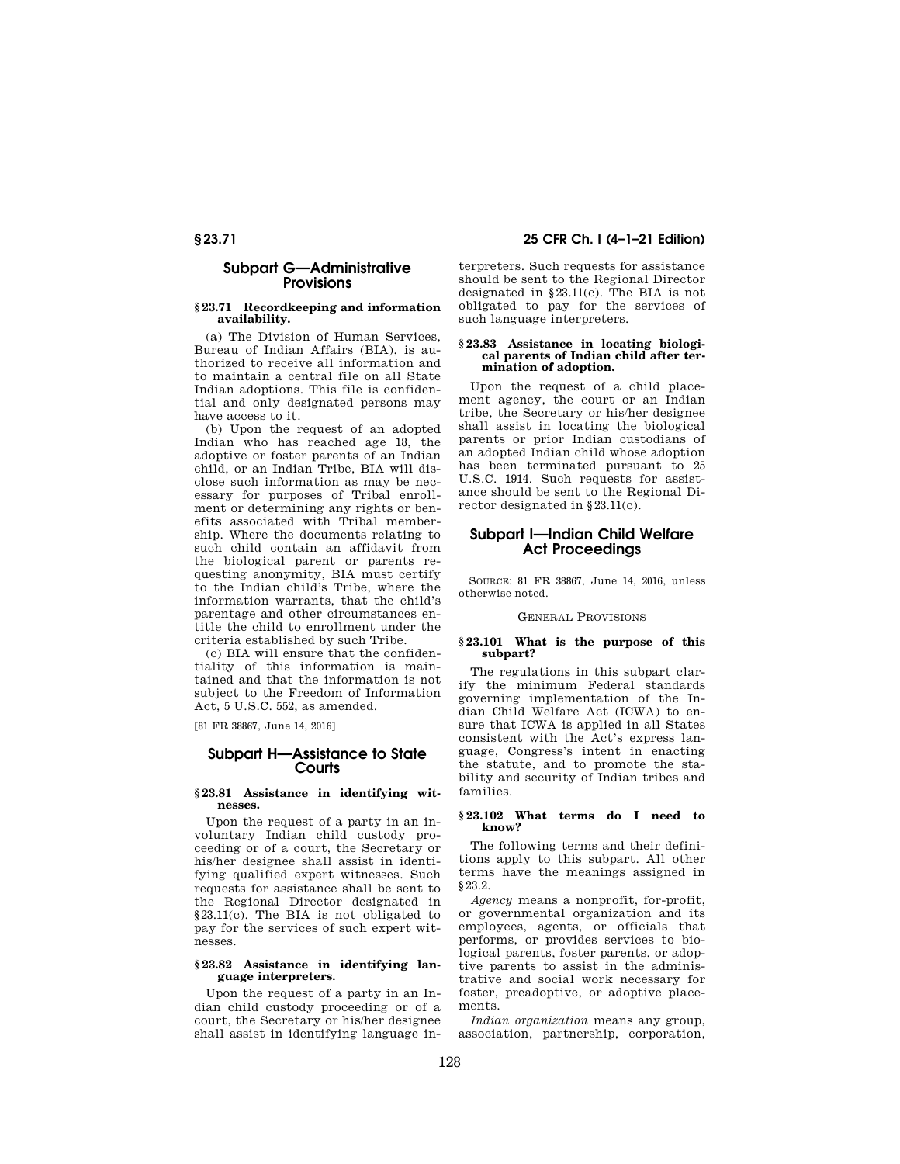# **Subpart G—Administrative Provisions**

## **§ 23.71 Recordkeeping and information availability.**

(a) The Division of Human Services, Bureau of Indian Affairs (BIA), is authorized to receive all information and to maintain a central file on all State Indian adoptions. This file is confidential and only designated persons may have access to it.

(b) Upon the request of an adopted Indian who has reached age 18, the adoptive or foster parents of an Indian child, or an Indian Tribe, BIA will disclose such information as may be necessary for purposes of Tribal enrollment or determining any rights or benefits associated with Tribal membership. Where the documents relating to such child contain an affidavit from the biological parent or parents requesting anonymity, BIA must certify to the Indian child's Tribe, where the information warrants, that the child's parentage and other circumstances entitle the child to enrollment under the criteria established by such Tribe.

(c) BIA will ensure that the confidentiality of this information is maintained and that the information is not subject to the Freedom of Information Act, 5 U.S.C. 552, as amended.

[81 FR 38867, June 14, 2016]

## **Subpart H—Assistance to State Courts**

## **§ 23.81 Assistance in identifying witnesses.**

Upon the request of a party in an involuntary Indian child custody proceeding or of a court, the Secretary or his/her designee shall assist in identifying qualified expert witnesses. Such requests for assistance shall be sent to the Regional Director designated in §23.11(c). The BIA is not obligated to pay for the services of such expert witnesses.

## **§ 23.82 Assistance in identifying language interpreters.**

Upon the request of a party in an Indian child custody proceeding or of a court, the Secretary or his/her designee shall assist in identifying language interpreters. Such requests for assistance should be sent to the Regional Director designated in §23.11(c). The BIA is not obligated to pay for the services of such language interpreters.

#### **§ 23.83 Assistance in locating biological parents of Indian child after termination of adoption.**

Upon the request of a child placement agency, the court or an Indian tribe, the Secretary or his/her designee shall assist in locating the biological parents or prior Indian custodians of an adopted Indian child whose adoption has been terminated pursuant to 25 U.S.C. 1914. Such requests for assistance should be sent to the Regional Director designated in §23.11(c).

# **Subpart I—Indian Child Welfare Act Proceedings**

SOURCE: 81 FR 38867, June 14, 2016, unless otherwise noted.

## GENERAL PROVISIONS

## **§ 23.101 What is the purpose of this subpart?**

The regulations in this subpart clarify the minimum Federal standards governing implementation of the Indian Child Welfare Act (ICWA) to ensure that ICWA is applied in all States consistent with the Act's express language, Congress's intent in enacting the statute, and to promote the stability and security of Indian tribes and families.

## **§ 23.102 What terms do I need to know?**

The following terms and their definitions apply to this subpart. All other terms have the meanings assigned in §23.2.

*Agency* means a nonprofit, for-profit, or governmental organization and its employees, agents, or officials that performs, or provides services to biological parents, foster parents, or adoptive parents to assist in the administrative and social work necessary for foster, preadoptive, or adoptive placements.

*Indian organization* means any group, association, partnership, corporation,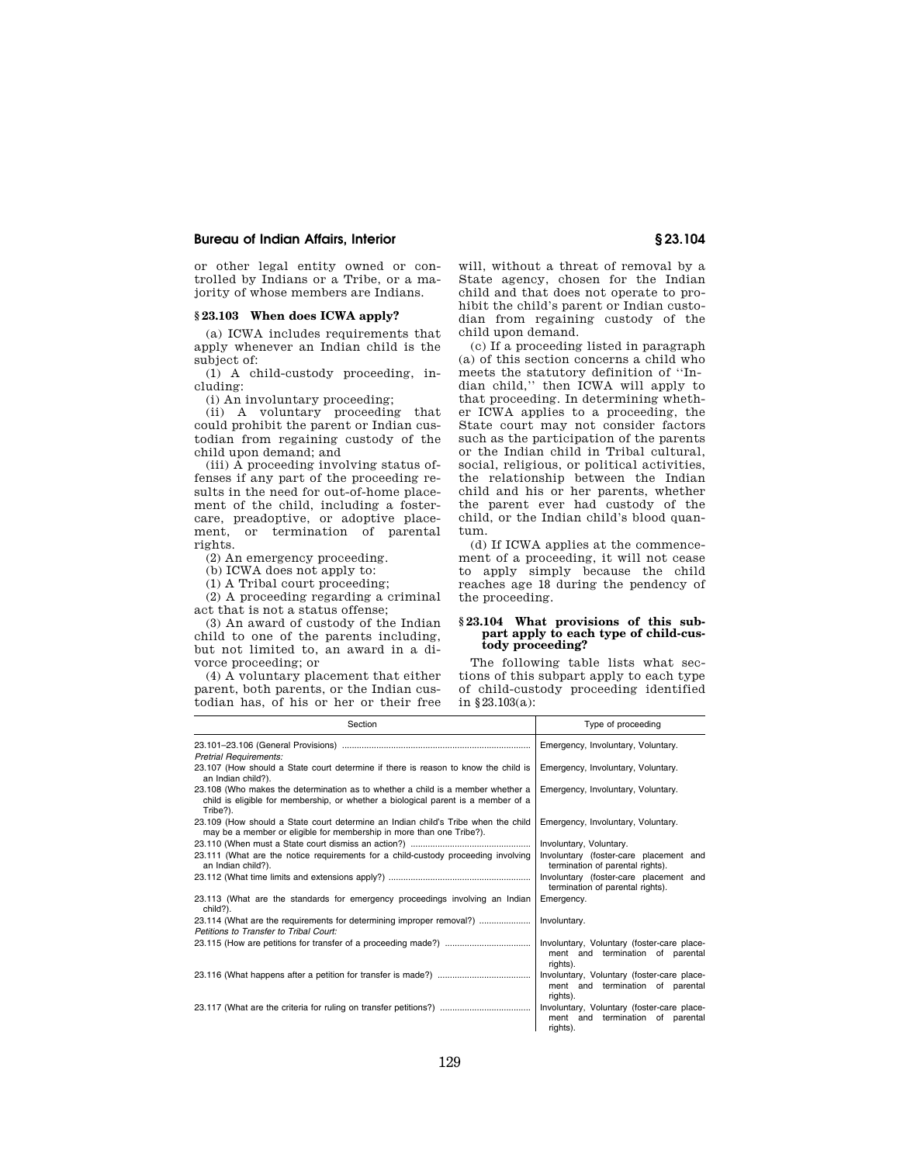or other legal entity owned or controlled by Indians or a Tribe, or a majority of whose members are Indians.

#### **§ 23.103 When does ICWA apply?**

(a) ICWA includes requirements that apply whenever an Indian child is the subject of:

(1) A child-custody proceeding, including:

(i) An involuntary proceeding;

(ii) A voluntary proceeding that could prohibit the parent or Indian custodian from regaining custody of the child upon demand; and

(iii) A proceeding involving status offenses if any part of the proceeding results in the need for out-of-home placement of the child, including a fostercare, preadoptive, or adoptive placement, or termination of parental rights.

(2) An emergency proceeding.

(b) ICWA does not apply to:

(1) A Tribal court proceeding;

(2) A proceeding regarding a criminal act that is not a status offense;

(3) An award of custody of the Indian child to one of the parents including, but not limited to, an award in a divorce proceeding; or

(4) A voluntary placement that either parent, both parents, or the Indian custodian has, of his or her or their free

will, without a threat of removal by a State agency, chosen for the Indian child and that does not operate to prohibit the child's parent or Indian custodian from regaining custody of the child upon demand.

(c) If a proceeding listed in paragraph (a) of this section concerns a child who meets the statutory definition of ''Indian child,'' then ICWA will apply to that proceeding. In determining whether ICWA applies to a proceeding, the State court may not consider factors such as the participation of the parents or the Indian child in Tribal cultural, social, religious, or political activities, the relationship between the Indian child and his or her parents, whether the parent ever had custody of the child, or the Indian child's blood quantum.

(d) If ICWA applies at the commencement of a proceeding, it will not cease to apply simply because the child reaches age 18 during the pendency of the proceeding.

## **§ 23.104 What provisions of this subpart apply to each type of child-custody proceeding?**

The following table lists what sections of this subpart apply to each type of child-custody proceeding identified in §23.103(a):

| Section                                                                                                                                                                          | Type of proceeding                                                                         |
|----------------------------------------------------------------------------------------------------------------------------------------------------------------------------------|--------------------------------------------------------------------------------------------|
| <b>Pretrial Requirements:</b>                                                                                                                                                    | Emergency, Involuntary, Voluntary.                                                         |
| 23.107 (How should a State court determine if there is reason to know the child is<br>an Indian child?).                                                                         | Emergency, Involuntary, Voluntary.                                                         |
| 23.108 (Who makes the determination as to whether a child is a member whether a<br>child is eligible for membership, or whether a biological parent is a member of a<br>Tribe?). | Emergency, Involuntary, Voluntary.                                                         |
| 23.109 (How should a State court determine an Indian child's Tribe when the child<br>may be a member or eligible for membership in more than one Tribe?).                        | Emergency, Involuntary, Voluntary.                                                         |
|                                                                                                                                                                                  | Involuntary, Voluntary.                                                                    |
| 23.111 (What are the notice requirements for a child-custody proceeding involving<br>an Indian child?).                                                                          | Involuntary (foster-care placement and<br>termination of parental rights).                 |
|                                                                                                                                                                                  | Involuntary (foster-care placement and<br>termination of parental rights).                 |
| 23.113 (What are the standards for emergency proceedings involving an Indian<br>child?).                                                                                         | Emergency.                                                                                 |
| 23.114 (What are the requirements for determining improper removal?)<br>Petitions to Transfer to Tribal Court:                                                                   | Involuntary.                                                                               |
|                                                                                                                                                                                  | Involuntary, Voluntary (foster-care place-<br>ment and termination of parental<br>rights). |
|                                                                                                                                                                                  | Involuntary, Voluntary (foster-care place-<br>ment and termination of parental<br>rights). |
|                                                                                                                                                                                  | Involuntary, Voluntary (foster-care place-<br>ment and termination of parental<br>rights). |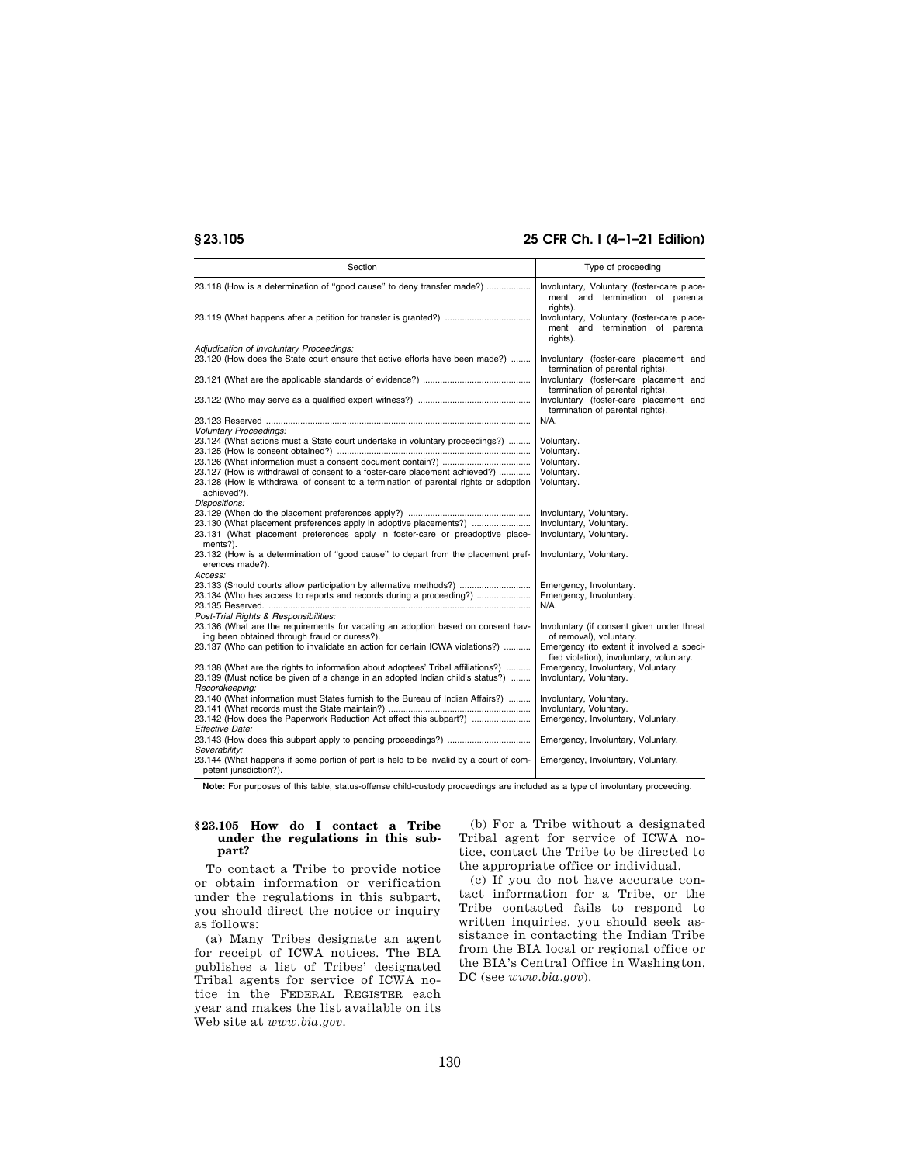# **§ 23.105 25 CFR Ch. I (4–1–21 Edition)**

| Section                                                                                                                   | Type of proceeding                                                                         |
|---------------------------------------------------------------------------------------------------------------------------|--------------------------------------------------------------------------------------------|
| 23.118 (How is a determination of "good cause" to deny transfer made?)                                                    | Involuntary, Voluntary (foster-care place-<br>ment and termination of parental<br>riahts). |
|                                                                                                                           | Involuntary, Voluntary (foster-care place-<br>ment and termination of parental<br>rights). |
| Adjudication of Involuntary Proceedings:                                                                                  |                                                                                            |
| 23.120 (How does the State court ensure that active efforts have been made?)                                              | Involuntary (foster-care placement and<br>termination of parental rights).                 |
|                                                                                                                           | Involuntary (foster-care placement and<br>termination of parental rights).                 |
|                                                                                                                           | Involuntary (foster-care placement and<br>termination of parental rights).                 |
|                                                                                                                           | $N/A$ .                                                                                    |
| <b>Voluntary Proceedings:</b>                                                                                             |                                                                                            |
| 23.124 (What actions must a State court undertake in voluntary proceedings?)                                              | Voluntary.                                                                                 |
|                                                                                                                           | Voluntary.                                                                                 |
|                                                                                                                           | Voluntary.                                                                                 |
| 23.127 (How is withdrawal of consent to a foster-care placement achieved?)                                                | Voluntary.                                                                                 |
| 23.128 (How is withdrawal of consent to a termination of parental rights or adoption                                      | Voluntary.                                                                                 |
| achieved?).                                                                                                               |                                                                                            |
| Dispositions:                                                                                                             |                                                                                            |
|                                                                                                                           | Involuntary, Voluntary.                                                                    |
| 23.130 (What placement preferences apply in adoptive placements?)                                                         | Involuntary, Voluntary.                                                                    |
| 23.131 (What placement preferences apply in foster-care or preadoptive place-<br>ments?).                                 | Involuntary, Voluntary.                                                                    |
| 23.132 (How is a determination of "good cause" to depart from the placement pref-<br>erences made?).                      | Involuntary, Voluntary.                                                                    |
| Access:                                                                                                                   |                                                                                            |
| 23.133 (Should courts allow participation by alternative methods?)                                                        | Emergency, Involuntary.                                                                    |
| 23.134 (Who has access to reports and records during a proceeding?)                                                       | Emergency, Involuntary.                                                                    |
|                                                                                                                           | N/A.                                                                                       |
| Post-Trial Rights & Responsibilities:<br>23.136 (What are the requirements for vacating an adoption based on consent hav- | Involuntary (if consent given under threat                                                 |
| ing been obtained through fraud or duress?).                                                                              | of removal), voluntary.                                                                    |
| 23.137 (Who can petition to invalidate an action for certain ICWA violations?)                                            | Emergency (to extent it involved a speci-                                                  |
|                                                                                                                           | fied violation), involuntary, voluntary.                                                   |
| 23.138 (What are the rights to information about adoptees' Tribal affiliations?)                                          | Emergency, Involuntary, Voluntary.                                                         |
| 23.139 (Must notice be given of a change in an adopted Indian child's status?)                                            | Involuntary, Voluntary.                                                                    |
| Recordkeeping:                                                                                                            |                                                                                            |
| 23.140 (What information must States furnish to the Bureau of Indian Affairs?)                                            | Involuntary, Voluntary.                                                                    |
|                                                                                                                           | Involuntary, Voluntary.                                                                    |
| 23.142 (How does the Paperwork Reduction Act affect this subpart?)                                                        | Emergency, Involuntary, Voluntary.                                                         |
| Effective Date:                                                                                                           |                                                                                            |
|                                                                                                                           | Emergency, Involuntary, Voluntary.                                                         |
| Severability:                                                                                                             |                                                                                            |
| 23.144 (What happens if some portion of part is held to be invalid by a court of com-<br>petent jurisdiction?).           | Emergency, Involuntary, Voluntary.                                                         |

**Note:** For purposes of this table, status-offense child-custody proceedings are included as a type of involuntary proceeding.

## **§ 23.105 How do I contact a Tribe under the regulations in this subpart?**

To contact a Tribe to provide notice or obtain information or verification under the regulations in this subpart, you should direct the notice or inquiry as follows:

(a) Many Tribes designate an agent for receipt of ICWA notices. The BIA publishes a list of Tribes' designated Tribal agents for service of ICWA notice in the FEDERAL REGISTER each year and makes the list available on its Web site at *www.bia.gov.* 

(b) For a Tribe without a designated Tribal agent for service of ICWA notice, contact the Tribe to be directed to the appropriate office or individual.

(c) If you do not have accurate contact information for a Tribe, or the Tribe contacted fails to respond to written inquiries, you should seek assistance in contacting the Indian Tribe from the BIA local or regional office or the BIA's Central Office in Washington, DC (see *www.bia.gov*).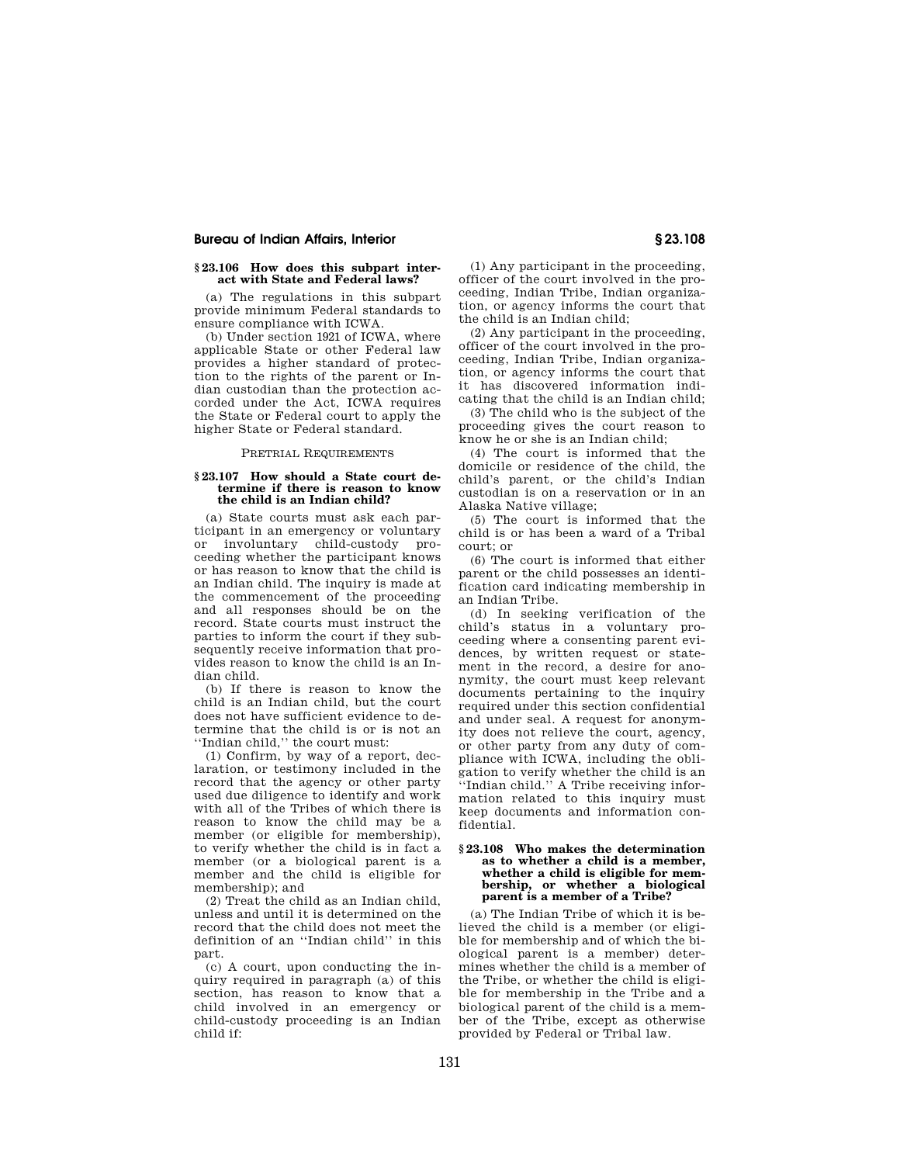## **§ 23.106 How does this subpart interact with State and Federal laws?**

(a) The regulations in this subpart provide minimum Federal standards to ensure compliance with ICWA.

(b) Under section 1921 of ICWA, where applicable State or other Federal law provides a higher standard of protection to the rights of the parent or Indian custodian than the protection accorded under the Act, ICWA requires the State or Federal court to apply the higher State or Federal standard.

## PRETRIAL REQUIREMENTS

#### **§ 23.107 How should a State court determine if there is reason to know the child is an Indian child?**

(a) State courts must ask each participant in an emergency or voluntary or involuntary child-custody proceeding whether the participant knows or has reason to know that the child is an Indian child. The inquiry is made at the commencement of the proceeding and all responses should be on the record. State courts must instruct the parties to inform the court if they subsequently receive information that provides reason to know the child is an Indian child.

(b) If there is reason to know the child is an Indian child, but the court does not have sufficient evidence to determine that the child is or is not an ''Indian child,'' the court must:

(1) Confirm, by way of a report, declaration, or testimony included in the record that the agency or other party used due diligence to identify and work with all of the Tribes of which there is reason to know the child may be a member (or eligible for membership), to verify whether the child is in fact a member (or a biological parent is a member and the child is eligible for membership); and

(2) Treat the child as an Indian child, unless and until it is determined on the record that the child does not meet the definition of an ''Indian child'' in this part.

(c) A court, upon conducting the inquiry required in paragraph (a) of this section, has reason to know that a child involved in an emergency or child-custody proceeding is an Indian child if:

(1) Any participant in the proceeding, officer of the court involved in the proceeding, Indian Tribe, Indian organization, or agency informs the court that the child is an Indian child;

(2) Any participant in the proceeding, officer of the court involved in the proceeding, Indian Tribe, Indian organization, or agency informs the court that it has discovered information indicating that the child is an Indian child;

(3) The child who is the subject of the proceeding gives the court reason to know he or she is an Indian child;

(4) The court is informed that the domicile or residence of the child, the child's parent, or the child's Indian custodian is on a reservation or in an Alaska Native village;

(5) The court is informed that the child is or has been a ward of a Tribal court; or

(6) The court is informed that either parent or the child possesses an identification card indicating membership in an Indian Tribe.

(d) In seeking verification of the child's status in a voluntary proceeding where a consenting parent evidences, by written request or statement in the record, a desire for anonymity, the court must keep relevant documents pertaining to the inquiry required under this section confidential and under seal. A request for anonymity does not relieve the court, agency, or other party from any duty of compliance with ICWA, including the obligation to verify whether the child is an 'Indian child.'' A Tribe receiving information related to this inquiry must keep documents and information confidential.

#### **§ 23.108 Who makes the determination as to whether a child is a member, whether a child is eligible for membership, or whether a biological parent is a member of a Tribe?**

(a) The Indian Tribe of which it is believed the child is a member (or eligible for membership and of which the biological parent is a member) determines whether the child is a member of the Tribe, or whether the child is eligible for membership in the Tribe and a biological parent of the child is a member of the Tribe, except as otherwise provided by Federal or Tribal law.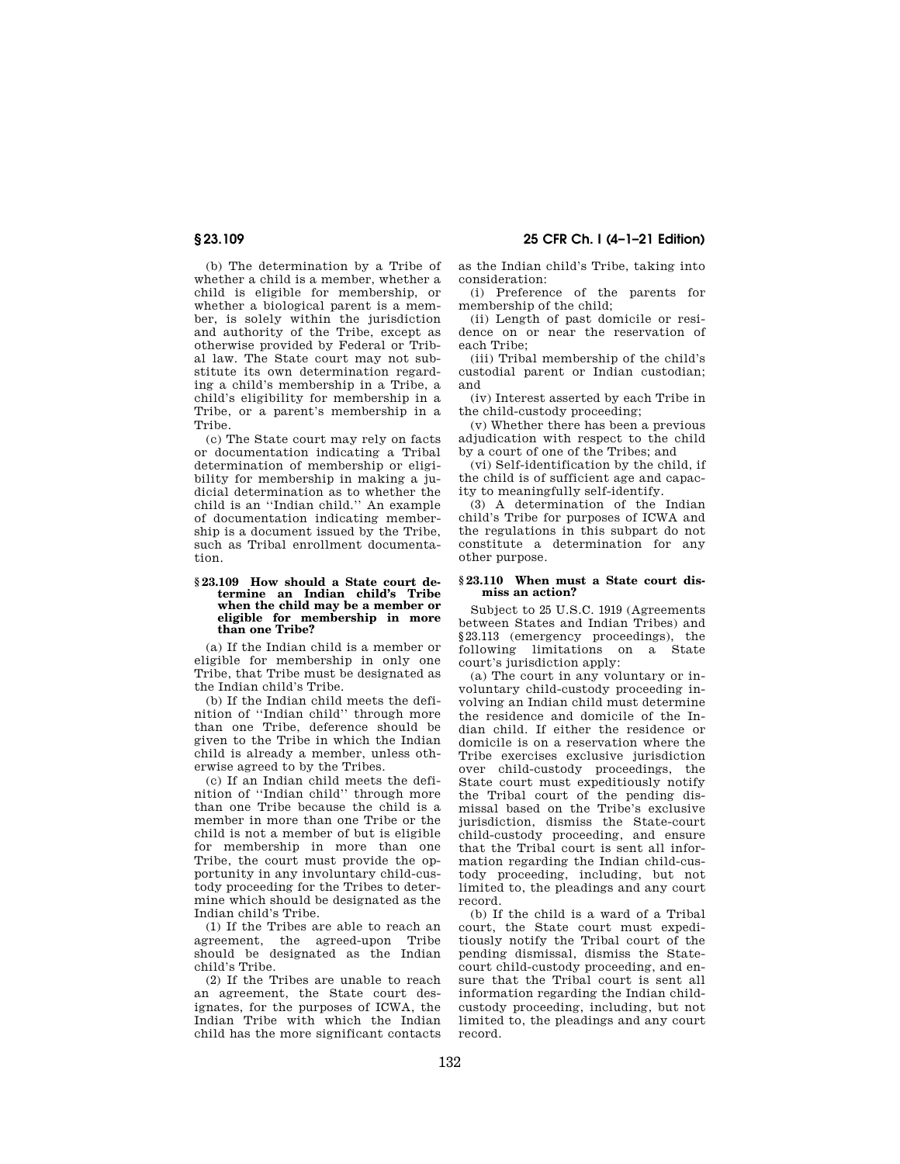**§ 23.109 25 CFR Ch. I (4–1–21 Edition)** 

(b) The determination by a Tribe of whether a child is a member, whether a child is eligible for membership, or whether a biological parent is a member, is solely within the jurisdiction and authority of the Tribe, except as otherwise provided by Federal or Tribal law. The State court may not substitute its own determination regarding a child's membership in a Tribe, a child's eligibility for membership in a Tribe, or a parent's membership in a Tribe.

(c) The State court may rely on facts or documentation indicating a Tribal determination of membership or eligibility for membership in making a judicial determination as to whether the child is an ''Indian child.'' An example of documentation indicating membership is a document issued by the Tribe, such as Tribal enrollment documentation.

#### **§ 23.109 How should a State court determine an Indian child's Tribe when the child may be a member or eligible for membership in more than one Tribe?**

(a) If the Indian child is a member or eligible for membership in only one Tribe, that Tribe must be designated as the Indian child's Tribe.

(b) If the Indian child meets the definition of ''Indian child'' through more than one Tribe, deference should be given to the Tribe in which the Indian child is already a member, unless otherwise agreed to by the Tribes.

(c) If an Indian child meets the definition of ''Indian child'' through more than one Tribe because the child is a member in more than one Tribe or the child is not a member of but is eligible for membership in more than one Tribe, the court must provide the opportunity in any involuntary child-custody proceeding for the Tribes to determine which should be designated as the Indian child's Tribe.

(1) If the Tribes are able to reach an agreement, the agreed-upon Tribe should be designated as the Indian child's Tribe.

(2) If the Tribes are unable to reach an agreement, the State court designates, for the purposes of ICWA, the Indian Tribe with which the Indian child has the more significant contacts as the Indian child's Tribe, taking into consideration:

(i) Preference of the parents for membership of the child;

(ii) Length of past domicile or residence on or near the reservation of each Tribe;

(iii) Tribal membership of the child's custodial parent or Indian custodian; and

(iv) Interest asserted by each Tribe in the child-custody proceeding;

(v) Whether there has been a previous adjudication with respect to the child by a court of one of the Tribes; and

(vi) Self-identification by the child, if the child is of sufficient age and capacity to meaningfully self-identify.

(3) A determination of the Indian child's Tribe for purposes of ICWA and the regulations in this subpart do not constitute a determination for any other purpose.

#### **§ 23.110 When must a State court dismiss an action?**

Subject to 25 U.S.C. 1919 (Agreements between States and Indian Tribes) and §23.113 (emergency proceedings), the following limitations on a State court's jurisdiction apply:

(a) The court in any voluntary or involuntary child-custody proceeding involving an Indian child must determine the residence and domicile of the Indian child. If either the residence or domicile is on a reservation where the Tribe exercises exclusive jurisdiction over child-custody proceedings, the State court must expeditiously notify the Tribal court of the pending dismissal based on the Tribe's exclusive jurisdiction, dismiss the State-court child-custody proceeding, and ensure that the Tribal court is sent all information regarding the Indian child-custody proceeding, including, but not limited to, the pleadings and any court record.

(b) If the child is a ward of a Tribal court, the State court must expeditiously notify the Tribal court of the pending dismissal, dismiss the Statecourt child-custody proceeding, and ensure that the Tribal court is sent all information regarding the Indian childcustody proceeding, including, but not limited to, the pleadings and any court record.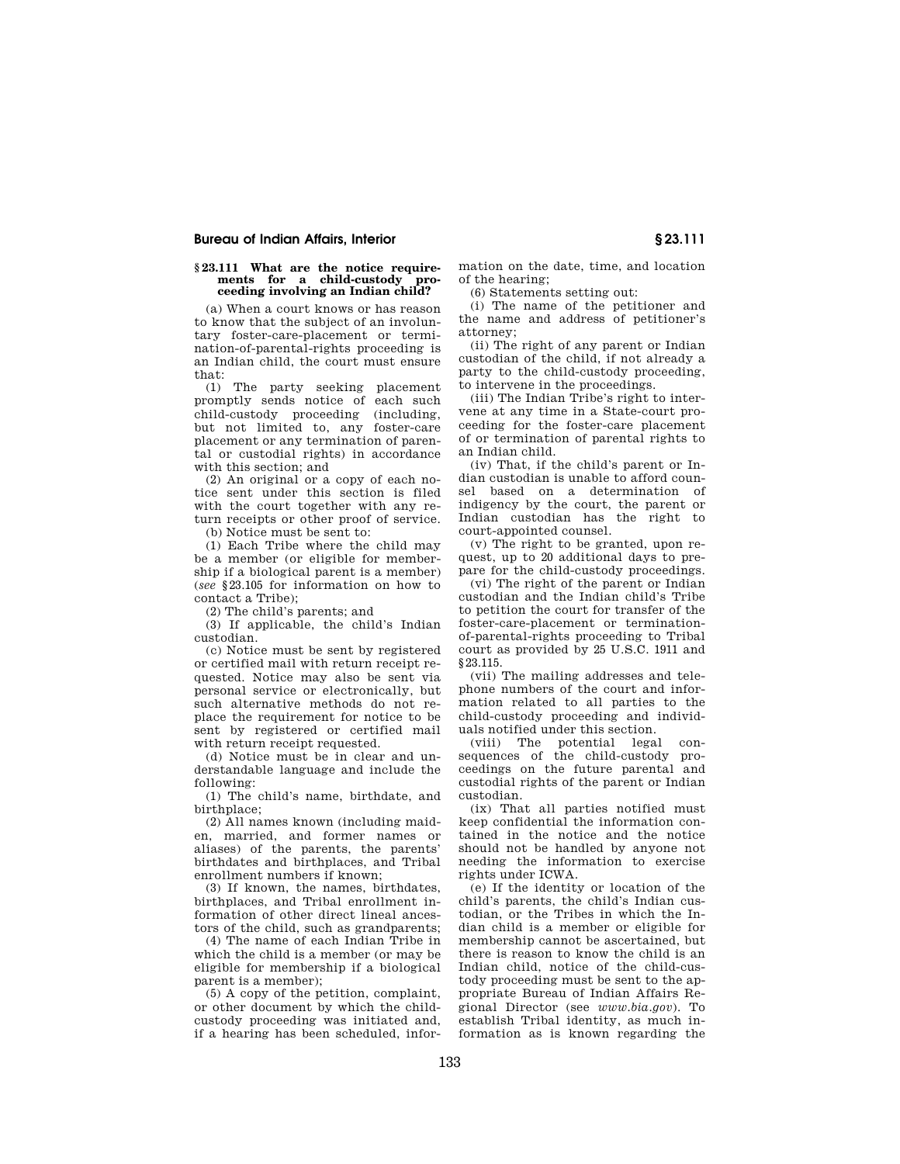#### **§ 23.111 What are the notice requirements for a child-custody proceeding involving an Indian child?**

(a) When a court knows or has reason to know that the subject of an involuntary foster-care-placement or termination-of-parental-rights proceeding is an Indian child, the court must ensure that:

(1) The party seeking placement promptly sends notice of each such child-custody proceeding (including, but not limited to, any foster-care placement or any termination of parental or custodial rights) in accordance with this section; and

(2) An original or a copy of each notice sent under this section is filed with the court together with any return receipts or other proof of service.

(b) Notice must be sent to:

(1) Each Tribe where the child may be a member (or eligible for membership if a biological parent is a member) (*see* §23.105 for information on how to contact a Tribe);

(2) The child's parents; and

(3) If applicable, the child's Indian custodian.

(c) Notice must be sent by registered or certified mail with return receipt requested. Notice may also be sent via personal service or electronically, but such alternative methods do not replace the requirement for notice to be sent by registered or certified mail with return receipt requested.

(d) Notice must be in clear and understandable language and include the following:

(1) The child's name, birthdate, and birthplace;

(2) All names known (including maiden, married, and former names or aliases) of the parents, the parents' birthdates and birthplaces, and Tribal enrollment numbers if known;

(3) If known, the names, birthdates, birthplaces, and Tribal enrollment information of other direct lineal ancestors of the child, such as grandparents;

(4) The name of each Indian Tribe in which the child is a member (or may be eligible for membership if a biological parent is a member);

(5) A copy of the petition, complaint, or other document by which the childcustody proceeding was initiated and, if a hearing has been scheduled, information on the date, time, and location of the hearing;

(6) Statements setting out:

(i) The name of the petitioner and the name and address of petitioner's attorney;

(ii) The right of any parent or Indian custodian of the child, if not already a party to the child-custody proceeding, to intervene in the proceedings.

(iii) The Indian Tribe's right to intervene at any time in a State-court proceeding for the foster-care placement of or termination of parental rights to an Indian child.

(iv) That, if the child's parent or Indian custodian is unable to afford counsel based on a determination of indigency by the court, the parent or Indian custodian has the right to court-appointed counsel.

(v) The right to be granted, upon request, up to 20 additional days to prepare for the child-custody proceedings.

(vi) The right of the parent or Indian custodian and the Indian child's Tribe to petition the court for transfer of the foster-care-placement or terminationof-parental-rights proceeding to Tribal court as provided by 25 U.S.C. 1911 and §23.115.

(vii) The mailing addresses and telephone numbers of the court and information related to all parties to the child-custody proceeding and individuals notified under this section.

(viii) The potential legal consequences of the child-custody proceedings on the future parental and custodial rights of the parent or Indian custodian.

(ix) That all parties notified must keep confidential the information contained in the notice and the notice should not be handled by anyone not needing the information to exercise rights under ICWA.

(e) If the identity or location of the child's parents, the child's Indian custodian, or the Tribes in which the Indian child is a member or eligible for membership cannot be ascertained, but there is reason to know the child is an Indian child, notice of the child-custody proceeding must be sent to the appropriate Bureau of Indian Affairs Regional Director (see *www.bia.gov*). To establish Tribal identity, as much information as is known regarding the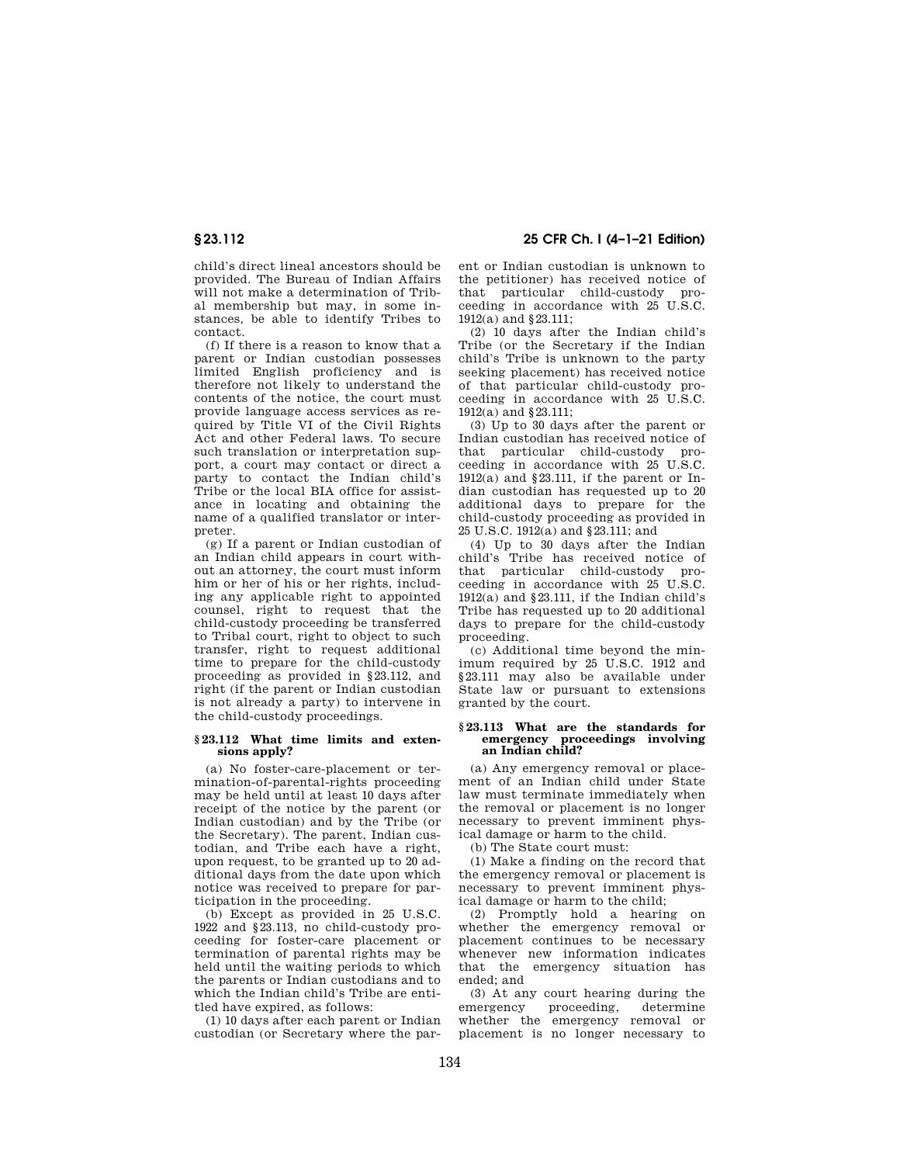child's direct lineal ancestors should be provided. The Bureau of Indian Affairs will not make a determination of Tribal membership but may, in some instances, be able to identify Tribes to contact.

(f) If there is a reason to know that a parent or Indian custodian possesses limited English proficiency and is therefore not likely to understand the contents of the notice, the court must provide language access services as required by Title VI of the Civil Rights Act and other Federal laws. To secure such translation or interpretation support, a court may contact or direct a party to contact the Indian child's Tribe or the local BIA office for assistance in locating and obtaining the name of a qualified translator or interpreter.

(g) If a parent or Indian custodian of an Indian child appears in court without an attorney, the court must inform him or her of his or her rights, including any applicable right to appointed counsel, right to request that the child-custody proceeding be transferred to Tribal court, right to object to such transfer, right to request additional time to prepare for the child-custody proceeding as provided in §23.112, and right (if the parent or Indian custodian is not already a party) to intervene in the child-custody proceedings.

#### **§ 23.112 What time limits and extensions apply?**

(a) No foster-care-placement or termination-of-parental-rights proceeding may be held until at least 10 days after receipt of the notice by the parent (or Indian custodian) and by the Tribe (or the Secretary). The parent, Indian custodian, and Tribe each have a right, upon request, to be granted up to 20 additional days from the date upon which notice was received to prepare for participation in the proceeding.

(b) Except as provided in 25 U.S.C. 1922 and §23.113, no child-custody proceeding for foster-care placement or termination of parental rights may be held until the waiting periods to which the parents or Indian custodians and to which the Indian child's Tribe are entitled have expired, as follows:

(1) 10 days after each parent or Indian custodian (or Secretary where the par-

**§ 23.112 25 CFR Ch. I (4–1–21 Edition)** 

ent or Indian custodian is unknown to the petitioner) has received notice of that particular child-custody proceeding in accordance with 25 U.S.C. 1912(a) and §23.111;

(2) 10 days after the Indian child's Tribe (or the Secretary if the Indian child's Tribe is unknown to the party seeking placement) has received notice of that particular child-custody proceeding in accordance with 25 U.S.C. 1912(a) and §23.111;

(3) Up to 30 days after the parent or Indian custodian has received notice of that particular child-custody proceeding in accordance with 25 U.S.C. 1912(a) and §23.111, if the parent or Indian custodian has requested up to 20 additional days to prepare for the child-custody proceeding as provided in 25 U.S.C. 1912(a) and §23.111; and

(4) Up to 30 days after the Indian child's Tribe has received notice of that particular child-custody proceeding in accordance with 25 U.S.C. 1912(a) and §23.111, if the Indian child's Tribe has requested up to 20 additional days to prepare for the child-custody proceeding.

(c) Additional time beyond the minimum required by 25 U.S.C. 1912 and §23.111 may also be available under State law or pursuant to extensions granted by the court.

## **§ 23.113 What are the standards for emergency proceedings involving an Indian child?**

(a) Any emergency removal or placement of an Indian child under State law must terminate immediately when the removal or placement is no longer necessary to prevent imminent physical damage or harm to the child.

(b) The State court must:

(1) Make a finding on the record that the emergency removal or placement is necessary to prevent imminent physical damage or harm to the child;

(2) Promptly hold a hearing on whether the emergency removal or placement continues to be necessary whenever new information indicates that the emergency situation has ended; and

(3) At any court hearing during the emergency proceeding, determine whether the emergency removal or placement is no longer necessary to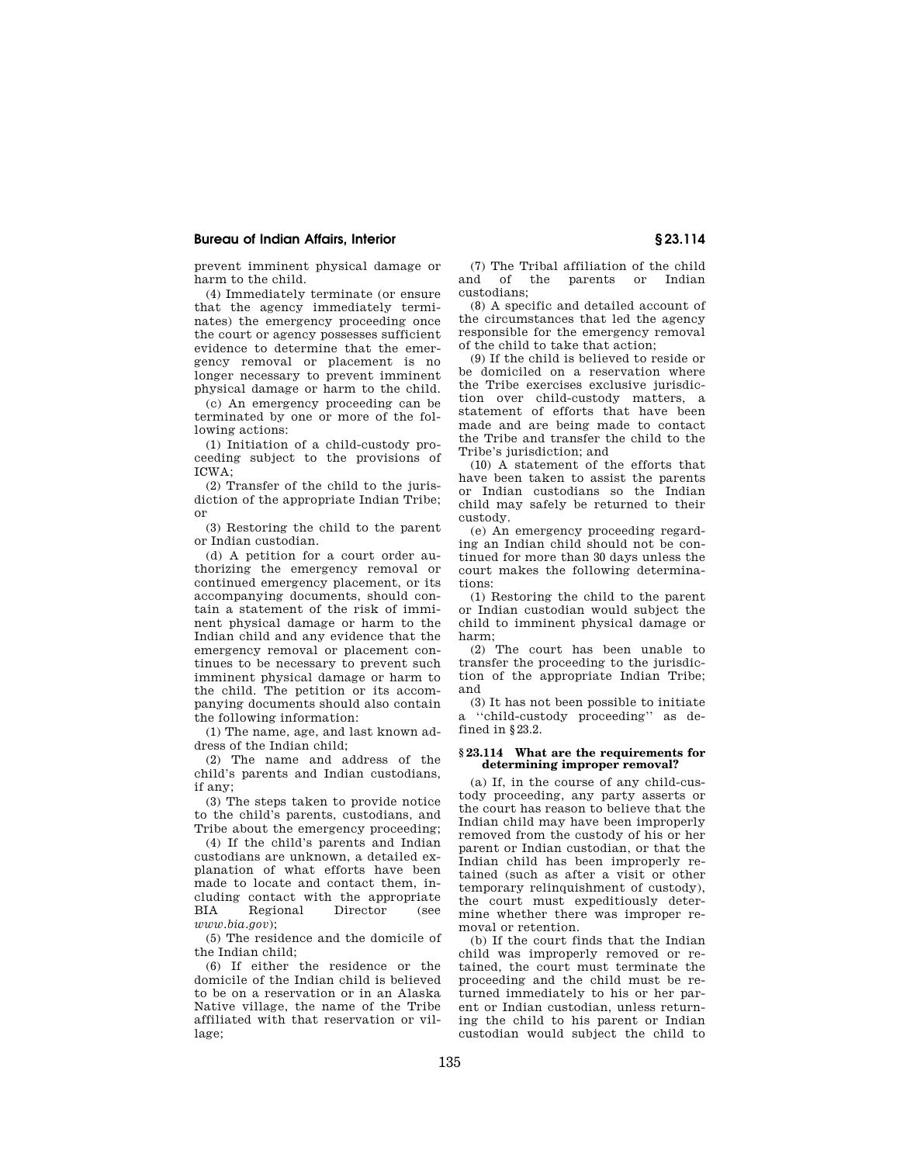prevent imminent physical damage or harm to the child.

(4) Immediately terminate (or ensure that the agency immediately terminates) the emergency proceeding once the court or agency possesses sufficient evidence to determine that the emergency removal or placement is no longer necessary to prevent imminent physical damage or harm to the child.

(c) An emergency proceeding can be terminated by one or more of the following actions:

(1) Initiation of a child-custody proceeding subject to the provisions of ICWA;

(2) Transfer of the child to the jurisdiction of the appropriate Indian Tribe; or

(3) Restoring the child to the parent or Indian custodian.

(d) A petition for a court order authorizing the emergency removal or continued emergency placement, or its accompanying documents, should contain a statement of the risk of imminent physical damage or harm to the Indian child and any evidence that the emergency removal or placement continues to be necessary to prevent such imminent physical damage or harm to the child. The petition or its accompanying documents should also contain the following information:

(1) The name, age, and last known address of the Indian child;

(2) The name and address of the child's parents and Indian custodians, if any;

(3) The steps taken to provide notice to the child's parents, custodians, and Tribe about the emergency proceeding;

(4) If the child's parents and Indian custodians are unknown, a detailed explanation of what efforts have been made to locate and contact them, including contact with the appropriate BIA Regional Director (see *www.bia.gov*);

(5) The residence and the domicile of the Indian child;

(6) If either the residence or the domicile of the Indian child is believed to be on a reservation or in an Alaska Native village, the name of the Tribe affiliated with that reservation or village;

(7) The Tribal affiliation of the child and of the parents or Indian custodians;

(8) A specific and detailed account of the circumstances that led the agency responsible for the emergency removal of the child to take that action;

(9) If the child is believed to reside or be domiciled on a reservation where the Tribe exercises exclusive jurisdiction over child-custody matters, a statement of efforts that have been made and are being made to contact the Tribe and transfer the child to the Tribe's jurisdiction; and

(10) A statement of the efforts that have been taken to assist the parents or Indian custodians so the Indian child may safely be returned to their custody.

(e) An emergency proceeding regarding an Indian child should not be continued for more than 30 days unless the court makes the following determinations:

(1) Restoring the child to the parent or Indian custodian would subject the child to imminent physical damage or harm;

(2) The court has been unable to transfer the proceeding to the jurisdiction of the appropriate Indian Tribe; and

(3) It has not been possible to initiate a ''child-custody proceeding'' as defined in §23.2.

## **§ 23.114 What are the requirements for determining improper removal?**

(a) If, in the course of any child-custody proceeding, any party asserts or the court has reason to believe that the Indian child may have been improperly removed from the custody of his or her parent or Indian custodian, or that the Indian child has been improperly retained (such as after a visit or other temporary relinquishment of custody), the court must expeditiously determine whether there was improper removal or retention.

(b) If the court finds that the Indian child was improperly removed or retained, the court must terminate the proceeding and the child must be returned immediately to his or her parent or Indian custodian, unless returning the child to his parent or Indian custodian would subject the child to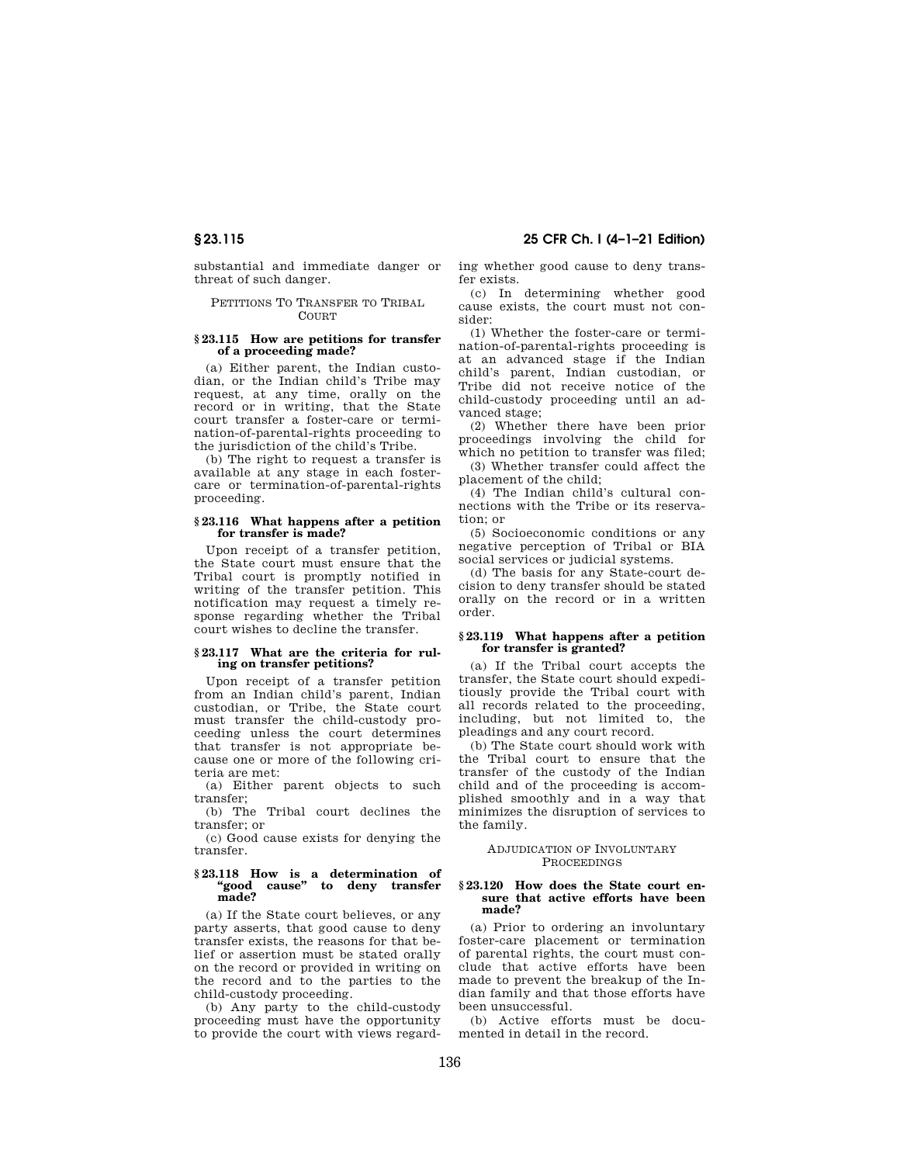substantial and immediate danger or threat of such danger.

## PETITIONS TO TRANSFER TO TRIBAL **COURT**

## **§ 23.115 How are petitions for transfer of a proceeding made?**

(a) Either parent, the Indian custodian, or the Indian child's Tribe may request, at any time, orally on the record or in writing, that the State court transfer a foster-care or termination-of-parental-rights proceeding to the jurisdiction of the child's Tribe.

(b) The right to request a transfer is available at any stage in each fostercare or termination-of-parental-rights proceeding.

## **§ 23.116 What happens after a petition for transfer is made?**

Upon receipt of a transfer petition, the State court must ensure that the Tribal court is promptly notified in writing of the transfer petition. This notification may request a timely response regarding whether the Tribal court wishes to decline the transfer.

## **§ 23.117 What are the criteria for ruling on transfer petitions?**

Upon receipt of a transfer petition from an Indian child's parent, Indian custodian, or Tribe, the State court must transfer the child-custody proceeding unless the court determines that transfer is not appropriate because one or more of the following criteria are met:

(a) Either parent objects to such transfer;

(b) The Tribal court declines the transfer; or

(c) Good cause exists for denying the transfer.

# **§ 23.118 How is a determination of ''good cause'' to deny transfer made?**

(a) If the State court believes, or any party asserts, that good cause to deny transfer exists, the reasons for that belief or assertion must be stated orally on the record or provided in writing on the record and to the parties to the child-custody proceeding.

(b) Any party to the child-custody proceeding must have the opportunity to provide the court with views regarding whether good cause to deny transfer exists.

(c) In determining whether good cause exists, the court must not consider:

(1) Whether the foster-care or termination-of-parental-rights proceeding is at an advanced stage if the Indian child's parent, Indian custodian, or Tribe did not receive notice of the child-custody proceeding until an advanced stage;

(2) Whether there have been prior proceedings involving the child for which no petition to transfer was filed;

(3) Whether transfer could affect the placement of the child;

(4) The Indian child's cultural connections with the Tribe or its reservation; or

(5) Socioeconomic conditions or any negative perception of Tribal or BIA social services or judicial systems.

(d) The basis for any State-court decision to deny transfer should be stated orally on the record or in a written order.

## **§ 23.119 What happens after a petition for transfer is granted?**

(a) If the Tribal court accepts the transfer, the State court should expeditiously provide the Tribal court with all records related to the proceeding, including, but not limited to, the pleadings and any court record.

(b) The State court should work with the Tribal court to ensure that the transfer of the custody of the Indian child and of the proceeding is accomplished smoothly and in a way that minimizes the disruption of services to the family.

## ADJUDICATION OF INVOLUNTARY PROCEEDINGS

## **§ 23.120 How does the State court ensure that active efforts have been made?**

(a) Prior to ordering an involuntary foster-care placement or termination of parental rights, the court must conclude that active efforts have been made to prevent the breakup of the Indian family and that those efforts have been unsuccessful.

(b) Active efforts must be documented in detail in the record.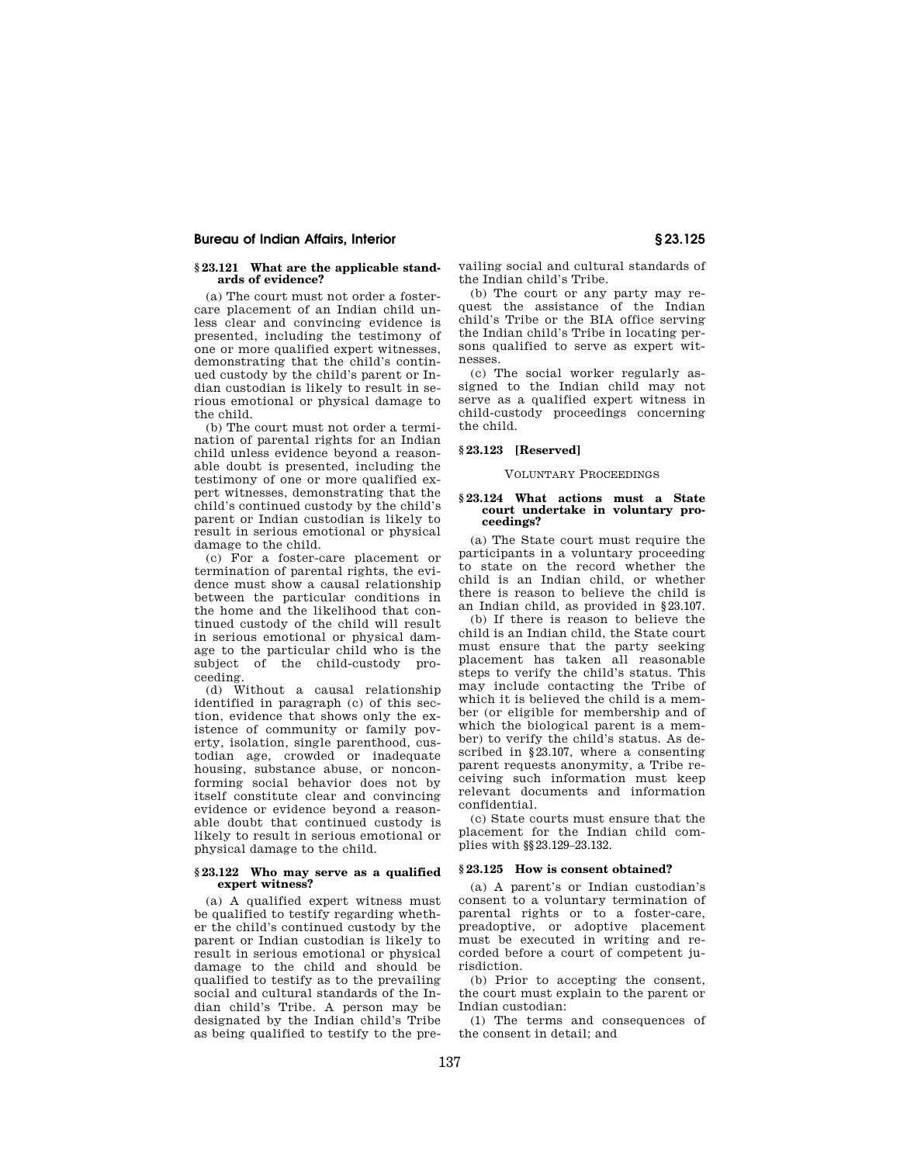## **§ 23.121 What are the applicable standards of evidence?**

(a) The court must not order a fostercare placement of an Indian child unless clear and convincing evidence is presented, including the testimony of one or more qualified expert witnesses, demonstrating that the child's continued custody by the child's parent or Indian custodian is likely to result in serious emotional or physical damage to the child.

(b) The court must not order a termination of parental rights for an Indian child unless evidence beyond a reasonable doubt is presented, including the testimony of one or more qualified expert witnesses, demonstrating that the child's continued custody by the child's parent or Indian custodian is likely to result in serious emotional or physical damage to the child.

(c) For a foster-care placement or termination of parental rights, the evidence must show a causal relationship between the particular conditions in the home and the likelihood that continued custody of the child will result in serious emotional or physical damage to the particular child who is the subject of the child-custody proceeding.

(d) Without a causal relationship identified in paragraph (c) of this section, evidence that shows only the existence of community or family poverty, isolation, single parenthood, custodian age, crowded or inadequate housing, substance abuse, or nonconforming social behavior does not by itself constitute clear and convincing evidence or evidence beyond a reasonable doubt that continued custody is likely to result in serious emotional or physical damage to the child.

## **§ 23.122 Who may serve as a qualified expert witness?**

(a) A qualified expert witness must be qualified to testify regarding whether the child's continued custody by the parent or Indian custodian is likely to result in serious emotional or physical damage to the child and should be qualified to testify as to the prevailing social and cultural standards of the Indian child's Tribe. A person may be designated by the Indian child's Tribe as being qualified to testify to the prevailing social and cultural standards of the Indian child's Tribe.

(b) The court or any party may request the assistance of the Indian child's Tribe or the BIA office serving the Indian child's Tribe in locating persons qualified to serve as expert witnesses.

(c) The social worker regularly assigned to the Indian child may not serve as a qualified expert witness in child-custody proceedings concerning the child.

## **§ 23.123 [Reserved]**

#### VOLUNTARY PROCEEDINGS

## **§ 23.124 What actions must a State court undertake in voluntary proceedings?**

(a) The State court must require the participants in a voluntary proceeding to state on the record whether the child is an Indian child, or whether there is reason to believe the child is an Indian child, as provided in §23.107.

(b) If there is reason to believe the child is an Indian child, the State court must ensure that the party seeking placement has taken all reasonable steps to verify the child's status. This may include contacting the Tribe of which it is believed the child is a member (or eligible for membership and of which the biological parent is a member) to verify the child's status. As described in §23.107, where a consenting parent requests anonymity, a Tribe receiving such information must keep relevant documents and information confidential.

(c) State courts must ensure that the placement for the Indian child complies with §§23.129–23.132.

#### **§ 23.125 How is consent obtained?**

(a) A parent's or Indian custodian's consent to a voluntary termination of parental rights or to a foster-care, preadoptive, or adoptive placement must be executed in writing and recorded before a court of competent jurisdiction.

(b) Prior to accepting the consent, the court must explain to the parent or Indian custodian:

(1) The terms and consequences of the consent in detail; and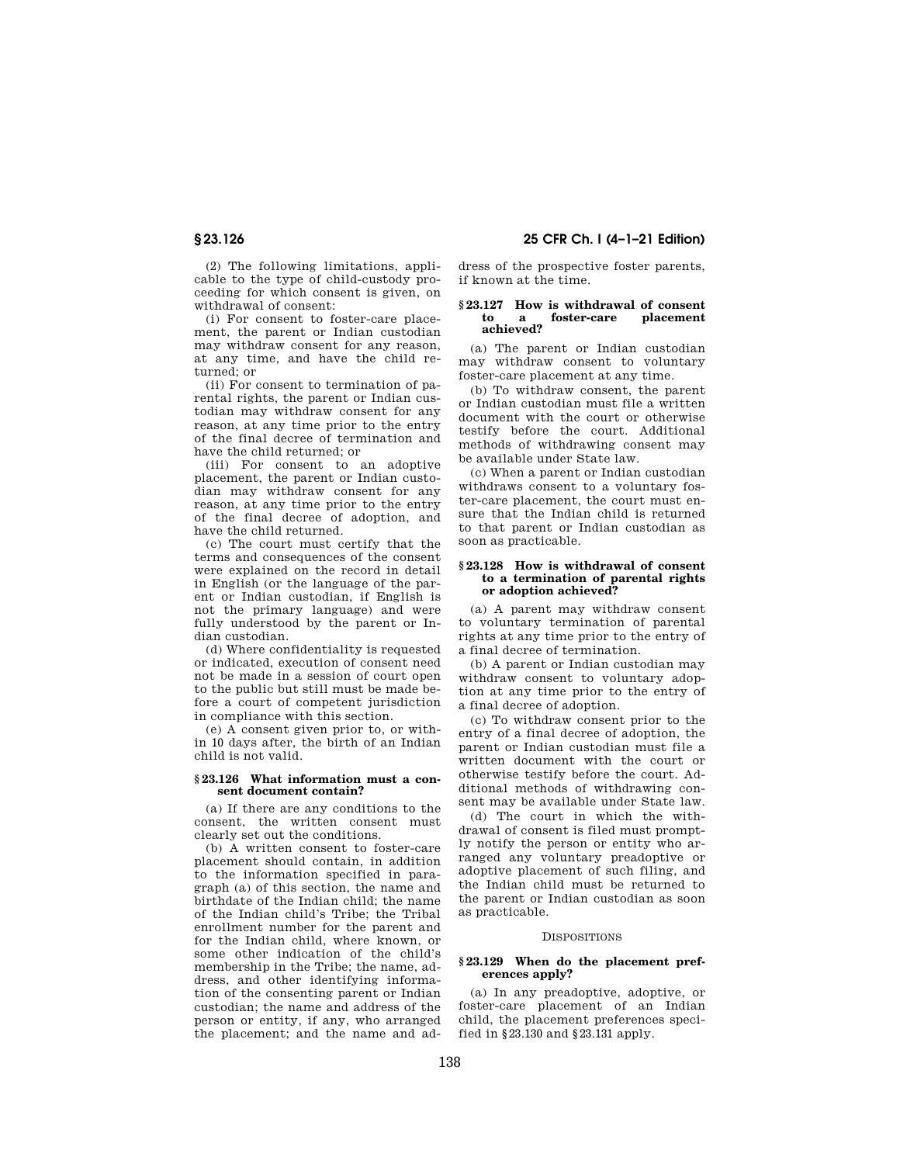(2) The following limitations, applicable to the type of child-custody proceeding for which consent is given, on withdrawal of consent:

(i) For consent to foster-care placement, the parent or Indian custodian may withdraw consent for any reason, at any time, and have the child returned; or

(ii) For consent to termination of parental rights, the parent or Indian custodian may withdraw consent for any reason, at any time prior to the entry of the final decree of termination and have the child returned; or

(iii) For consent to an adoptive placement, the parent or Indian custodian may withdraw consent for any reason, at any time prior to the entry of the final decree of adoption, and have the child returned.

(c) The court must certify that the terms and consequences of the consent were explained on the record in detail in English (or the language of the parent or Indian custodian, if English is not the primary language) and were fully understood by the parent or Indian custodian.

(d) Where confidentiality is requested or indicated, execution of consent need not be made in a session of court open to the public but still must be made before a court of competent jurisdiction in compliance with this section.

(e) A consent given prior to, or within 10 days after, the birth of an Indian child is not valid.

#### **§ 23.126 What information must a consent document contain?**

(a) If there are any conditions to the consent, the written consent must clearly set out the conditions.

(b) A written consent to foster-care placement should contain, in addition to the information specified in paragraph (a) of this section, the name and birthdate of the Indian child; the name of the Indian child's Tribe; the Tribal enrollment number for the parent and for the Indian child, where known, or some other indication of the child's membership in the Tribe; the name, address, and other identifying information of the consenting parent or Indian custodian; the name and address of the person or entity, if any, who arranged the placement; and the name and ad-

**§ 23.126 25 CFR Ch. I (4–1–21 Edition)** 

dress of the prospective foster parents, if known at the time.

## **§ 23.127 How is withdrawal of consent to** a foster-care **achieved?**

(a) The parent or Indian custodian may withdraw consent to voluntary foster-care placement at any time.

(b) To withdraw consent, the parent or Indian custodian must file a written document with the court or otherwise testify before the court. Additional methods of withdrawing consent may be available under State law.

(c) When a parent or Indian custodian withdraws consent to a voluntary foster-care placement, the court must ensure that the Indian child is returned to that parent or Indian custodian as soon as practicable.

#### **§ 23.128 How is withdrawal of consent to a termination of parental rights or adoption achieved?**

(a) A parent may withdraw consent to voluntary termination of parental rights at any time prior to the entry of a final decree of termination.

(b) A parent or Indian custodian may withdraw consent to voluntary adoption at any time prior to the entry of a final decree of adoption.

(c) To withdraw consent prior to the entry of a final decree of adoption, the parent or Indian custodian must file a written document with the court or otherwise testify before the court. Additional methods of withdrawing consent may be available under State law.

(d) The court in which the withdrawal of consent is filed must promptly notify the person or entity who arranged any voluntary preadoptive or adoptive placement of such filing, and the Indian child must be returned to the parent or Indian custodian as soon as practicable.

#### **DISPOSITIONS**

## **§ 23.129 When do the placement preferences apply?**

(a) In any preadoptive, adoptive, or foster-care placement of an Indian child, the placement preferences specified in §23.130 and §23.131 apply.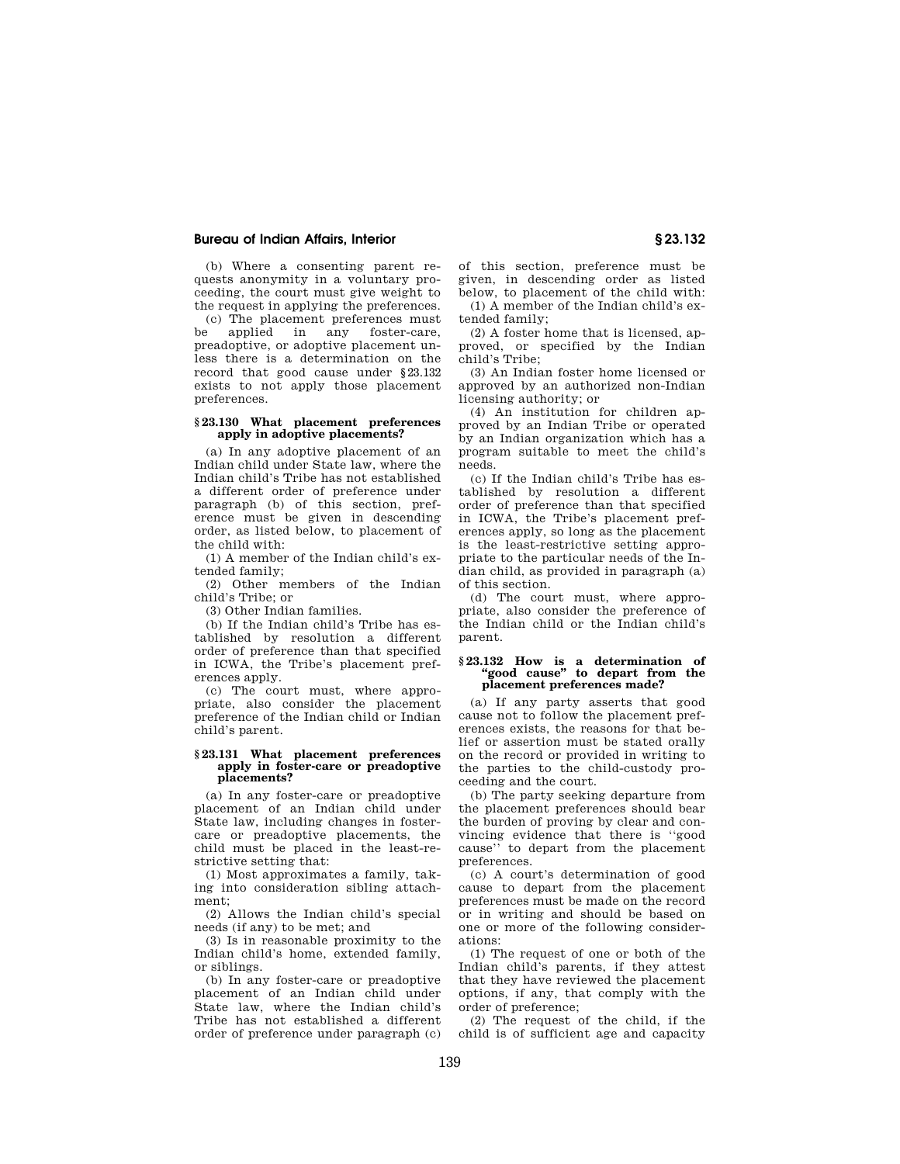(b) Where a consenting parent requests anonymity in a voluntary proceeding, the court must give weight to the request in applying the preferences.

(c) The placement preferences must be applied in any foster-care, preadoptive, or adoptive placement unless there is a determination on the record that good cause under §23.132 exists to not apply those placement preferences.

## **§ 23.130 What placement preferences apply in adoptive placements?**

(a) In any adoptive placement of an Indian child under State law, where the Indian child's Tribe has not established a different order of preference under paragraph (b) of this section, preference must be given in descending order, as listed below, to placement of the child with:

(1) A member of the Indian child's extended family;

(2) Other members of the Indian child's Tribe; or

(3) Other Indian families.

(b) If the Indian child's Tribe has established by resolution a different order of preference than that specified in ICWA, the Tribe's placement preferences apply.

(c) The court must, where appropriate, also consider the placement preference of the Indian child or Indian child's parent.

#### **§ 23.131 What placement preferences apply in foster-care or preadoptive placements?**

(a) In any foster-care or preadoptive placement of an Indian child under State law, including changes in fostercare or preadoptive placements, the child must be placed in the least-restrictive setting that:

(1) Most approximates a family, taking into consideration sibling attachment;

(2) Allows the Indian child's special needs (if any) to be met; and

(3) Is in reasonable proximity to the Indian child's home, extended family, or siblings.

(b) In any foster-care or preadoptive placement of an Indian child under State law, where the Indian child's Tribe has not established a different order of preference under paragraph (c) of this section, preference must be given, in descending order as listed below, to placement of the child with:

(1) A member of the Indian child's extended family;

(2) A foster home that is licensed, approved, or specified by the Indian child's Tribe;

(3) An Indian foster home licensed or approved by an authorized non-Indian licensing authority; or

(4) An institution for children approved by an Indian Tribe or operated by an Indian organization which has a program suitable to meet the child's needs.

(c) If the Indian child's Tribe has established by resolution a different order of preference than that specified in ICWA, the Tribe's placement preferences apply, so long as the placement is the least-restrictive setting appropriate to the particular needs of the Indian child, as provided in paragraph (a) of this section.

(d) The court must, where appropriate, also consider the preference of the Indian child or the Indian child's parent.

#### **§ 23.132 How is a determination of ''good cause'' to depart from the placement preferences made?**

(a) If any party asserts that good cause not to follow the placement preferences exists, the reasons for that belief or assertion must be stated orally on the record or provided in writing to the parties to the child-custody proceeding and the court.

(b) The party seeking departure from the placement preferences should bear the burden of proving by clear and convincing evidence that there is ''good cause'' to depart from the placement preferences.

(c) A court's determination of good cause to depart from the placement preferences must be made on the record or in writing and should be based on one or more of the following considerations:

(1) The request of one or both of the Indian child's parents, if they attest that they have reviewed the placement options, if any, that comply with the order of preference;

(2) The request of the child, if the child is of sufficient age and capacity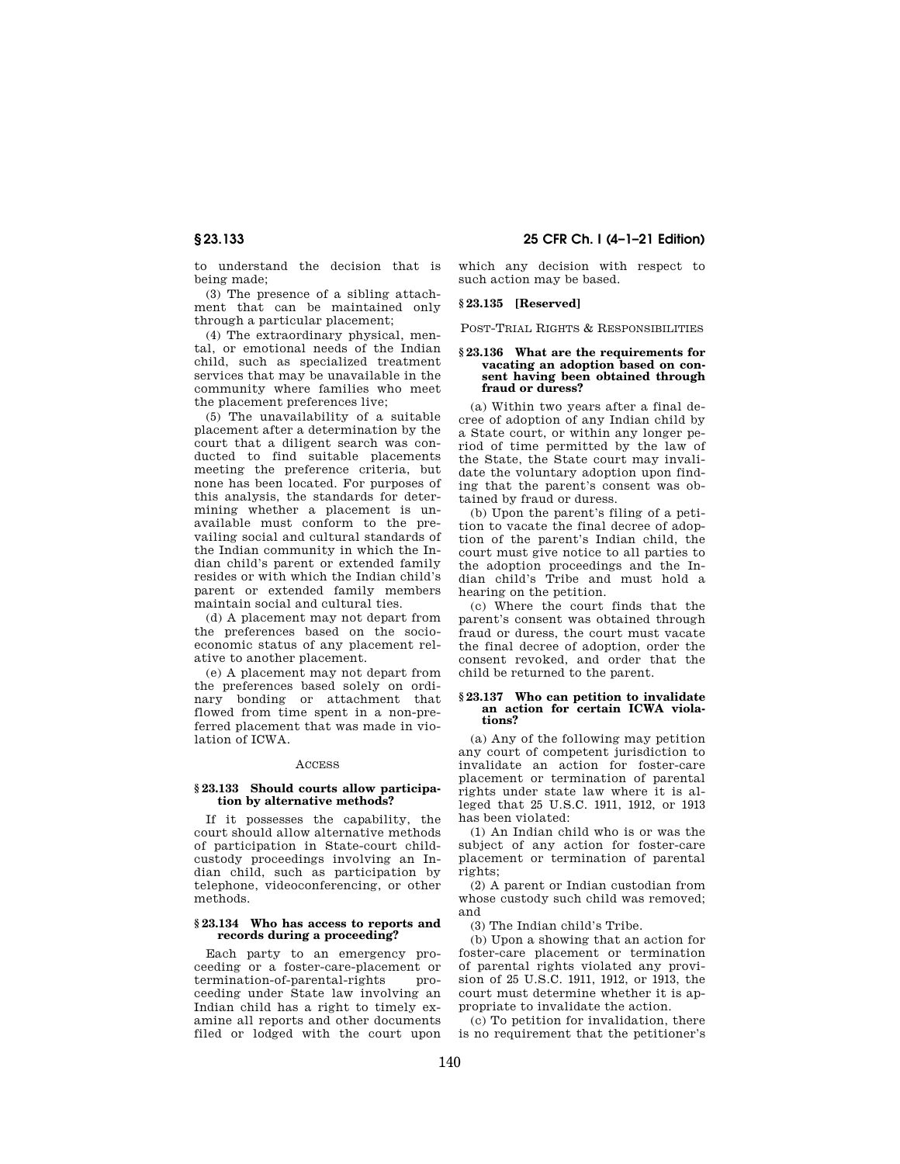**§ 23.133 25 CFR Ch. I (4–1–21 Edition)** 

to understand the decision that is being made;

(3) The presence of a sibling attachment that can be maintained only through a particular placement;

(4) The extraordinary physical, mental, or emotional needs of the Indian child, such as specialized treatment services that may be unavailable in the community where families who meet the placement preferences live;

(5) The unavailability of a suitable placement after a determination by the court that a diligent search was conducted to find suitable placements meeting the preference criteria, but none has been located. For purposes of this analysis, the standards for determining whether a placement is unavailable must conform to the prevailing social and cultural standards of the Indian community in which the Indian child's parent or extended family resides or with which the Indian child's parent or extended family members maintain social and cultural ties.

(d) A placement may not depart from the preferences based on the socioeconomic status of any placement relative to another placement.

(e) A placement may not depart from the preferences based solely on ordinary bonding or attachment that flowed from time spent in a non-preferred placement that was made in violation of ICWA.

## ACCESS

## **§ 23.133 Should courts allow participation by alternative methods?**

If it possesses the capability, the court should allow alternative methods of participation in State-court childcustody proceedings involving an Indian child, such as participation by telephone, videoconferencing, or other methods.

#### **§ 23.134 Who has access to reports and records during a proceeding?**

Each party to an emergency proceeding or a foster-care-placement or termination-of-parental-rights proceeding under State law involving an Indian child has a right to timely examine all reports and other documents filed or lodged with the court upon which any decision with respect to such action may be based.

## **§ 23.135 [Reserved]**

POST-TRIAL RIGHTS & RESPONSIBILITIES

## **§ 23.136 What are the requirements for vacating an adoption based on consent having been obtained through fraud or duress?**

(a) Within two years after a final decree of adoption of any Indian child by a State court, or within any longer period of time permitted by the law of the State, the State court may invalidate the voluntary adoption upon finding that the parent's consent was obtained by fraud or duress.

(b) Upon the parent's filing of a petition to vacate the final decree of adoption of the parent's Indian child, the court must give notice to all parties to the adoption proceedings and the Indian child's Tribe and must hold a hearing on the petition.

(c) Where the court finds that the parent's consent was obtained through fraud or duress, the court must vacate the final decree of adoption, order the consent revoked, and order that the child be returned to the parent.

#### **§ 23.137 Who can petition to invalidate an action for certain ICWA violations?**

(a) Any of the following may petition any court of competent jurisdiction to invalidate an action for foster-care placement or termination of parental rights under state law where it is alleged that 25 U.S.C. 1911, 1912, or 1913 has been violated:

(1) An Indian child who is or was the subject of any action for foster-care placement or termination of parental rights;

(2) A parent or Indian custodian from whose custody such child was removed; and

(3) The Indian child's Tribe.

(b) Upon a showing that an action for foster-care placement or termination of parental rights violated any provision of 25 U.S.C. 1911, 1912, or 1913, the court must determine whether it is appropriate to invalidate the action.

(c) To petition for invalidation, there is no requirement that the petitioner's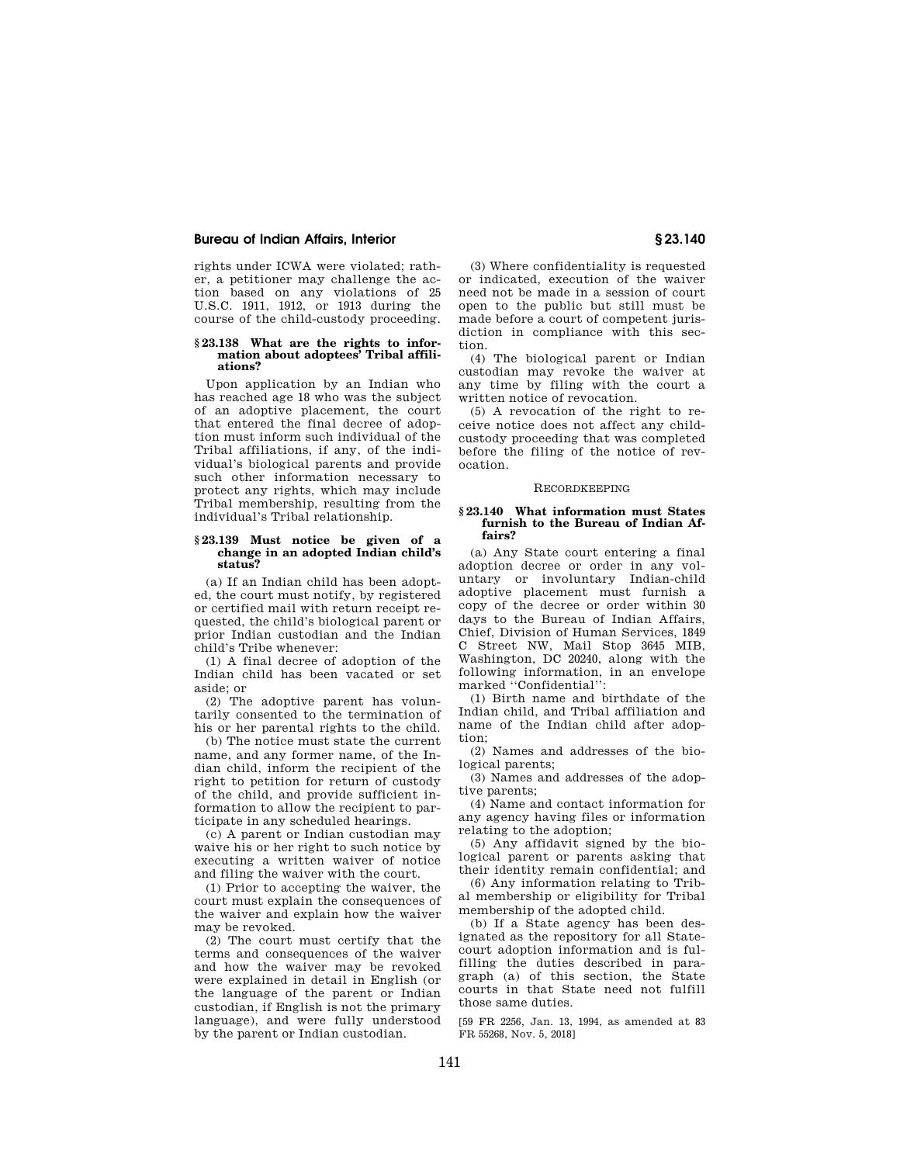rights under ICWA were violated; rather, a petitioner may challenge the action based on any violations of 25 U.S.C. 1911, 1912, or 1913 during the course of the child-custody proceeding.

#### **§ 23.138 What are the rights to information about adoptees' Tribal affiliations?**

Upon application by an Indian who has reached age 18 who was the subject of an adoptive placement, the court that entered the final decree of adoption must inform such individual of the Tribal affiliations, if any, of the individual's biological parents and provide such other information necessary to protect any rights, which may include Tribal membership, resulting from the individual's Tribal relationship.

#### **§ 23.139 Must notice be given of a change in an adopted Indian child's status?**

(a) If an Indian child has been adopted, the court must notify, by registered or certified mail with return receipt requested, the child's biological parent or prior Indian custodian and the Indian child's Tribe whenever:

(1) A final decree of adoption of the Indian child has been vacated or set aside; or

(2) The adoptive parent has voluntarily consented to the termination of his or her parental rights to the child.

(b) The notice must state the current name, and any former name, of the Indian child, inform the recipient of the right to petition for return of custody of the child, and provide sufficient information to allow the recipient to participate in any scheduled hearings.

(c) A parent or Indian custodian may waive his or her right to such notice by executing a written waiver of notice and filing the waiver with the court.

(1) Prior to accepting the waiver, the court must explain the consequences of the waiver and explain how the waiver may be revoked.

(2) The court must certify that the terms and consequences of the waiver and how the waiver may be revoked were explained in detail in English (or the language of the parent or Indian custodian, if English is not the primary language), and were fully understood by the parent or Indian custodian.

(3) Where confidentiality is requested or indicated, execution of the waiver need not be made in a session of court open to the public but still must be made before a court of competent jurisdiction in compliance with this section.

(4) The biological parent or Indian custodian may revoke the waiver at any time by filing with the court a written notice of revocation.

(5) A revocation of the right to receive notice does not affect any childcustody proceeding that was completed before the filing of the notice of revocation.

#### RECORDKEEPING

#### **§ 23.140 What information must States furnish to the Bureau of Indian Affairs?**

(a) Any State court entering a final adoption decree or order in any voluntary or involuntary Indian-child adoptive placement must furnish a copy of the decree or order within 30 days to the Bureau of Indian Affairs, Chief, Division of Human Services, 1849 C Street NW, Mail Stop 3645 MIB, Washington, DC 20240, along with the following information, in an envelope marked ''Confidential'':

(1) Birth name and birthdate of the Indian child, and Tribal affiliation and name of the Indian child after adoption;

(2) Names and addresses of the biological parents;

(3) Names and addresses of the adoptive parents;

(4) Name and contact information for any agency having files or information relating to the adoption;

(5) Any affidavit signed by the biological parent or parents asking that their identity remain confidential; and

(6) Any information relating to Tribal membership or eligibility for Tribal membership of the adopted child.

(b) If a State agency has been designated as the repository for all Statecourt adoption information and is fulfilling the duties described in paragraph (a) of this section, the State courts in that State need not fulfill those same duties.

[59 FR 2256, Jan. 13, 1994, as amended at 83 FR 55268, Nov. 5, 2018]